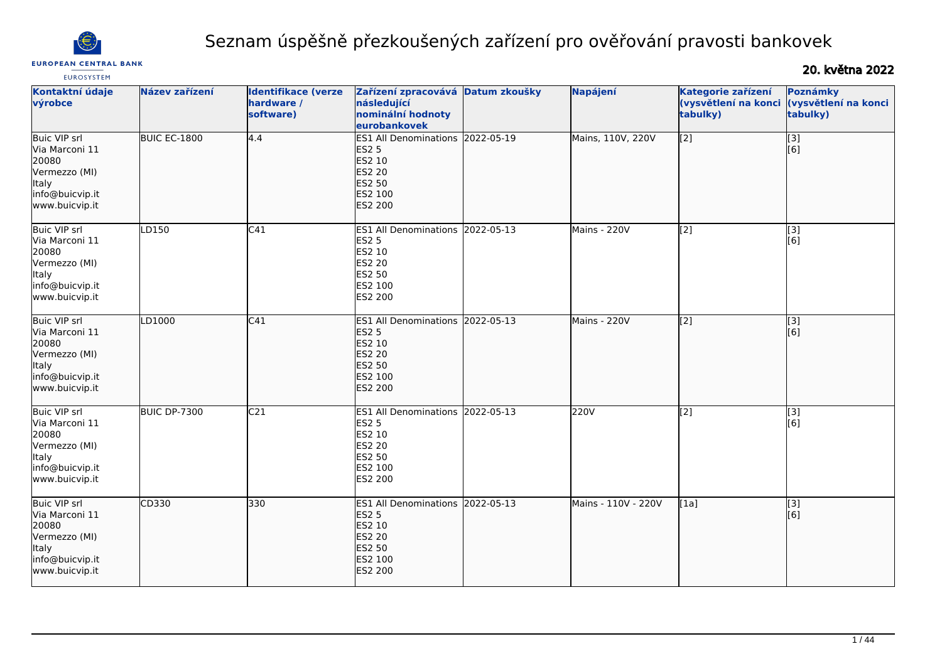

#### **EUROPEAN CENTRAL BANK**

# Seznam úspěšně přezkoušených zařízení pro ověřování pravosti bankovek

# 20. května 2022

| <b>EUROSYSTEM</b>                                                                                                     |                |                                                       |                                                                                                                    |               |                     |                                                        |                                              |
|-----------------------------------------------------------------------------------------------------------------------|----------------|-------------------------------------------------------|--------------------------------------------------------------------------------------------------------------------|---------------|---------------------|--------------------------------------------------------|----------------------------------------------|
| Kontaktní údaje<br>výrobce                                                                                            | Název zařízení | <b>Identifikace (verze</b><br>hardware /<br>software) | Zařízení zpracovává<br>následující<br>nominální hodnoty<br>eurobankovek                                            | Datum zkoušky | Napájení            | Kategorie zařízení<br>(vysvětlení na konci<br>tabulky) | Poznámky<br>(vysvětlení na konci<br>tabulky) |
| <b>Buic VIP srl</b><br>Via Marconi 11<br>20080<br>Vermezzo (MI)<br>Italy<br>info@buicvip.it<br>www.buicvip.it         | BUIC EC-1800   | 4.4                                                   | <b>ES1 All Denominations</b><br><b>ES2 5</b><br>ES2 10<br><b>ES2 20</b><br>ES2 50<br>ES2 100<br><b>ES2 200</b>     | 2022-05-19    | Mains, 110V, 220V   | $\sqrt{2}$                                             | $\overline{[}3]$<br>[6]                      |
| <b>Buic VIP srl</b><br>Via Marconi 11<br>20080<br>Vermezzo (MI)<br>Italy<br>info@buicvip.it<br>www.buicvip.it         | LD150          | C41                                                   | ES1 All Denominations 2022-05-13<br><b>ES2 5</b><br>ES2 10<br>ES2 20<br>ES2 50<br>ES2 100<br>ES2 200               |               | Mains - 220V        | [2]                                                    | [3]<br>[6]                                   |
| <b>Buic VIP srl</b><br>lVia Marconi 11<br>20080<br>Vermezzo (MI)<br><b>Italy</b><br>info@buicvip.it<br>www.buicvip.it | LD1000         | C41                                                   | <b>ES1 All Denominations</b><br><b>ES2 5</b><br>ES2 10<br><b>ES2 20</b><br>ES2 50<br>ES2 100<br>ES2 200            | 2022-05-13    | Mains - 220V        | $\overline{[2]}$                                       | $\overline{[}3]$<br>[6]                      |
| <b>Buic VIP srl</b><br>Via Marconi 11<br>20080<br>Vermezzo (MI)<br><b>Italy</b><br>info@buicvip.it<br>www.buicvip.it  | BUIC DP-7300   | C <sub>21</sub>                                       | ES1 All Denominations 2022-05-13<br><b>ES2 5</b><br>ES2 10<br><b>ES2 20</b><br>ES2 50<br>ES2 100<br>ES2 200        |               | 220V                | $\overline{[2]}$                                       | $\overline{[}3]$<br>[6]                      |
| Buic VIP srl<br>Via Marconi 11<br>20080<br>Vermezzo (MI)<br>Italy<br>info@buicvip.it<br>www.buicvip.it                | CD330          | 330                                                   | ES1 All Denominations 2022-05-13<br><b>ES2 5</b><br>ES2 10<br><b>ES2 20</b><br><b>ES2 50</b><br>ES2 100<br>ES2 200 |               | Mains - 110V - 220V | [1a]                                                   | [3]<br>[6]                                   |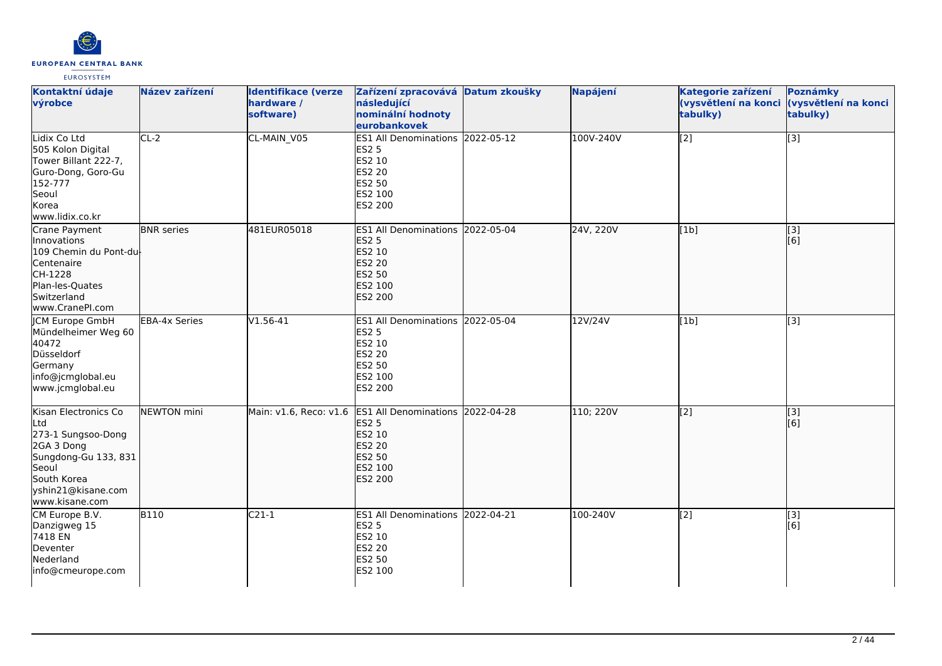

| Kontaktní údaje<br>výrobce                                                                                                                              | Název zařízení       | <b>Identifikace (verze</b><br>hardware /<br>software) | Zařízení zpracovává Datum zkoušky<br>následující<br>nominální hodnoty<br>eurobankovek                                              | Napájení  | Kategorie zařízení<br>(vysvětlení na konci<br>tabulky) | Poznámky<br>(vysvětlení na konci<br>tabulky) |
|---------------------------------------------------------------------------------------------------------------------------------------------------------|----------------------|-------------------------------------------------------|------------------------------------------------------------------------------------------------------------------------------------|-----------|--------------------------------------------------------|----------------------------------------------|
| Lidix Co Ltd<br>505 Kolon Digital<br>Tower Billant 222-7,<br>Guro-Dong, Goro-Gu<br>152-777<br>Seoul<br>Korea<br>www.lidix.co.kr                         | $CL-2$               | CL-MAIN V05                                           | ES1 All Denominations 2022-05-12<br><b>ES2 5</b><br>ES2 10<br>ES2 20<br>ES2 50<br>ES2 100<br>ES2 200                               | 100V-240V | $\overline{[2]}$                                       | $\overline{[3]}$                             |
| Crane Payment<br>Innovations<br>109 Chemin du Pont-du<br>Centenaire<br>CH-1228<br>Plan-les-Quates<br>Switzerland<br>www.CranePI.com                     | <b>BNR</b> series    | 481EUR05018                                           | ES1 All Denominations 2022-05-04<br><b>ES2 5</b><br>ES2 10<br><b>ES2 20</b><br>ES2 50<br>ES2 100<br>ES2 200                        | 24V, 220V | [1b]                                                   | $\vert$ [3]<br>[6]                           |
| <b>ICM Europe GmbH</b><br>Mündelheimer Weg 60<br>40472<br>Düsseldorf<br>Germany<br>info@jcmglobal.eu<br>www.jcmglobal.eu                                | <b>EBA-4x Series</b> | $V1.56-41$                                            | ES1 All Denominations 2022-05-04<br><b>ES2 5</b><br>ES2 10<br><b>ES2 20</b><br>ES2 50<br>ES2 100<br>ES2 200                        | 12V/24V   | [1b]                                                   | $\overline{[3]}$                             |
| Kisan Electronics Co<br>Ltd<br>273-1 Sungsoo-Dong<br>2GA 3 Dong<br>Sungdong-Gu 133, 831<br>Seoul<br>South Korea<br>yshin21@kisane.com<br>www.kisane.com | NEWTON mini          |                                                       | Main: v1.6, Reco: v1.6 ES1 All Denominations 2022-04-28<br><b>ES2 5</b><br>ES2 10<br><b>ES2 20</b><br>ES2 50<br>ES2 100<br>ES2 200 | 110; 220V | $\overline{[2]}$                                       | $\overline{[3]}$<br>[6]                      |
| CM Europe B.V.<br>Danzigweg 15<br>7418 EN<br>Deventer<br>Nederland<br>info@cmeurope.com                                                                 | <b>B110</b>          | $C21-1$                                               | ES1 All Denominations 2022-04-21<br><b>ES2 5</b><br>ES2 10<br>ES2 20<br>ES2 50<br>ES2 100                                          | 100-240V  | [2]                                                    | [3]<br>[6]                                   |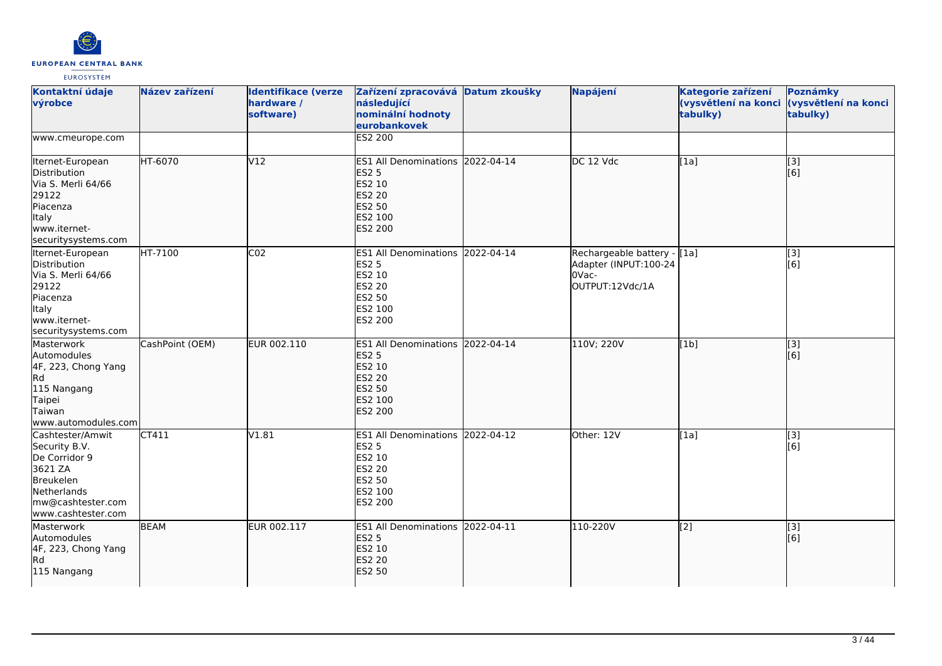

| Kontaktní údaje<br>výrobce                                                                                                           | Název zařízení  | <b>Identifikace (verze</b><br>hardware /<br>software) | Zařízení zpracovává Datum zkoušky<br>následující<br>nominální hodnoty<br>eurobankovek                              | Napájení                                                                         | Kategorie zařízení<br>tabulky) | Poznámky<br>(vysvětlení na konci (vysvětlení na konci<br>tabulky) |
|--------------------------------------------------------------------------------------------------------------------------------------|-----------------|-------------------------------------------------------|--------------------------------------------------------------------------------------------------------------------|----------------------------------------------------------------------------------|--------------------------------|-------------------------------------------------------------------|
| www.cmeurope.com                                                                                                                     |                 |                                                       | ES2 200                                                                                                            |                                                                                  |                                |                                                                   |
| Iternet-European<br>Distribution<br>Via S. Merli 64/66<br>29122<br>Piacenza<br>Italy<br>lwww.iternet-<br>securitysystems.com         | HT-6070         | V12                                                   | ES1 All Denominations 2022-04-14<br><b>ES2 5</b><br>ES2 10<br><b>ES2 20</b><br>ES2 50<br>ES2 100<br><b>ES2 200</b> | DC 12 Vdc                                                                        | [1a]                           | $\overline{[}3]$<br>[6]                                           |
| Iternet-European<br>Distribution<br>Via S. Merli 64/66<br>29122<br>Piacenza<br>Italy<br>www.iternet-<br>securitysystems.com          | HT-7100         | CO <sub>2</sub>                                       | ES1 All Denominations 2022-04-14<br><b>ES2 5</b><br>ES2 10<br><b>ES2 20</b><br><b>ES2 50</b><br>ES2 100<br>ES2 200 | Rechargeable battery - [1a]<br>Adapter (INPUT:100-24<br>OVac-<br>OUTPUT:12Vdc/1A |                                | [3]<br>[6]                                                        |
| Masterwork<br>Automodules<br>4F, 223, Chong Yang<br><b>Rd</b><br>115 Nangang<br>Taipei<br>Taiwan<br>www.automodules.com              | CashPoint (OEM) | EUR 002.110                                           | ES1 All Denominations 2022-04-14<br><b>ES2 5</b><br>ES2 10<br><b>ES2 20</b><br>ES2 50<br>ES2 100<br><b>ES2 200</b> | 110V; 220V                                                                       | [1b]                           | [3]<br>[6]                                                        |
| Cashtester/Amwit<br>Security B.V.<br>De Corridor 9<br>3621 ZA<br>Breukelen<br>Netherlands<br>mw@cashtester.com<br>www.cashtester.com | CT411           | V1.81                                                 | ES1 All Denominations 2022-04-12<br><b>ES2 5</b><br>ES2 10<br>ES2 20<br><b>ES2 50</b><br>ES2 100<br>ES2 200        | Other: 12V                                                                       | [1a]                           | [3]<br>[6]                                                        |
| Masterwork<br>Automodules<br>4F, 223, Chong Yang<br>Rd)<br>115 Nangang                                                               | <b>BEAM</b>     | EUR 002.117                                           | ES1 All Denominations 2022-04-11<br><b>ES2 5</b><br>ES2 10<br><b>ES2 20</b><br><b>ES2 50</b>                       | 110-220V                                                                         | $\overline{[2]}$               | [3]<br>[6]                                                        |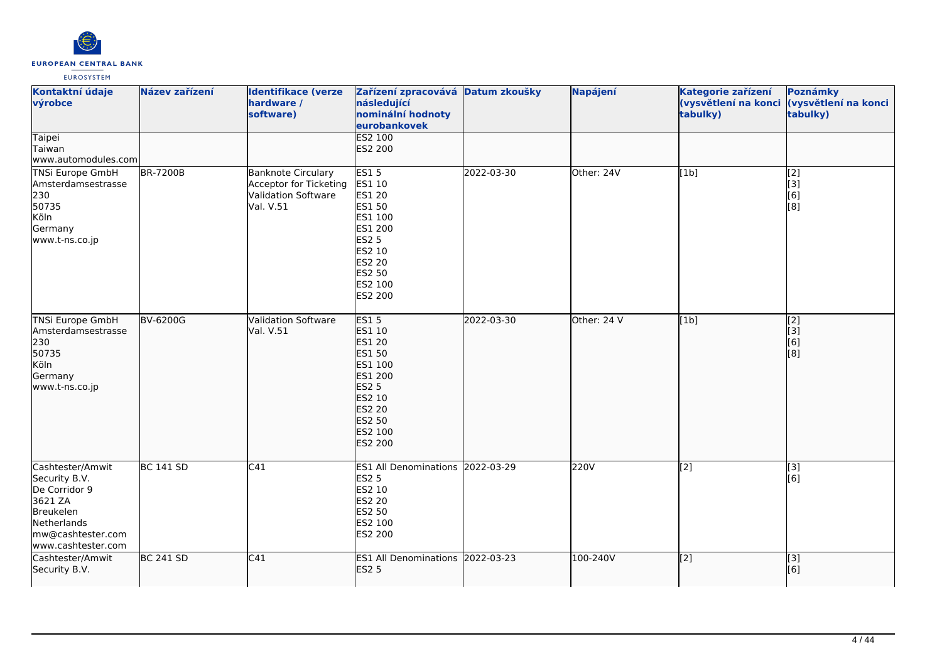

| Kontaktní údaje<br>výrobce                                                                                                           | Název zařízení   | <b>Identifikace (verze</b><br>hardware /<br>software)                                          | Zařízení zpracovává Datum zkoušky<br>následující<br>nominální hodnoty<br>eurobankovek                                                      |            | Napájení    | Kategorie zařízení<br>tabulky) | Poznámky<br>(vysvětlení na konci (vysvětlení na konci<br>tabulky)           |
|--------------------------------------------------------------------------------------------------------------------------------------|------------------|------------------------------------------------------------------------------------------------|--------------------------------------------------------------------------------------------------------------------------------------------|------------|-------------|--------------------------------|-----------------------------------------------------------------------------|
| Taipei<br>Taiwan<br>www.automodules.com                                                                                              |                  |                                                                                                | ES2 100<br>ES2 200                                                                                                                         |            |             |                                |                                                                             |
| <b>TNSi Europe GmbH</b><br>Amsterdamsestrasse<br>230<br>50735<br>Köln<br>Germany<br>www.t-ns.co.jp                                   | <b>BR-7200B</b>  | <b>Banknote Circulary</b><br>Acceptor for Ticketing<br><b>Validation Software</b><br>Val. V.51 | <b>ES15</b><br>ES1 10<br>ES1 20<br>ES1 50<br>ES1 100<br>ES1 200<br><b>ES2 5</b><br>ES2 10<br><b>ES2 20</b><br>ES2 50<br>ES2 100<br>ES2 200 | 2022-03-30 | Other: 24V  | [1b]                           | $\begin{bmatrix} 2 \\ 3 \end{bmatrix}$<br>[6]<br>[8]                        |
| <b>TNSi Europe GmbH</b><br>Amsterdamsestrasse<br>230<br>50735<br>Köln<br>Germany<br>www.t-ns.co.jp                                   | <b>BV-6200G</b>  | <b>Validation Software</b><br>Val. V.51                                                        | ES15<br>ES1 10<br>ES1 20<br>ES1 50<br>ES1 100<br>ES1 200<br><b>ES2 5</b><br>ES2 10<br><b>ES2 20</b><br>ES2 50<br>ES2 100<br>ES2 200        | 2022-03-30 | Other: 24 V | [1b]                           | $\overline{[2]}$<br>$\begin{bmatrix} 1 & 3 \\ 6 & 1 \\ 1 & 6 \end{bmatrix}$ |
| Cashtester/Amwit<br>Security B.V.<br>De Corridor 9<br>3621 ZA<br>Breukelen<br>Netherlands<br>mw@cashtester.com<br>www.cashtester.com | <b>BC 141 SD</b> | C41                                                                                            | ES1 All Denominations 2022-03-29<br><b>ES2 5</b><br>ES2 10<br><b>ES2 20</b><br>ES2 50<br>ES2 100<br>ES2 200                                |            | 220V        | $\overline{[2]}$               | $\overline{[}3]$<br>[6]                                                     |
| <b>l</b> Cashtester/Amwit<br>Security B.V.                                                                                           | <b>BC 241 SD</b> | C41                                                                                            | ES1 All Denominations 2022-03-23<br><b>ES2 5</b>                                                                                           |            | 100-240V    | $\overline{[2]}$               | $\overline{[}3]$<br>[6]                                                     |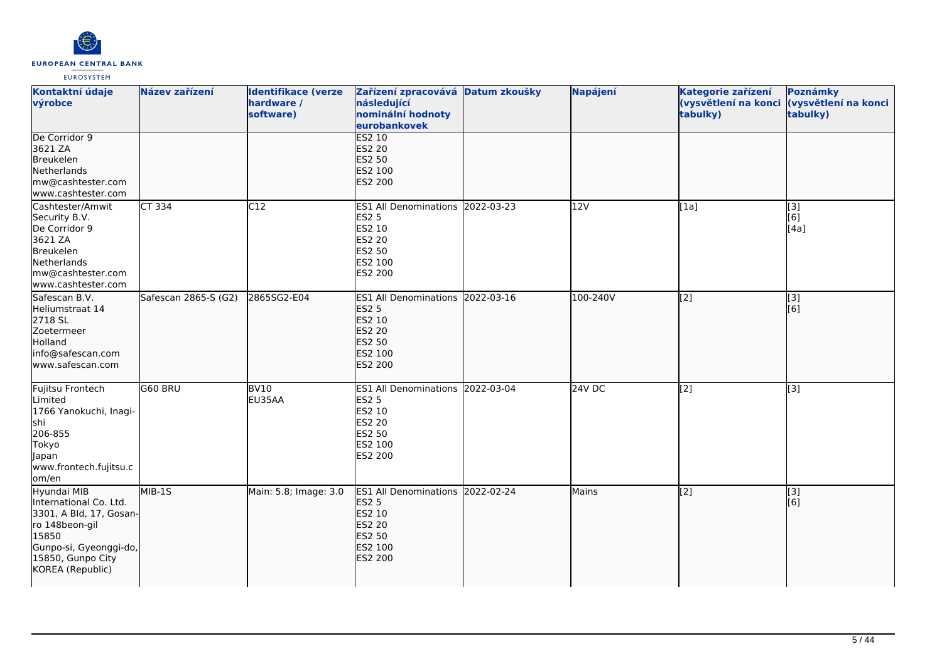

| Kontaktní údaje<br>výrobce                                                                                                                                     | Název zařízení       | <b>Identifikace (verze</b><br>hardware /<br>software) | Zařízení zpracovává Datum zkoušky<br>následující<br>nominální hodnoty<br>eurobankovek                                     | Napájení | Kategorie zařízení<br>(vysvětlení na konci<br>tabulky) | Poznámky<br>(vysvětlení na konci<br>tabulky) |
|----------------------------------------------------------------------------------------------------------------------------------------------------------------|----------------------|-------------------------------------------------------|---------------------------------------------------------------------------------------------------------------------------|----------|--------------------------------------------------------|----------------------------------------------|
| De Corridor 9<br>3621 ZA<br>Breukelen<br>Netherlands<br>mw@cashtester.com<br>www.cashtester.com                                                                |                      |                                                       | <b>ES2 10</b><br><b>ES2 20</b><br>ES2 50<br>ES2 100<br>ES2 200                                                            |          |                                                        |                                              |
| Cashtester/Amwit<br>Security B.V.<br>De Corridor 9<br>3621 ZA<br>Breukelen<br>Netherlands<br>mw@cashtester.com<br>www.cashtester.com                           | CT 334               | C12                                                   | ES1 All Denominations 2022-03-23<br><b>ES2 5</b><br>ES2 10<br><b>ES2 20</b><br><b>ES2 50</b><br>ES2 100<br>ES2 200        | 12V      | [1a]                                                   | [3]<br>[6]<br>[4a]                           |
| Safescan B.V.<br>Heliumstraat 14<br>2718 SL<br>Zoetermeer<br>Holland<br>info@safescan.com<br>www.safescan.com                                                  | Safescan 2865-S (G2) | 2865SG2-E04                                           | ES1 All Denominations 2022-03-16<br><b>ES2 5</b><br>ES2 10<br><b>ES2 20</b><br>ES2 50<br>ES2 100<br>ES2 200               | 100-240V | [2]                                                    | [3]<br>[6]                                   |
| Fujitsu Frontech<br>Limited<br>1766 Yanokuchi, Inagi-<br>shi<br>206-855<br>Tokyo<br>Japan<br>www.frontech.fujitsu.c<br>om/en                                   | G60 BRU              | <b>BV10</b><br>EU35AA                                 | ES1 All Denominations 2022-03-04<br><b>ES2 5</b><br>ES2 10<br><b>ES2 20</b><br>ES2 50<br>ES2 100<br>ES2 200               | 24V DC   | [2]                                                    | [3]                                          |
| Hyundai MIB<br>International Co. Ltd.<br>3301, A Bld, 17, Gosan-<br>ro 148beon-gil<br>15850<br>Gunpo-si, Gyeonggi-do,<br>15850, Gunpo City<br>KOREA (Republic) | MIB-1S               | Main: 5.8; Image: 3.0                                 | ES1 All Denominations 2022-02-24<br><b>ES2 5</b><br>ES2 10<br><b>ES2 20</b><br><b>ES2 50</b><br>ES2 100<br><b>ES2 200</b> | Mains    | [2]                                                    | [3]<br>[6]                                   |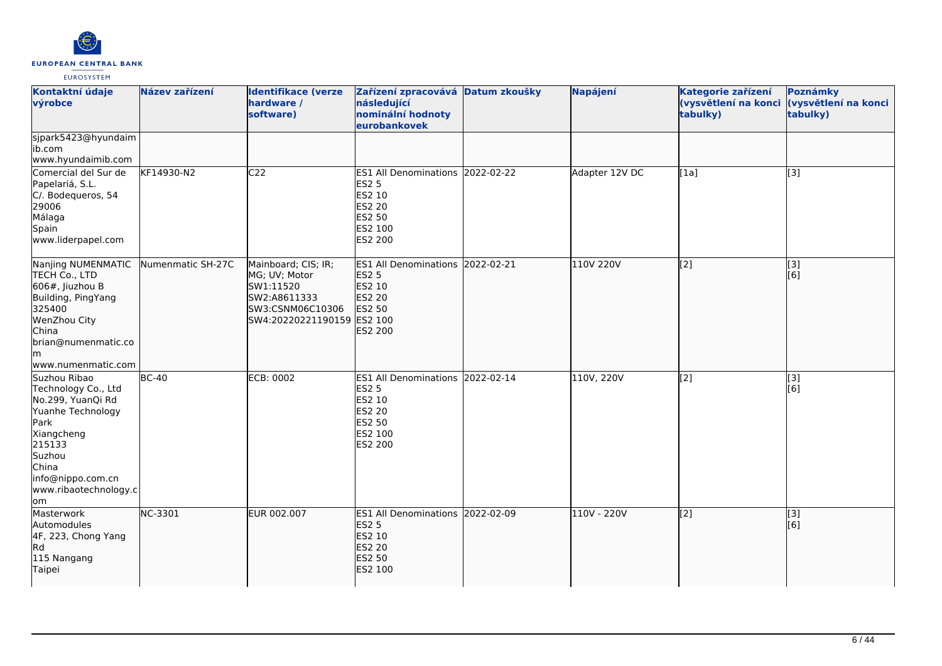

| Kontaktní údaje<br>výrobce                                                                                                                                                                   | Název zařízení    | <b>Identifikace (verze</b><br>hardware /<br>software)                                                               | Zařízení zpracovává Datum zkoušky<br>následující<br>nominální hodnoty<br>eurobankovek                   | Napájení       | Kategorie zařízení<br>(vysvětlení na konci<br>tabulky) | Poznámky<br>(vysvětlení na konci<br>tabulky) |
|----------------------------------------------------------------------------------------------------------------------------------------------------------------------------------------------|-------------------|---------------------------------------------------------------------------------------------------------------------|---------------------------------------------------------------------------------------------------------|----------------|--------------------------------------------------------|----------------------------------------------|
| sjpark5423@hyundaim<br>ib.com<br>www.hyundaimib.com                                                                                                                                          |                   |                                                                                                                     |                                                                                                         |                |                                                        |                                              |
| Comercial del Sur de<br>Papelariá, S.L.<br>C/. Bodequeros, 54<br>29006<br>Málaga<br>Spain<br>www.liderpapel.com                                                                              | KF14930-N2        | C <sub>22</sub>                                                                                                     | ES1 All Denominations 2022-02-22<br><b>ES2 5</b><br>ES2 10<br>ES2 20<br>ES2 50<br>ES2 100<br>ES2 200    | Adapter 12V DC | [1a]                                                   | $\overline{[3]}$                             |
| Nanjing NUMENMATIC<br>TECH Co., LTD<br>$606#$ , Jiuzhou B<br>Building, PingYang<br>325400<br>WenZhou City<br>China<br>brian@numenmatic.co<br>lm.<br>www.numenmatic.com                       | Numenmatic SH-27C | Mainboard; CIS; IR;<br>MG; UV; Motor<br>SW1:11520<br>SW2:A8611333<br>SW3:CSNM06C10306<br>SW4:20220221190159 ES2 100 | ES1 All Denominations 2022-02-21<br><b>ES2 5</b><br>ES2 10<br><b>ES2 20</b><br>ES2 50<br><b>ES2 200</b> | 110V 220V      | $\overline{[2]}$                                       | $\overline{[}3]$<br>[6]                      |
| Suzhou Ribao<br>Technology Co., Ltd<br>No.299, YuanQi Rd<br>Yuanhe Technology<br><b>Park</b><br>Xiangcheng<br>215133<br>Suzhou<br>China<br>info@nippo.com.cn<br>www.ribaotechnology.c<br>lom | $BC-40$           | <b>ECB: 0002</b>                                                                                                    | ES1 All Denominations 2022-02-14<br><b>ES2 5</b><br>ES2 10<br>ES2 20<br>ES2 50<br>ES2 100<br>ES2 200    | 110V, 220V     | [2]                                                    | [3]<br>[6]                                   |
| Masterwork<br>Automodules<br>4F, 223, Chong Yang<br>Rd<br>115 Nangang<br>Taipei                                                                                                              | <b>NC-3301</b>    | EUR 002.007                                                                                                         | ES1 All Denominations 2022-02-09<br><b>ES2 5</b><br><b>ES2 10</b><br><b>ES2 20</b><br>ES2 50<br>ES2 100 | 110V - 220V    | [2]                                                    | $\overline{[}3]$<br>[6]                      |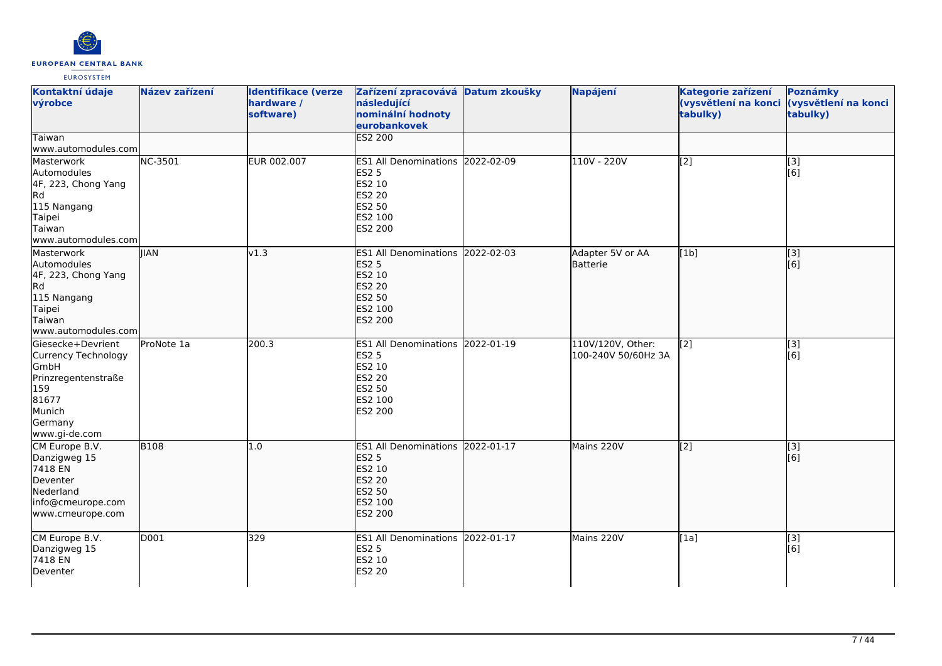

| Kontaktní údaje<br>výrobce                                                                                                           | Název zařízení | <b>Identifikace (verze</b><br>hardware /<br>software) | Zařízení zpracovává Datum zkoušky<br>následující<br>nominální hodnoty<br>eurobankovek                              | Napájení                                 | Kategorie zařízení<br>(vysvětlení na konci (vysvětlení na konci<br>tabulky) | Poznámky<br>tabulky)    |
|--------------------------------------------------------------------------------------------------------------------------------------|----------------|-------------------------------------------------------|--------------------------------------------------------------------------------------------------------------------|------------------------------------------|-----------------------------------------------------------------------------|-------------------------|
| Taiwan<br>www.automodules.com                                                                                                        |                |                                                       | ES2 200                                                                                                            |                                          |                                                                             |                         |
| Masterwork<br>Automodules<br>4F, 223, Chong Yang<br>Rd<br>115 Nangang<br>Taipei<br>Taiwan<br>www.automodules.com                     | <b>NC-3501</b> | EUR 002.007                                           | ES1 All Denominations 2022-02-09<br><b>ES2 5</b><br>ES2 10<br>ES2 20<br><b>ES2 50</b><br>ES2 100<br>ES2 200        | 110V - 220V                              | $\overline{[2]}$                                                            | $\overline{[3]}$<br>[6] |
| Masterwork<br>Automodules<br>4F, 223, Chong Yang<br><b>Rd</b><br>115 Nangang<br>Taipei<br>Taiwan<br>www.automodules.com              | <b>IIAN</b>    | v1.3                                                  | ES1 All Denominations 2022-02-03<br><b>ES2 5</b><br>ES2 10<br><b>ES2 20</b><br>ES2 50<br>ES2 100<br>ES2 200        | Adapter 5V or AA<br>Batterie             | [1b]                                                                        | $\overline{[3]}$<br>[6] |
| Giesecke+Devrient<br>Currency Technology<br><b>GmbH</b><br>Prinzregentenstraße<br>159<br>81677<br>Munich<br>Germany<br>www.gi-de.com | ProNote 1a     | 200.3                                                 | ES1 All Denominations 2022-01-19<br><b>ES2 5</b><br>ES2 10<br><b>ES2 20</b><br>ES2 50<br>ES2 100<br>ES2 200        | 110V/120V, Other:<br>100-240V 50/60Hz 3A | $\overline{[2]}$                                                            | [3]<br>[6]              |
| CM Europe B.V.<br>Danzigweg 15<br>7418 EN<br>Deventer<br>Nederland<br>info@cmeurope.com<br>www.cmeurope.com                          | <b>B108</b>    | 1.0                                                   | ES1 All Denominations 2022-01-17<br><b>ES2 5</b><br>ES2 10<br><b>ES2 20</b><br>ES2 50<br>ES2 100<br><b>ES2 200</b> | Mains 220V                               | $\overline{[2]}$                                                            | $\sqrt{3}$<br>[6]       |
| CM Europe B.V.<br>Danzigweg 15<br>7418 EN<br>Deventer                                                                                | D001           | 329                                                   | ES1 All Denominations 2022-01-17<br><b>ES2 5</b><br>ES2 10<br>ES2 20                                               | Mains 220V                               | [1a]                                                                        | [3]<br>[6]              |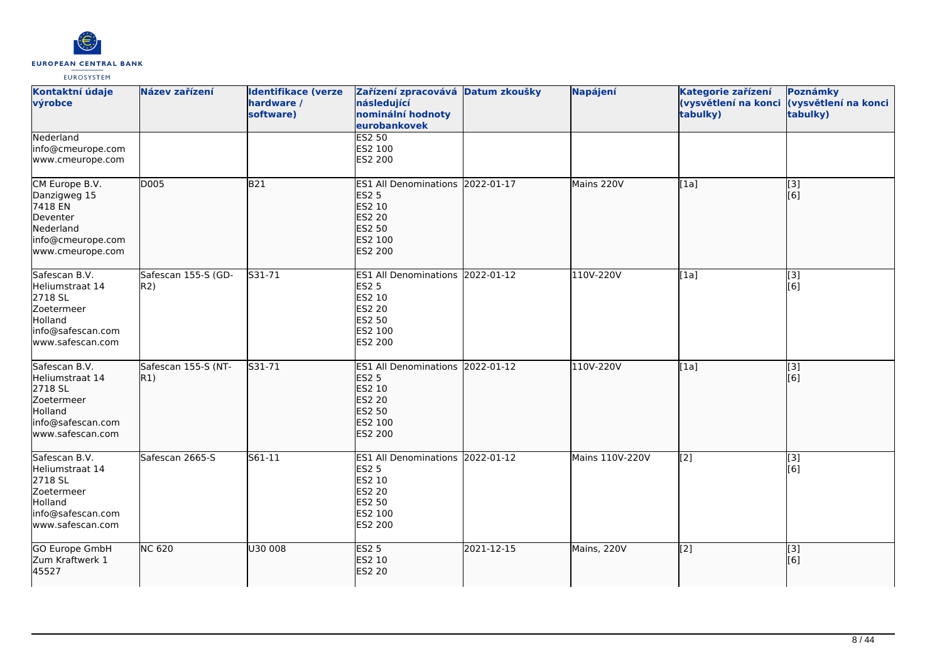

| Kontaktní údaje<br>výrobce                                                                                           | Název zařízení             | <b>Identifikace (verze</b><br>hardware /<br>software) | Zařízení zpracovává Datum zkoušky<br>následující<br>nominální hodnoty<br>eurobankovek                              |            | Napájení        | Kategorie zařízení<br>tabulky) | Poznámky<br>(vysvětlení na konci (vysvětlení na konci<br>tabulky) |
|----------------------------------------------------------------------------------------------------------------------|----------------------------|-------------------------------------------------------|--------------------------------------------------------------------------------------------------------------------|------------|-----------------|--------------------------------|-------------------------------------------------------------------|
| Nederland<br>info@cmeurope.com<br>www.cmeurope.com                                                                   |                            |                                                       | <b>ES2 50</b><br>ES2 100<br>ES2 200                                                                                |            |                 |                                |                                                                   |
| CM Europe B.V.<br>Danzigweg 15<br>7418 EN<br>Deventer<br>Nederland<br>info@cmeurope.com<br>www.cmeurope.com          | D005                       | B21                                                   | ES1 All Denominations 2022-01-17<br><b>ES2 5</b><br>ES2 10<br>ES2 20<br>ES2 50<br>ES2 100<br><b>ES2 200</b>        |            | Mains 220V      | [1a]                           | [3]<br>[6]                                                        |
| Safescan B.V.<br>Heliumstraat 14<br>2718 SL<br><b>Zoetermeer</b><br>Holland<br>info@safescan.com<br>www.safescan.com | Safescan 155-S (GD-<br>R2) | S31-71                                                | ES1 All Denominations 2022-01-12<br><b>ES2 5</b><br>ES2 10<br><b>ES2 20</b><br><b>ES2 50</b><br>ES2 100<br>ES2 200 |            | 110V-220V       | [1a]                           | [3]<br>[6]                                                        |
| Safescan B.V.<br>Heliumstraat 14<br>2718 SL<br>Zoetermeer<br>Holland<br>info@safescan.com<br>www.safescan.com        | Safescan 155-S (NT-<br>R1) | S31-71                                                | ES1 All Denominations 2022-01-12<br><b>ES2 5</b><br>ES2 10<br><b>ES2 20</b><br><b>ES2 50</b><br>ES2 100<br>ES2 200 |            | 110V-220V       | $\overline{[1a]}$              | $\overline{[}3]$<br>[6]                                           |
| Safescan B.V.<br>Heliumstraat 14<br>2718 SL<br>Zoetermeer<br>Holland<br>info@safescan.com<br>www.safescan.com        | Safescan 2665-S            | S61-11                                                | ES1 All Denominations 2022-01-12<br><b>ES2 5</b><br>ES2 10<br><b>ES2 20</b><br>ES2 50<br>ES2 100<br>ES2 200        |            | Mains 110V-220V | [2]                            | [3]<br>[6]                                                        |
| GO Europe GmbH<br>Zum Kraftwerk 1<br>45527                                                                           | <b>NC 620</b>              | U30 008                                               | <b>ES2 5</b><br>ES2 10<br><b>ES2 20</b>                                                                            | 2021-12-15 | Mains, 220V     | [2]                            | [3]<br>[6]                                                        |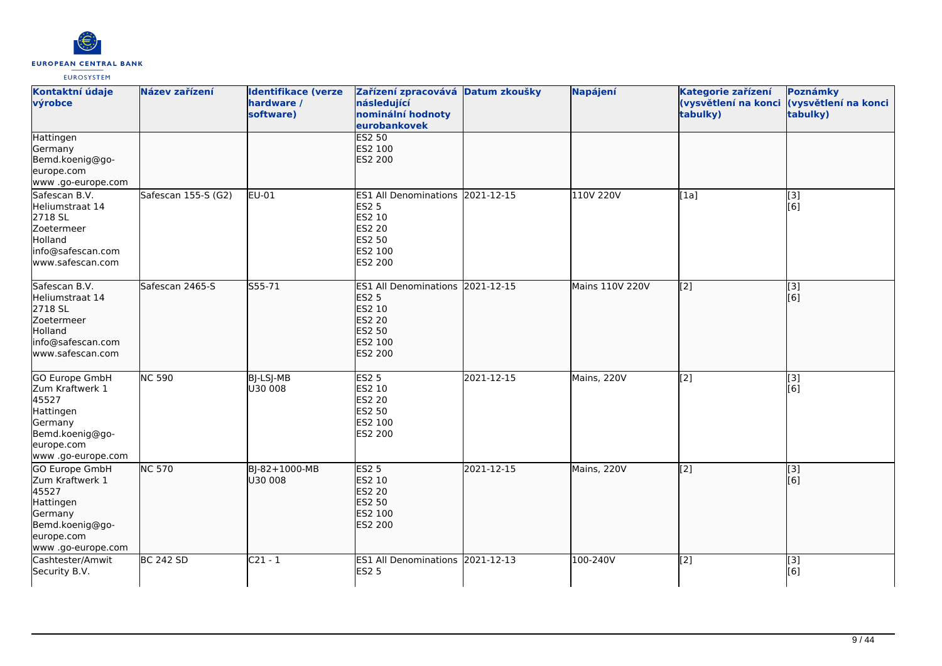

| Kontaktní údaje<br>výrobce                                                                                                      | Název zařízení      | <b>Identifikace (verze</b><br>hardware /<br>software) | Zařízení zpracovává Datum zkoušky<br>následující<br>nominální hodnoty<br>eurobankovek                              |            | Napájení        | Kategorie zařízení<br>tabulky) | Poznámky<br>(vysvětlení na konci (vysvětlení na konci<br>tabulky) |
|---------------------------------------------------------------------------------------------------------------------------------|---------------------|-------------------------------------------------------|--------------------------------------------------------------------------------------------------------------------|------------|-----------------|--------------------------------|-------------------------------------------------------------------|
| Hattingen<br>Germany<br>Bemd.koenig@go-<br>europe.com<br>www.go-europe.com                                                      |                     |                                                       | <b>ES2 50</b><br>ES2 100<br>ES2 200                                                                                |            |                 |                                |                                                                   |
| Safescan B.V.<br>Heliumstraat 14<br>2718 SL<br>Zoetermeer<br>Holland<br>info@safescan.com<br>www.safescan.com                   | Safescan 155-S (G2) | EU-01                                                 | ES1 All Denominations 2021-12-15<br><b>ES2 5</b><br>ES2 10<br><b>ES2 20</b><br>ES2 50<br>ES2 100<br>ES2 200        |            | 110V 220V       | [1a]                           | [3]<br>[6]                                                        |
| Safescan B.V.<br>Heliumstraat 14<br>2718 SL<br>Zoetermeer<br>Holland<br>info@safescan.com<br>lwww.safescan.com                  | Safescan 2465-S     | $555 - 71$                                            | ES1 All Denominations 2021-12-15<br><b>ES2 5</b><br>ES2 10<br><b>ES2 20</b><br>ES2 50<br>ES2 100<br><b>ES2 200</b> |            | Mains 110V 220V | $\overline{[2]}$               | $\overline{[}3]$<br>[6]                                           |
| <b>GO Europe GmbH</b><br>Zum Kraftwerk 1<br>45527<br>Hattingen<br>Germany<br>Bemd.koenig@go-<br>europe.com<br>www.go-europe.com | <b>NC 590</b>       | BJ-LSJ-MB<br>U30 008                                  | <b>ES2 5</b><br>ES2 10<br>ES2 20<br>ES2 50<br>ES2 100<br>ES2 200                                                   | 2021-12-15 | Mains, 220V     | $\overline{[2]}$               | [3]<br>[6]                                                        |
| GO Europe GmbH<br>Zum Kraftwerk 1<br>45527<br>Hattingen<br>Germany<br>Bemd.koenig@go-<br>europe.com<br>www .go-europe.com       | <b>NC 570</b>       | BJ-82+1000-MB<br>U30 008                              | <b>ES2 5</b><br>ES2 10<br><b>ES2 20</b><br><b>ES2 50</b><br>ES2 100<br><b>ES2 200</b>                              | 2021-12-15 | Mains, 220V     | [2]                            | [3]<br>[6]                                                        |
| Cashtester/Amwit<br>Security B.V.                                                                                               | <b>BC 242 SD</b>    | $C21 - 1$                                             | ES1 All Denominations 2021-12-13<br><b>ES2 5</b>                                                                   |            | 100-240V        | [2]                            | [3]<br>[6]                                                        |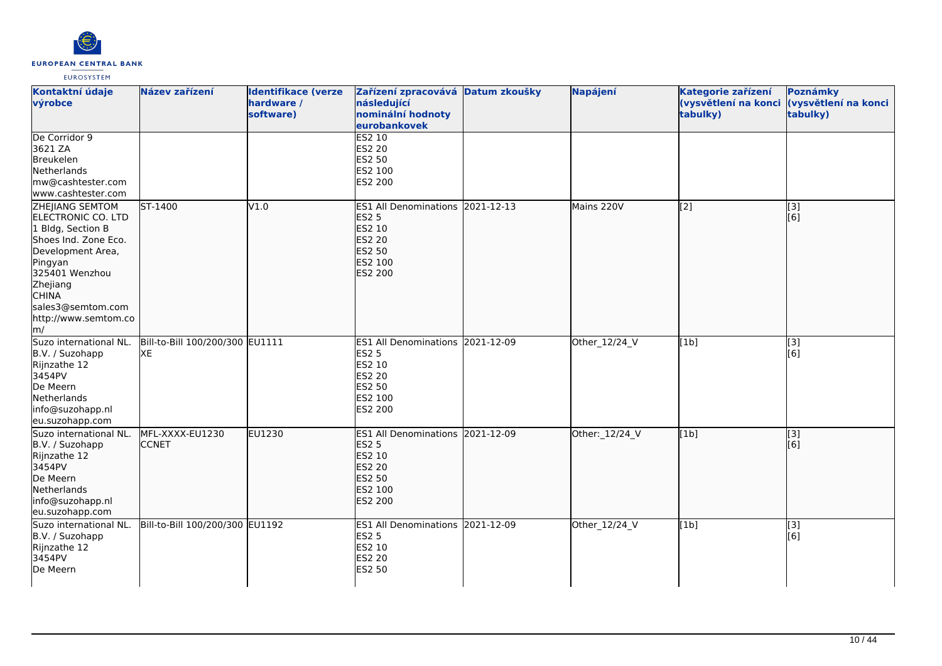

| Kontaktní údaje<br>výrobce                                                                                                                                                                                                 | Název zařízení                        | <b>Identifikace (verze</b><br>hardware /<br>software) | Zařízení zpracovává Datum zkoušky<br>následující<br>nominální hodnoty<br>eurobankovek                                     | Napájení       | Kategorie zařízení<br>(vysvětlení na konci<br>tabulky) | Poznámky<br>(vysvětlení na konci<br>tabulky) |
|----------------------------------------------------------------------------------------------------------------------------------------------------------------------------------------------------------------------------|---------------------------------------|-------------------------------------------------------|---------------------------------------------------------------------------------------------------------------------------|----------------|--------------------------------------------------------|----------------------------------------------|
| De Corridor 9<br>3621 ZA<br>Breukelen<br>Netherlands<br>mw@cashtester.com<br>www.cashtester.com                                                                                                                            |                                       |                                                       | <b>ES2 10</b><br>ES2 20<br>ES2 50<br>ES2 100<br>ES2 200                                                                   |                |                                                        |                                              |
| <b>ZHEJIANG SEMTOM</b><br>ELECTRONIC CO. LTD<br>1 Bldg, Section B<br>Shoes Ind. Zone Eco.<br>Development Area,<br>Pingyan<br>325401 Wenzhou<br>Zhejiang<br><b>CHINA</b><br>sales3@semtom.com<br>http://www.semtom.co<br>m/ | ST-1400                               | V1.0                                                  | ES1 All Denominations 2021-12-13<br><b>ES2 5</b><br>ES2 10<br><b>ES2 20</b><br>ES2 50<br>ES2 100<br><b>ES2 200</b>        | Mains 220V     | [[2]                                                   | [3]<br>[6]                                   |
| Suzo international NL.<br>B.V. / Suzohapp<br>Rijnzathe 12<br>3454PV<br>De Meern<br>Netherlands<br>info@suzohapp.nl<br>eu.suzohapp.com                                                                                      | Bill-to-Bill 100/200/300 EU1111<br>XE |                                                       | ES1 All Denominations 2021-12-09<br><b>ES2 5</b><br>ES2 10<br><b>ES2 20</b><br>ES2 50<br>ES2 100<br>ES2 200               | Other_12/24_V  | [1b]                                                   | [3]<br>[[6]                                  |
| Suzo international NL.<br>B.V. / Suzohapp<br>Rijnzathe 12<br>3454PV<br>De Meern<br>Netherlands<br>info@suzohapp.nl<br>eu.suzohapp.com                                                                                      | MFL-XXXX-EU1230<br><b>CCNET</b>       | <b>EU1230</b>                                         | ES1 All Denominations 2021-12-09<br><b>ES2 5</b><br>ES2 10<br><b>ES2 20</b><br><b>ES2 50</b><br>ES2 100<br><b>ES2 200</b> | Other: 12/24_V | [1b]                                                   | [3]<br>[6]                                   |
| Suzo international NL.<br>B.V. / Suzohapp<br>Rijnzathe 12<br>3454PV<br>De Meern                                                                                                                                            | Bill-to-Bill 100/200/300 EU1192       |                                                       | ES1 All Denominations 2021-12-09<br><b>ES2 5</b><br>ES2 10<br>ES2 20<br><b>ES2 50</b>                                     | Other_12/24_V  | [1b]                                                   | [3]<br>[6]                                   |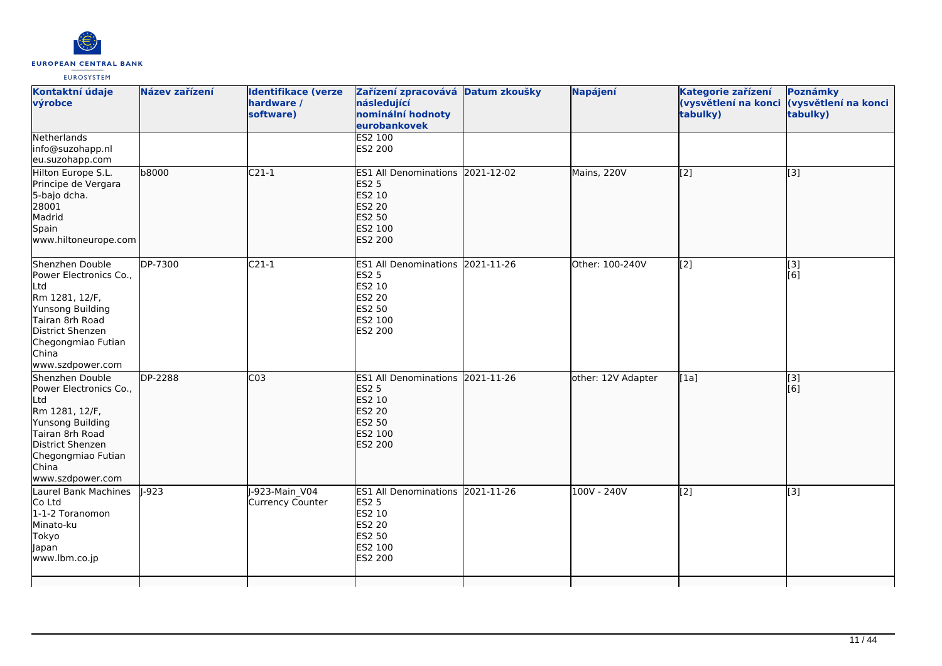

| Kontaktní údaje<br>výrobce                                                                                                                                                       | Název zařízení | <b>Identifikace (verze</b><br>hardware /<br>software) | Zařízení zpracovává Datum zkoušky<br>následující<br>nominální hodnoty<br>eurobankovek                              | Napájení           | Kategorie zařízení<br>(vysvětlení na konci<br>tabulky) | Poznámky<br>(vysvětlení na konci<br>tabulky) |
|----------------------------------------------------------------------------------------------------------------------------------------------------------------------------------|----------------|-------------------------------------------------------|--------------------------------------------------------------------------------------------------------------------|--------------------|--------------------------------------------------------|----------------------------------------------|
| Netherlands<br>info@suzohapp.nl<br>eu.suzohapp.com                                                                                                                               |                |                                                       | <b>ES2 100</b><br>ES2 200                                                                                          |                    |                                                        |                                              |
| Hilton Europe S.L.<br>Principe de Vergara<br>5-bajo dcha.<br>28001<br>Madrid<br>Spain<br>www.hiltoneurope.com                                                                    | b8000          | $C21-1$                                               | ES1 All Denominations 2021-12-02<br><b>ES2 5</b><br>ES2 10<br><b>ES2 20</b><br><b>ES2 50</b><br>ES2 100<br>ES2 200 | Mains, 220V        | $\overline{[2]}$                                       | $\overline{[}3]$                             |
| Shenzhen Double<br>Power Electronics Co.,<br>Ltd<br>Rm 1281, 12/F,<br>Yunsong Building<br>Tairan 8rh Road<br>District Shenzen<br>Chegongmiao Futian<br>China<br>www.szdpower.com | DP-7300        | $C21-1$                                               | ES1 All Denominations 2021-11-26<br><b>ES2 5</b><br>ES2 10<br>ES2 20<br>ES2 50<br>ES2 100<br>ES2 200               | Other: 100-240V    | $\overline{[2]}$                                       | $\overline{[}3]$<br>[6]                      |
| Shenzhen Double<br>Power Electronics Co.,<br>Ltd<br>Rm 1281, 12/F,<br>Yunsong Building<br>Tairan 8rh Road<br>District Shenzen<br>Chegongmiao Futian<br>China<br>www.szdpower.com | DP-2288        | CO <sub>3</sub>                                       | ES1 All Denominations 2021-11-26<br><b>ES2 5</b><br>ES2 10<br><b>ES2 20</b><br>ES2 50<br>ES2 100<br>ES2 200        | other: 12V Adapter | [1a]                                                   | [3]<br>[6]                                   |
| Laurel Bank Machines<br>Co Ltd<br>1-1-2 Toranomon<br>Minato-ku<br>Tokyo<br>Japan<br>www.lbm.co.jp                                                                                | $-923$         | J-923-Main V04<br><b>Currency Counter</b>             | ES1 All Denominations 2021-11-26<br><b>ES2 5</b><br>ES2 10<br><b>ES2 20</b><br>ES2 50<br>ES2 100<br>ES2 200        | 100V - 240V        | $\overline{[2]}$                                       | $\overline{[3]}$                             |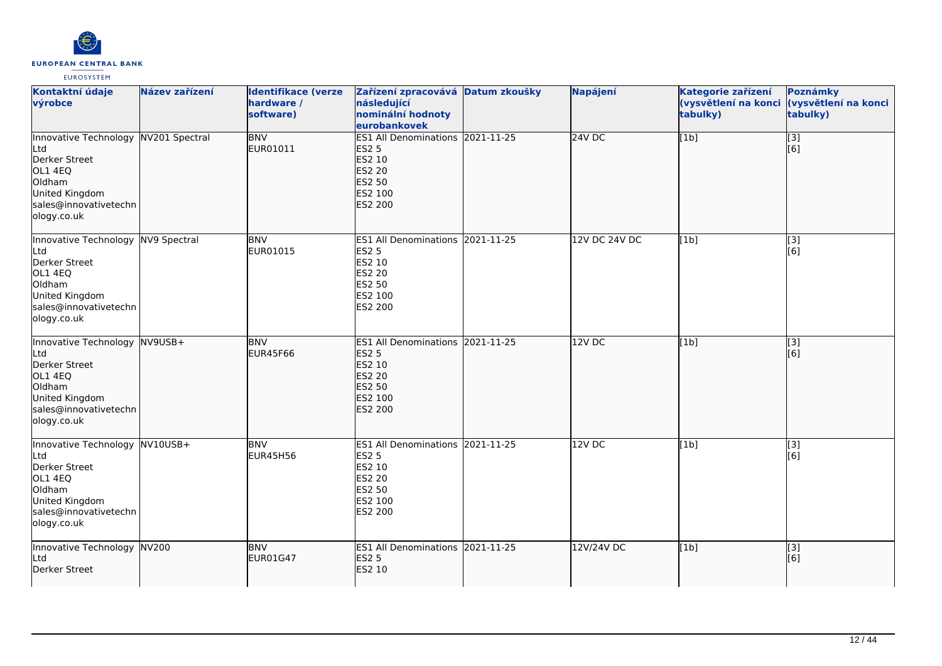

| Kontaktní údaje<br>výrobce                                                                                                                  | Název zařízení | <b>Identifikace (verze</b><br>hardware /<br>software) | Zařízení zpracovává Datum zkoušky<br>následující<br>nominální hodnoty<br>eurobankovek                       | <b>Napájení</b> | Kategorie zařízení<br>(vysvětlení na konci<br>tabulky) | Poznámky<br>(vysvětlení na konci<br>tabulky) |
|---------------------------------------------------------------------------------------------------------------------------------------------|----------------|-------------------------------------------------------|-------------------------------------------------------------------------------------------------------------|-----------------|--------------------------------------------------------|----------------------------------------------|
| Innovative Technology NV201 Spectral<br>Ltd<br>Derker Street<br>OL1 4EQ<br>Oldham<br>United Kingdom<br>sales@innovativetechn<br>ology.co.uk |                | <b>BNV</b><br>EUR01011                                | ES1 All Denominations 2021-11-25<br><b>ES2 5</b><br>ES2 10<br>ES2 20<br>ES2 50<br>ES2 100<br><b>ES2 200</b> | 24VDC           | [1b]                                                   | $\overline{[}3]$<br>[6]                      |
| Innovative Technology NV9 Spectral<br>Ltd<br>Derker Street<br>OL1 4EQ<br>Oldham<br>United Kingdom<br>sales@innovativetechn<br>ology.co.uk   |                | <b>BNV</b><br>EUR01015                                | ES1 All Denominations 2021-11-25<br><b>ES2 5</b><br>ES2 10<br><b>ES2 20</b><br>ES2 50<br>ES2 100<br>ES2 200 | 12V DC 24V DC   | [1b]                                                   | $\overline{[3]}$<br>[6]                      |
| Innovative Technology NV9USB+<br>Ltd<br>Derker Street<br>OL1 4EQ<br>Oldham<br>United Kingdom<br>sales@innovativetechn<br>ology.co.uk        |                | <b>BNV</b><br><b>EUR45F66</b>                         | ES1 All Denominations 2021-11-25<br><b>ES2 5</b><br>ES2 10<br>ES2 20<br>ES2 50<br>ES2 100<br>ES2 200        | 12V DC          | [1b]                                                   | [3]<br>[6]                                   |
| Innovative Technology NV10USB+<br>Ltd<br>Derker Street<br>OL1 4EQ<br>Oldham<br>United Kingdom<br>sales@innovativetechn<br>ology.co.uk       |                | <b>BNV</b><br><b>EUR45H56</b>                         | ES1 All Denominations 2021-11-25<br><b>ES2 5</b><br>ES2 10<br>ES2 20<br>ES2 50<br>ES2 100<br>ES2 200        | 12V DC          | [1b]                                                   | $\overline{[3]}$<br>[6]                      |
| Innovative Technology NV200<br>Ltd<br>Derker Street                                                                                         |                | <b>BNV</b><br><b>EUR01G47</b>                         | ES1 All Denominations 2021-11-25<br><b>ES2 5</b><br>ES2 10                                                  | 12V/24V DC      | [1b]                                                   | $\vert$ [3]<br>[6]                           |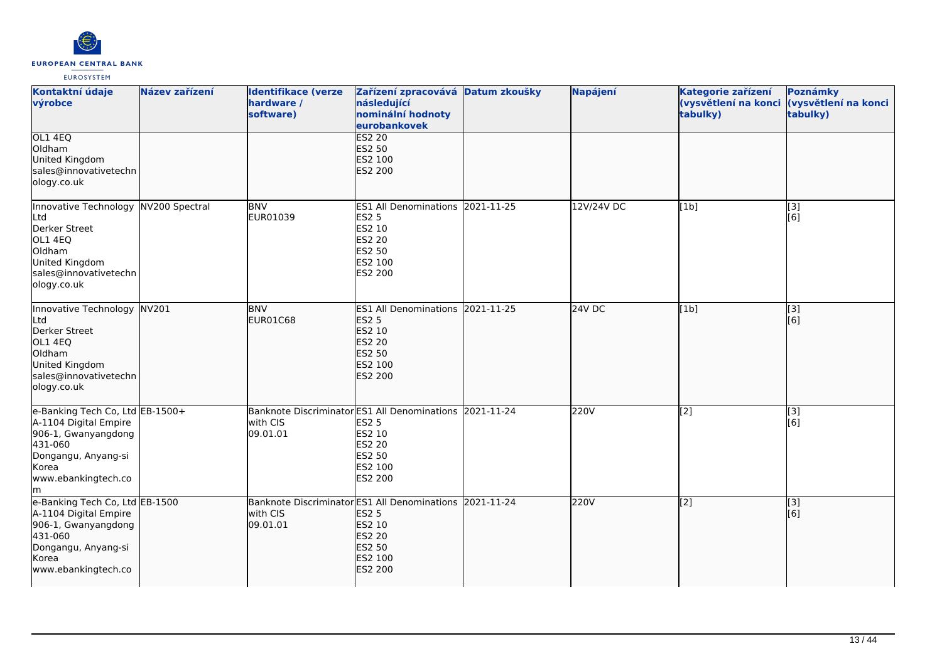

| Kontaktní údaje<br>výrobce                                                                                                                             | Název zařízení | <b>Identifikace (verze</b><br>hardware /<br>software)                           | Zařízení zpracovává Datum zkoušky<br>následující<br>nominální hodnoty<br>eurobankovek                          |            | Napájení   | Kategorie zařízení<br>(vysvětlení na konci<br>tabulky) | Poznámky<br>(vysvětlení na konci<br>tabulky) |
|--------------------------------------------------------------------------------------------------------------------------------------------------------|----------------|---------------------------------------------------------------------------------|----------------------------------------------------------------------------------------------------------------|------------|------------|--------------------------------------------------------|----------------------------------------------|
| OL1 4EQ<br>Oldham<br>United Kingdom<br>sales@innovativetechn<br>ology.co.uk                                                                            |                |                                                                                 | <b>ES2 20</b><br>ES2 50<br>ES2 100<br><b>ES2 200</b>                                                           |            |            |                                                        |                                              |
| Innovative Technology NV200 Spectral<br>Ltd<br>Derker Street<br>OL1 4EQ<br>Oldham<br>United Kingdom<br>sales@innovativetechn<br>ology.co.uk            |                | <b>BNV</b><br>EUR01039                                                          | ES1 All Denominations 2021-11-25<br><b>ES2 5</b><br>ES2 10<br><b>ES2 20</b><br>ES2 50<br>ES2 100<br>ES2 200    |            | 12V/24V DC | [1b]                                                   | [3]<br>[6]                                   |
| Innovative Technology<br>Ltd<br>Derker Street<br>OL1 4EQ<br>Oldham<br>United Kingdom<br>sales@innovativetechn<br>ology.co.uk                           | NV201          | <b>BNV</b><br>EUR01C68                                                          | <b>ES1 All Denominations</b><br><b>ES2 5</b><br>ES2 10<br><b>ES2 20</b><br><b>ES2 50</b><br>ES2 100<br>ES2 200 | 2021-11-25 | 24V DC     | [1b]                                                   | [3]<br>[6]                                   |
| e-Banking Tech Co, Ltd EB-1500+<br>A-1104 Digital Empire<br>906-1, Gwanyangdong<br>431-060<br>Dongangu, Anyang-si<br>Korea<br>www.ebankingtech.co<br>m |                | Banknote Discriminator ES1 All Denominations 2021-11-24<br>with CIS<br>09.01.01 | <b>ES2 5</b><br><b>ES2 10</b><br><b>ES2 20</b><br>ES2 50<br>ES2 100<br>ES2 200                                 |            | 220V       | [2]                                                    | [3]<br>[6]                                   |
| e-Banking Tech Co, Ltd EB-1500<br>A-1104 Digital Empire<br>906-1, Gwanyangdong<br>431-060<br>Dongangu, Anyang-si<br>Korea<br>www.ebankingtech.co       |                | Banknote Discriminator ES1 All Denominations<br>with CIS<br>09.01.01            | <b>ES2 5</b><br>ES2 10<br><b>ES2 20</b><br><b>ES2 50</b><br>ES2 100<br>ES2 200                                 | 2021-11-24 | 220V       | [2]                                                    | [3]<br>[6]                                   |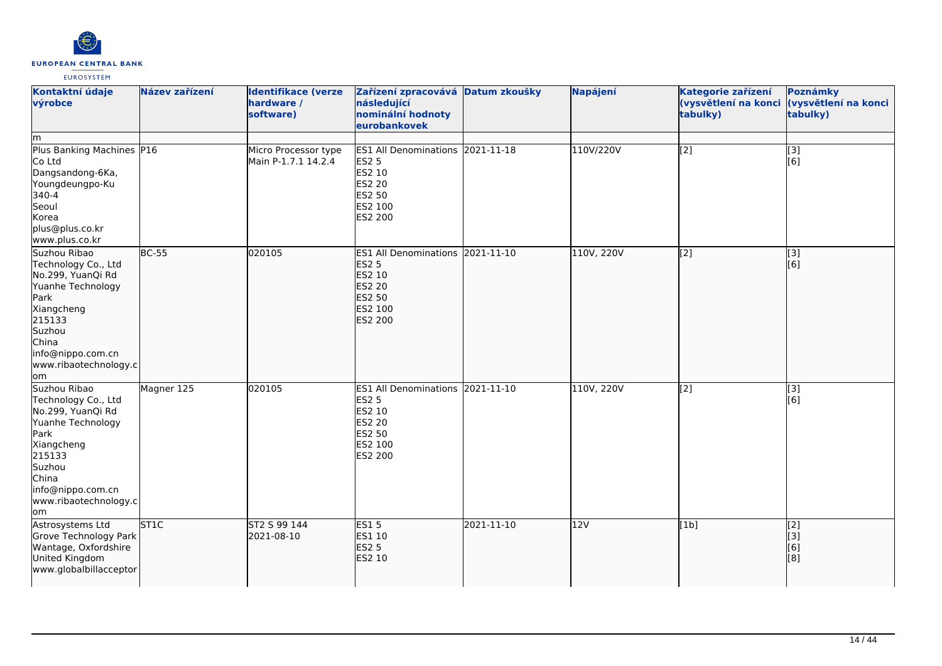

| Kontaktní údaje<br>výrobce<br>Im                                                                                                                                                      | Název zařízení           | <b>Identifikace (verze</b><br>hardware /<br>software) | Zařízení zpracovává Datum zkoušky<br>následující<br>nominální hodnoty<br>eurobankovek                              |            | Napájení   | Kategorie zařízení<br>(vysvětlení na konci<br>tabulky) | Poznámky<br>(vysvětlení na konci<br>tabulky) |
|---------------------------------------------------------------------------------------------------------------------------------------------------------------------------------------|--------------------------|-------------------------------------------------------|--------------------------------------------------------------------------------------------------------------------|------------|------------|--------------------------------------------------------|----------------------------------------------|
| Plus Banking Machines P16<br>Co Ltd<br>Dangsandong-6Ka,<br>Youngdeungpo-Ku<br>340-4<br>Seoul<br>Korea<br>plus@plus.co.kr<br>www.plus.co.kr                                            |                          | Micro Processor type<br>Main P-1.7.1 14.2.4           | ES1 All Denominations 2021-11-18<br><b>ES2 5</b><br>ES2 10<br><b>ES2 20</b><br>ES2 50<br>ES2 100<br>ES2 200        |            | 110V/220V  | [2]                                                    | $\overline{[3]}$<br>[6]                      |
| Suzhou Ribao<br>Technology Co., Ltd<br>No.299, YuanQi Rd<br>Yuanhe Technology<br>Park<br>Xiangcheng<br>215133<br>Suzhou<br>China<br>info@nippo.com.cn<br>www.ribaotechnology.c<br>lom | $BC-55$                  | 020105                                                | ES1 All Denominations 2021-11-10<br><b>ES2 5</b><br>ES2 10<br><b>ES2 20</b><br>ES2 50<br>ES2 100<br><b>ES2 200</b> |            | 110V, 220V | $\overline{[2]}$                                       | $\overline{[}3]$<br>[6]                      |
| Suzhou Ribao<br>Technology Co., Ltd<br>No.299, YuanQi Rd<br>Yuanhe Technology<br>Park<br>Xiangcheng<br>215133<br>Suzhou<br>China<br>info@nippo.com.cn<br>www.ribaotechnology.c<br>lom | Magner 125               | 020105                                                | <b>ES1 All Denominations</b><br><b>ES2 5</b><br>ES2 10<br><b>ES2 20</b><br>ES2 50<br>ES2 100<br>ES2 200            | 2021-11-10 | 110V, 220V | [2]                                                    | [3]<br>[6]                                   |
| Astrosystems Ltd<br>Grove Technology Park<br>Wantage, Oxfordshire<br>United Kingdom<br>www.globalbillacceptor                                                                         | $\overline{\text{ST1C}}$ | ST2 S 99 144<br>2021-08-10                            | <b>ES15</b><br>ES1 10<br><b>ES2 5</b><br>ES2 10                                                                    | 2021-11-10 | 12V        | [1b]                                                   | [2]<br>[3]<br>[6]<br>[3]                     |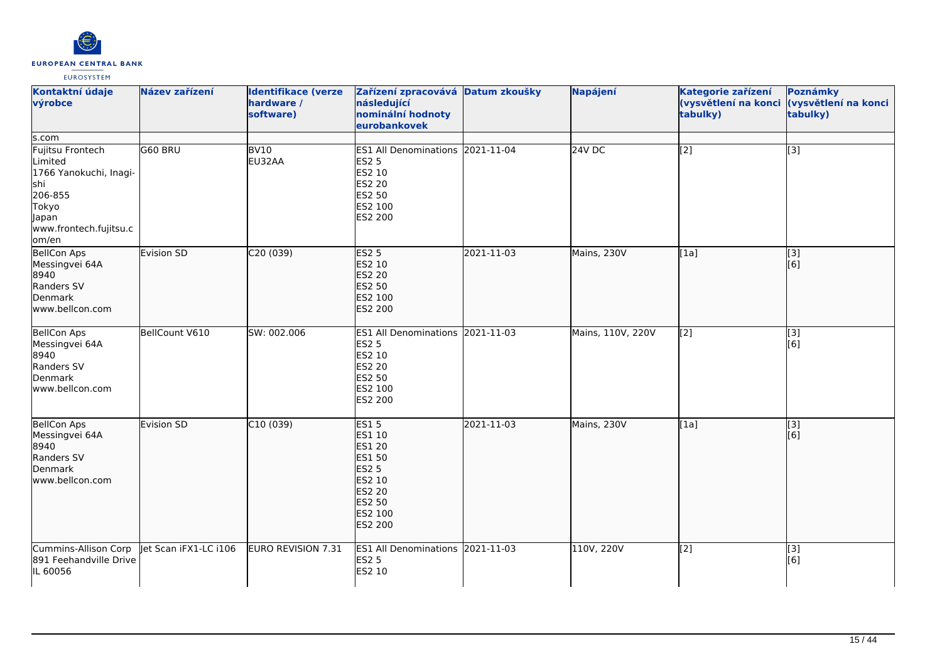

| Kontaktní údaje<br>výrobce                                                                                                            | Název zařízení        | <b>Identifikace (verze</b><br>hardware /<br>software) | Zařízení zpracovává Datum zkoušky<br>následující<br>nominální hodnoty<br>eurobankovek                                       |            | Napájení          | Kategorie zařízení<br>(vysvětlení na konci<br>tabulky) | Poznámky<br>(vysvětlení na konci<br>tabulky) |
|---------------------------------------------------------------------------------------------------------------------------------------|-----------------------|-------------------------------------------------------|-----------------------------------------------------------------------------------------------------------------------------|------------|-------------------|--------------------------------------------------------|----------------------------------------------|
| s.com<br>Fujitsu Frontech<br>Limited<br>1766 Yanokuchi, Inagi-<br>shi<br>206-855<br>Tokyo<br>Japan<br>www.frontech.fujitsu.c<br>om/en | G60 BRU               | BV <sub>10</sub><br>EU32AA                            | ES1 All Denominations 2021-11-04<br><b>ES2 5</b><br>ES2 10<br>ES2 20<br>ES2 50<br>ES2 100<br>ES2 200                        |            | 24V DC            | [2]                                                    | $\overline{[3]}$                             |
| <b>BellCon Aps</b><br>Messingvei 64A<br>8940<br>Randers SV<br>Denmark<br>www.bellcon.com                                              | Evision SD            | C20(039)                                              | ES2 <sub>5</sub><br>ES2 10<br>ES2 20<br><b>ES2 50</b><br>ES2 100<br>ES2 200                                                 | 2021-11-03 | Mains, 230V       | [1a]                                                   | $\overline{[}3]$<br>[6]                      |
| <b>BellCon Aps</b><br>Messingvei 64A<br>8940<br>Randers SV<br>Denmark<br>www.bellcon.com                                              | BellCount V610        | SW: 002.006                                           | ES1 All Denominations 2021-11-03<br><b>ES2 5</b><br>ES2 10<br>ES2 20<br>ES2 50<br>ES2 100<br>ES2 200                        |            | Mains, 110V, 220V | [2]                                                    | $\overline{[3]}$<br>[6]                      |
| <b>BellCon Aps</b><br>Messingvei 64A<br>8940<br>Randers SV<br>Denmark<br>www.bellcon.com                                              | Evision SD            | C10(039)                                              | <b>ES15</b><br><b>ES1 10</b><br><b>ES1 20</b><br>ES1 50<br><b>ES2 5</b><br>ES2 10<br>ES2 20<br>ES2 50<br>ES2 100<br>ES2 200 | 2021-11-03 | Mains, 230V       | [1a]                                                   | [3]<br>[6]                                   |
| Cummins-Allison Corp<br>891 Feehandville Drive<br>IL 60056                                                                            | let Scan iFX1-LC i106 | EURO REVISION 7.31                                    | ES1 All Denominations 2021-11-03<br><b>ES2 5</b><br>ES2 10                                                                  |            | 110V, 220V        | [2]                                                    | [3]<br>[6]                                   |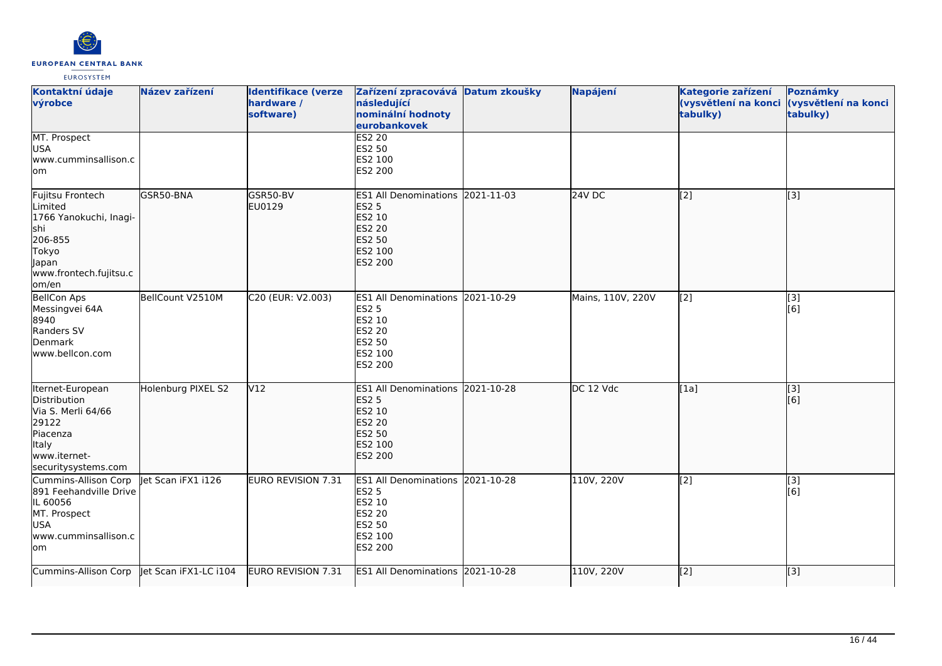

| Kontaktní údaje<br>výrobce                                                                                                   | Název zařízení        | <b>Identifikace (verze</b><br>hardware /<br>software) | Zařízení zpracovává Datum zkoušky<br>následující<br>nominální hodnoty<br>eurobankovek                                 |            | Napájení          | Kategorie zařízení<br>(vysvětlení na konci<br>tabulky) | <b>Poznámky</b><br>(vysvětlení na konci<br>tabulky) |
|------------------------------------------------------------------------------------------------------------------------------|-----------------------|-------------------------------------------------------|-----------------------------------------------------------------------------------------------------------------------|------------|-------------------|--------------------------------------------------------|-----------------------------------------------------|
| MT. Prospect<br><b>USA</b><br>www.cumminsallison.c<br>lom                                                                    |                       |                                                       | <b>ES2 20</b><br><b>ES2 50</b><br>ES2 100<br>ES2 200                                                                  |            |                   |                                                        |                                                     |
| Fujitsu Frontech<br>Limited<br>1766 Yanokuchi, Inagi-<br>shi<br>206-855<br>Tokyo<br>Japan<br>www.frontech.fujitsu.c<br>om/en | GSR50-BNA             | GSR50-BV<br>EU0129                                    | <b>ES1 All Denominations</b><br><b>ES2 5</b><br>ES2 10<br><b>ES2 20</b><br><b>ES2 50</b><br>ES2 100<br><b>ES2 200</b> | 2021-11-03 | 24V DC            | [2]                                                    | [3]                                                 |
| <b>BellCon Aps</b><br>Messingvei 64A<br>8940<br>Randers SV<br>Denmark<br>lwww.bellcon.com                                    | BellCount V2510M      | C20 (EUR: V2.003)                                     | ES1 All Denominations 2021-10-29<br><b>ES2 5</b><br>ES2 10<br>ES2 20<br><b>ES2 50</b><br>ES2 100<br>ES2 200           |            | Mains, 110V, 220V | [2]                                                    | [3]<br>[6]                                          |
| Iternet-European<br>Distribution<br>Via S. Merli 64/66<br>29122<br>Piacenza<br>Italy<br>www.iternet-<br>securitysystems.com  | Holenburg PIXEL S2    | V12                                                   | <b>ES1 All Denominations</b><br><b>ES2 5</b><br>ES2 10<br><b>ES2 20</b><br><b>ES2 50</b><br>ES2 100<br><b>ES2 200</b> | 2021-10-28 | DC 12 Vdc         | [1a]                                                   | [3]<br>[6]                                          |
| Cummins-Allison Corp<br>891 Feehandville Drive<br>IL 60056<br>MT. Prospect<br><b>USA</b><br>www.cumminsallison.c<br>lom      | let Scan iFX1 i126    | <b>EURO REVISION 7.31</b>                             | ES1 All Denominations 2021-10-28<br><b>ES2 5</b><br>ES2 10<br><b>ES2 20</b><br>ES2 50<br>ES2 100<br>ES2 200           |            | 110V, 220V        | [2]                                                    | $\overline{[3]}$<br>[6]                             |
| Cummins-Allison Corp                                                                                                         | Jet Scan iFX1-LC i104 | <b>EURO REVISION 7.31</b>                             | <b>ES1 All Denominations</b>                                                                                          | 2021-10-28 | 110V, 220V        | [2]                                                    | [3]                                                 |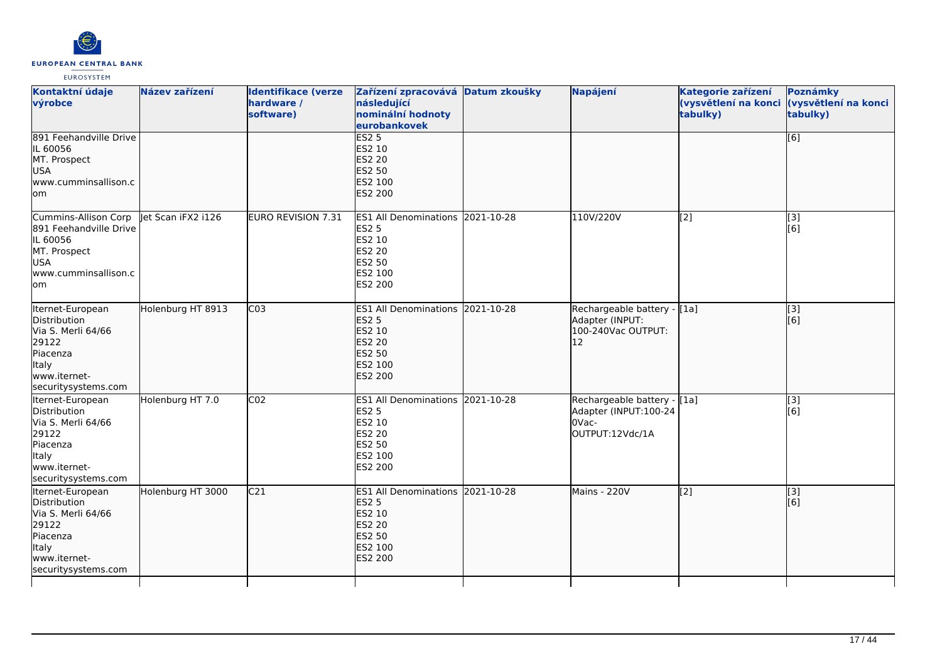

| Kontaktní údaje<br>výrobce<br>891 Feehandville Drive                                                                                      | Název zařízení     | <b>Identifikace (verze</b><br>hardware /<br>software) | Zařízení zpracovává Datum zkoušky<br>následující<br>nominální hodnoty<br>eurobankovek<br>ES2 <sub>5</sub>          | Napájení                                                                             | Kategorie zařízení<br>tabulky) | Poznámky<br>(vysvětlení na konci (vysvětlení na konci<br>tabulky)<br>[6] |
|-------------------------------------------------------------------------------------------------------------------------------------------|--------------------|-------------------------------------------------------|--------------------------------------------------------------------------------------------------------------------|--------------------------------------------------------------------------------------|--------------------------------|--------------------------------------------------------------------------|
| IL 60056<br>MT. Prospect<br>USA<br>www.cumminsallison.c<br>lom                                                                            |                    |                                                       | ES2 10<br><b>ES2 20</b><br><b>ES2 50</b><br>ES2 100<br>ES2 200                                                     |                                                                                      |                                |                                                                          |
| Cummins-Allison Corp<br>891 Feehandville Drive<br>IL 60056<br>MT. Prospect<br><b>USA</b><br>www.cumminsallison.c<br>lom                   | let Scan iFX2 i126 | EURO REVISION 7.31                                    | ES1 All Denominations 2021-10-28<br><b>ES2 5</b><br>ES2 10<br>ES2 20<br>ES2 50<br>ES2 100<br>ES2 200               | 110V/220V                                                                            | [2]                            | [3]<br>[6]                                                               |
| Iternet-European<br>Distribution<br>Via S. Merli 64/66<br>29122<br>Piacenza<br>Italy<br>www.iternet-<br>securitysystems.com               | Holenburg HT 8913  | CO <sub>3</sub>                                       | ES1 All Denominations 2021-10-28<br><b>ES2 5</b><br>ES2 10<br><b>ES2 20</b><br><b>ES2 50</b><br>ES2 100<br>ES2 200 | Rechargeable battery - [1a]<br>Adapter (INPUT:<br>100-240Vac OUTPUT:<br>$ 12\rangle$ |                                | $\vert$ [3]<br>[6]                                                       |
| Iternet-European<br>Distribution<br>Via S. Merli 64/66<br>29122<br><b>Piacenza</b><br><b>Italy</b><br>www.iternet-<br>securitysystems.com | Holenburg HT 7.0   | CO <sub>2</sub>                                       | ES1 All Denominations 2021-10-28<br><b>ES2 5</b><br>ES2 10<br>ES2 20<br>ES2 50<br>ES2 100<br>ES2 200               | Rechargeable battery - [1a]<br>Adapter (INPUT:100-24<br>OVac-<br>OUTPUT:12Vdc/1A     |                                | [3]<br>[6]                                                               |
| Iternet-European<br>Distribution<br>Via S. Merli 64/66<br>29122<br>Piacenza<br><b>Italy</b><br>www.iternet-<br>securitysystems.com        | Holenburg HT 3000  | C <sub>21</sub>                                       | ES1 All Denominations 2021-10-28<br><b>ES2 5</b><br>ES2 10<br><b>ES2 20</b><br>ES2 50<br>ES2 100<br>ES2 200        | Mains - 220V                                                                         | $\sqrt{2}$                     | $\vert$ [3]<br>[6]                                                       |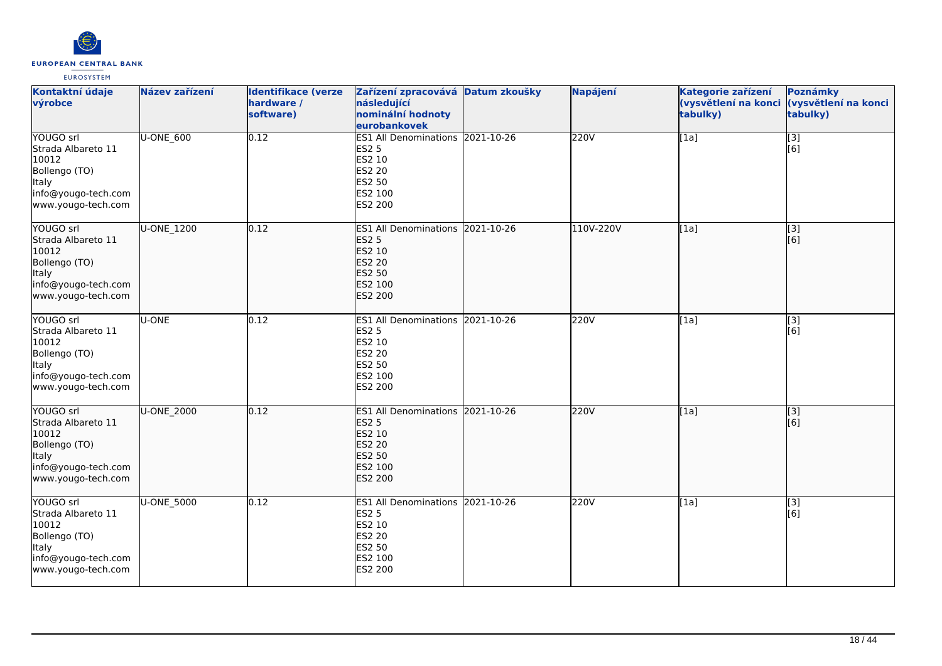

| Kontaktní údaje<br>výrobce                                                                                      | Název zařízení | <b>Identifikace (verze</b><br>hardware /<br>software) | Zařízení zpracovává Datum zkoušky<br>následující<br>nominální hodnoty<br>eurobankovek                              | <b>Napájení</b> | Kategorie zařízení<br>tabulky) | Poznámky<br>(vysvětlení na konci (vysvětlení na konci<br>tabulky) |
|-----------------------------------------------------------------------------------------------------------------|----------------|-------------------------------------------------------|--------------------------------------------------------------------------------------------------------------------|-----------------|--------------------------------|-------------------------------------------------------------------|
| YOUGO srl<br>Strada Albareto 11<br>10012<br>Bollengo (TO)<br>Italy<br>info@yougo-tech.com<br>www.yougo-tech.com | U-ONE_600      | 0.12                                                  | ES1 All Denominations 2021-10-26<br><b>ES2 5</b><br>ES2 10<br>ES2 20<br><b>ES2 50</b><br>ES2 100<br>ES2 200        | 220V            | [1a]                           | $\overline{[}3]$<br>[6]                                           |
| YOUGO srl<br>Strada Albareto 11<br>10012<br>Bollengo (TO)<br>Italy<br>info@yougo-tech.com<br>www.yougo-tech.com | U-ONE 1200     | 0.12                                                  | ES1 All Denominations 2021-10-26<br><b>ES2 5</b><br>ES2 10<br><b>ES2 20</b><br><b>ES2 50</b><br>ES2 100<br>ES2 200 | 110V-220V       | [1a]                           | [3]<br>[6]                                                        |
| YOUGO srl<br>Strada Albareto 11<br>10012<br>Bollengo (TO)<br>Italy<br>info@yougo-tech.com<br>www.yougo-tech.com | U-ONE          | 0.12                                                  | ES1 All Denominations 2021-10-26<br>ES2 5<br>ES2 10<br>ES2 20<br><b>ES2 50</b><br>ES2 100<br>ES2 200               | 220V            | [1a]                           | [3]<br>[6]                                                        |
| YOUGO srl<br>Strada Albareto 11<br>10012<br>Bollengo (TO)<br>Italy<br>info@yougo-tech.com<br>www.yougo-tech.com | U-ONE_2000     | 0.12                                                  | ES1 All Denominations 2021-10-26<br><b>ES2 5</b><br>ES2 10<br><b>ES2 20</b><br>ES2 50<br>ES2 100<br>ES2 200        | 220V            | [1a]                           | [3]<br>[6]                                                        |
| YOUGO srl<br>Strada Albareto 11<br>10012<br>Bollengo (TO)<br>Italy<br>info@yougo-tech.com<br>www.yougo-tech.com | U-ONE 5000     | 0.12                                                  | ES1 All Denominations 2021-10-26<br><b>ES2 5</b><br>ES2 10<br><b>ES2 20</b><br><b>ES2 50</b><br>ES2 100<br>ES2 200 | 220V            | [1a]                           | [3]<br>[6]                                                        |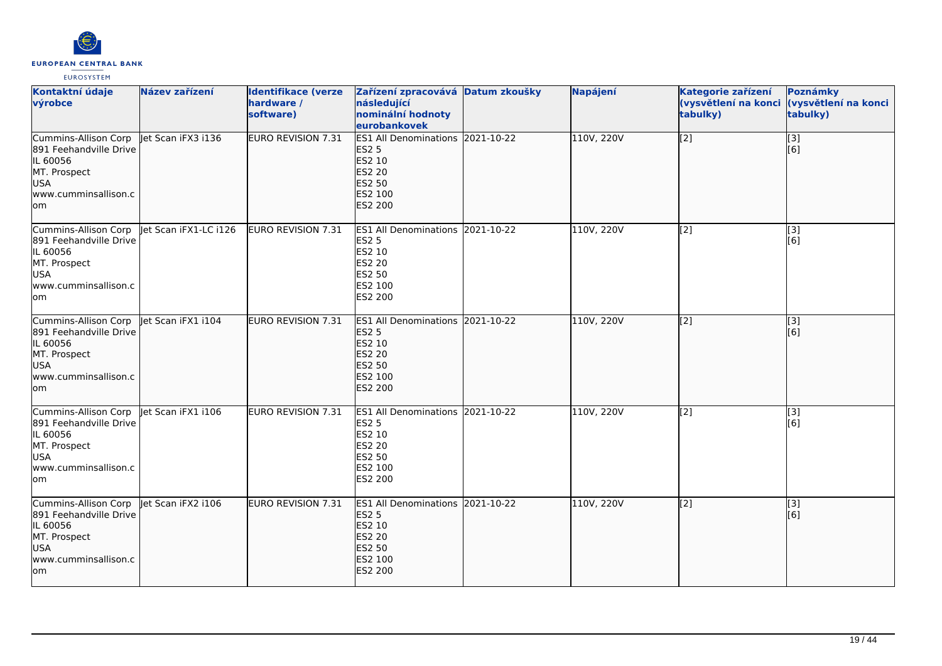

| Kontaktní údaje<br>výrobce                                                                                               | Název zařízení        | <b>Identifikace (verze</b><br>hardware /<br>software) | Zařízení zpracovává Datum zkoušky<br>následující<br>nominální hodnoty<br>eurobankovek                              | Napájení   | Kategorie zařízení<br>(vysvětlení na konci<br>tabulky) | Poznámky<br>(vysvětlení na konci<br>tabulky) |
|--------------------------------------------------------------------------------------------------------------------------|-----------------------|-------------------------------------------------------|--------------------------------------------------------------------------------------------------------------------|------------|--------------------------------------------------------|----------------------------------------------|
| Cummins-Allison Corp<br>891 Feehandville Drive<br>IL 60056<br>MT. Prospect<br>USA<br>www.cumminsallison.c<br>lom         | let Scan iFX3 i136    | EURO REVISION 7.31                                    | ES1 All Denominations 2021-10-22<br><b>ES2 5</b><br>ES2 10<br><b>ES2 20</b><br>ES2 50<br>ES2 100<br><b>ES2 200</b> | 110V, 220V | $\sqrt{2}$                                             | [3]<br>[6]                                   |
| Cummins-Allison Corp<br>891 Feehandville Drive<br>IL 60056<br>MT. Prospect<br><b>USA</b><br>www.cumminsallison.c<br>lom  | let Scan iFX1-LC i126 | EURO REVISION 7.31                                    | ES1 All Denominations 2021-10-22<br><b>ES2 5</b><br>ES2 10<br><b>ES2 20</b><br><b>ES2 50</b><br>ES2 100<br>ES2 200 | 110V, 220V | $\overline{[2]}$                                       | $\overline{[}3]$<br>[6]                      |
| Cummins-Allison Corp<br>891 Feehandville Drive<br>IL 60056<br>MT. Prospect<br>USA<br>www.cumminsallison.c<br>lom         | let Scan iFX1 i104    | EURO REVISION 7.31                                    | ES1 All Denominations 2021-10-22<br><b>ES2 5</b><br>ES2 10<br><b>ES2 20</b><br>ES2 50<br>ES2 100<br><b>ES2 200</b> | 110V, 220V | [[2]                                                   | [[3]<br>[6]                                  |
| Cummins-Allison Corp<br>891 Feehandville Drive<br>IL 60056<br>MT. Prospect<br><b>USA</b><br>www.cumminsallison.c<br>lom. | let Scan iFX1 i106    | <b>EURO REVISION 7.31</b>                             | ES1 All Denominations 2021-10-22<br><b>ES2 5</b><br>ES2 10<br>ES2 20<br><b>ES2 50</b><br><b>ES2 100</b><br>ES2 200 | 110V, 220V | [2]                                                    | [3]<br>[6]                                   |
| Cummins-Allison Corp<br>891 Feehandville Drive<br>IL 60056<br>MT. Prospect<br><b>USA</b><br>www.cumminsallison.c<br>lom  | let Scan iFX2 i106    | EURO REVISION 7.31                                    | ES1 All Denominations 2021-10-22<br><b>ES2 5</b><br>ES2 10<br><b>ES2 20</b><br>ES2 50<br>ES2 100<br><b>ES2 200</b> | 110V, 220V | $\overline{[2]}$                                       | [3]<br>[6]                                   |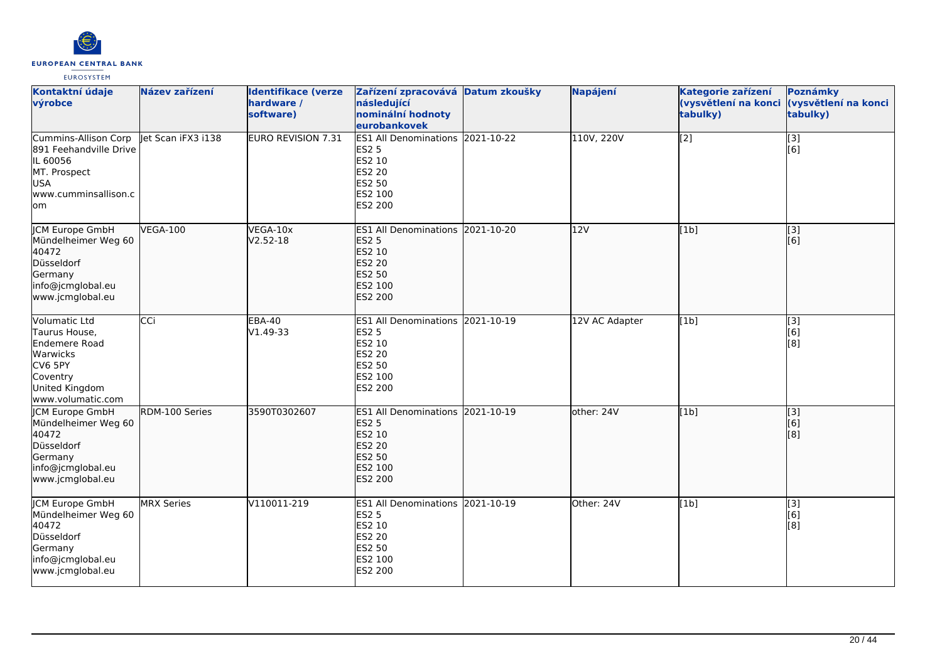

| Kontaktní údaje<br>výrobce                                                                                                       | Název zařízení     | <b>Identifikace (verze</b><br>hardware /<br>software) | Zařízení zpracovává Datum zkoušky<br>následující<br>nominální hodnoty<br>eurobankovek                              | Napájení       | Kategorie zařízení<br>(vysvětlení na konci<br>tabulky) | Poznámky<br>(vysvětlení na konci<br>tabulky) |
|----------------------------------------------------------------------------------------------------------------------------------|--------------------|-------------------------------------------------------|--------------------------------------------------------------------------------------------------------------------|----------------|--------------------------------------------------------|----------------------------------------------|
| Cummins-Allison Corp<br>891 Feehandville Drive<br>IL 60056<br>MT. Prospect<br><b>USA</b><br>www.cumminsallison.c<br>lom          | let Scan iFX3 i138 | <b>EURO REVISION 7.31</b>                             | ES1 All Denominations 2021-10-22<br><b>ES2 5</b><br>ES2 10<br>ES2 20<br>ES2 50<br>ES2 100<br>ES2 200               | 110V, 220V     | [2]                                                    | [3]<br>[6]                                   |
| JCM Europe GmbH<br>Mündelheimer Weg 60<br>40472<br>Düsseldorf<br>Germany<br>info@jcmglobal.eu<br>www.jcmglobal.eu                | <b>VEGA-100</b>    | VEGA-10x<br>$V2.52 - 18$                              | ES1 All Denominations 2021-10-20<br><b>ES2 5</b><br>ES2 10<br>ES2 20<br><b>ES2 50</b><br>ES2 100<br><b>ES2 200</b> | 12V            | [1b]                                                   | [3]<br>[6]                                   |
| <b>Volumatic Ltd</b><br>Taurus House,<br>Endemere Road<br>Warwicks<br>CV6 5PY<br>Coventry<br>United Kingdom<br>www.volumatic.com | CCi                | <b>EBA-40</b><br>V1.49-33                             | ES1 All Denominations 2021-10-19<br><b>ES2 5</b><br>ES2 10<br><b>ES2 20</b><br>ES2 50<br>ES2 100<br>ES2 200        | 12V AC Adapter | [1b]                                                   | [3]<br>[6]<br>[8]                            |
| JCM Europe GmbH<br>Mündelheimer Weg 60<br>40472<br>Düsseldorf<br>Germany<br>info@jcmglobal.eu<br>www.jcmglobal.eu                | RDM-100 Series     | 3590T0302607                                          | ES1 All Denominations 2021-10-19<br><b>ES2 5</b><br><b>ES2 10</b><br>ES2 20<br>ES2 50<br>ES2 100<br><b>ES2 200</b> | other: 24V     | [1b]                                                   | $\overline{[}$ [3]<br>[6]<br>[8]             |
| <b>CM Europe GmbH</b><br>Mündelheimer Weg 60<br>40472<br>Düsseldorf<br>Germany<br>info@jcmglobal.eu<br>www.jcmglobal.eu          | <b>MRX</b> Series  | V110011-219                                           | ES1 All Denominations 2021-10-19<br><b>ES2 5</b><br>ES2 10<br><b>ES2 20</b><br>ES2 50<br>ES2 100<br>ES2 200        | Other: 24V     | [1b]                                                   | [3]<br>[6]<br>[8]                            |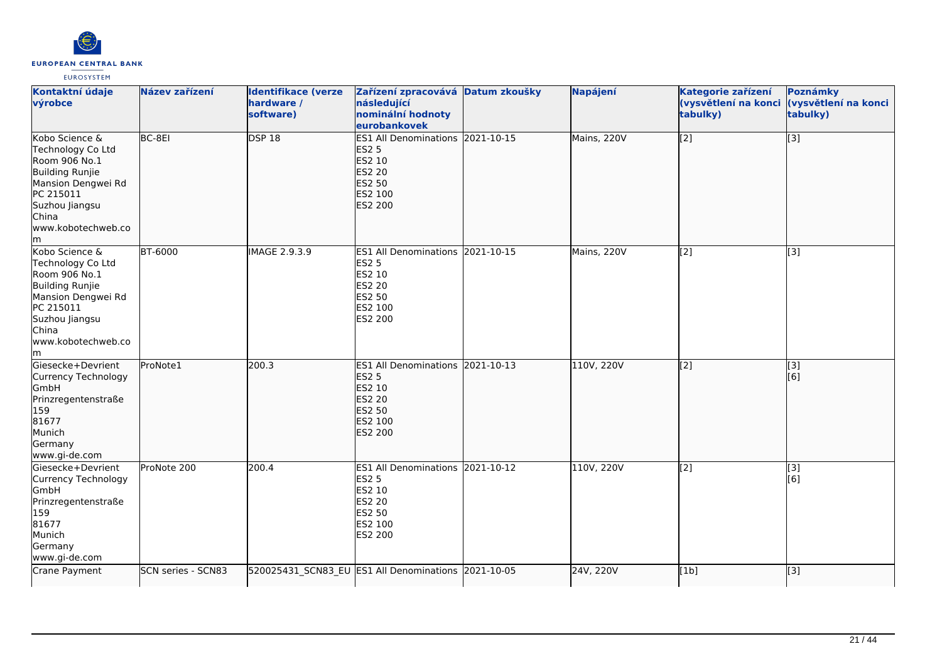

| Kontaktní údaje<br>výrobce                                                                                                                                         | Název zařízení     | <b>Identifikace (verze</b><br>hardware /<br>software) | Zařízení zpracovává Datum zkoušky<br>následující<br>nominální hodnoty<br>eurobankovek                              | Napájení    | Kategorie zařízení<br>(vysvětlení na konci<br>tabulky) | Poznámky<br>(vysvětlení na konci<br>tabulky) |
|--------------------------------------------------------------------------------------------------------------------------------------------------------------------|--------------------|-------------------------------------------------------|--------------------------------------------------------------------------------------------------------------------|-------------|--------------------------------------------------------|----------------------------------------------|
| Kobo Science &<br>Technology Co Ltd<br>Room 906 No.1<br>Building Runjie<br>Mansion Dengwei Rd<br>PC 215011<br>Suzhou Jiangsu<br>China<br>www.kobotechweb.co<br>lm. | $BC-8E1$           | <b>DSP 18</b>                                         | ES1 All Denominations 2021-10-15<br><b>ES2 5</b><br>ES2 10<br><b>ES2 20</b><br>ES2 50<br>ES2 100<br>ES2 200        | Mains, 220V | $\sqrt{2}$                                             | $\overline{[}3]$                             |
| Kobo Science &<br>Technology Co Ltd<br>Room 906 No.1<br>Building Runjie<br>Mansion Dengwei Rd<br>PC 215011<br>Suzhou Jiangsu<br>China<br>www.kobotechweb.co<br>lm. | <b>BT-6000</b>     | IMAGE 2.9.3.9                                         | ES1 All Denominations 2021-10-15<br>ES2 5<br>ES2 10<br>ES2 20<br>ES2 50<br>ES2 100<br>ES2 200                      | Mains, 220V | [2]                                                    | $\overline{[}3]$                             |
| Giesecke+Devrient<br>Currency Technology<br>GmbH<br>Prinzregentenstraße<br>159<br>81677<br>Munich<br>Germany<br>www.gi-de.com                                      | ProNote1           | 200.3                                                 | ES1 All Denominations 2021-10-13<br><b>ES2 5</b><br>ES2 10<br><b>ES2 20</b><br><b>ES2 50</b><br>ES2 100<br>ES2 200 | 110V, 220V  | $\overline{[2]}$                                       | [3]<br>[6]                                   |
| Giesecke+Devrient<br>Currency Technology<br>GmbH<br>Prinzregentenstraße<br>159<br>81677<br>Munich<br>Germany<br>www.gi-de.com                                      | ProNote 200        | 200.4                                                 | ES1 All Denominations 2021-10-12<br><b>ES2 5</b><br>ES2 10<br><b>ES2 20</b><br>ES2 50<br>ES2 100<br>ES2 200        | 110V, 220V  | [2]                                                    | $\overline{[3]}$<br>[6]                      |
| Crane Payment                                                                                                                                                      | SCN series - SCN83 |                                                       | 520025431_SCN83_EU ES1 All Denominations 2021-10-05                                                                | 24V, 220V   | [1b]                                                   | $\overline{[3]}$                             |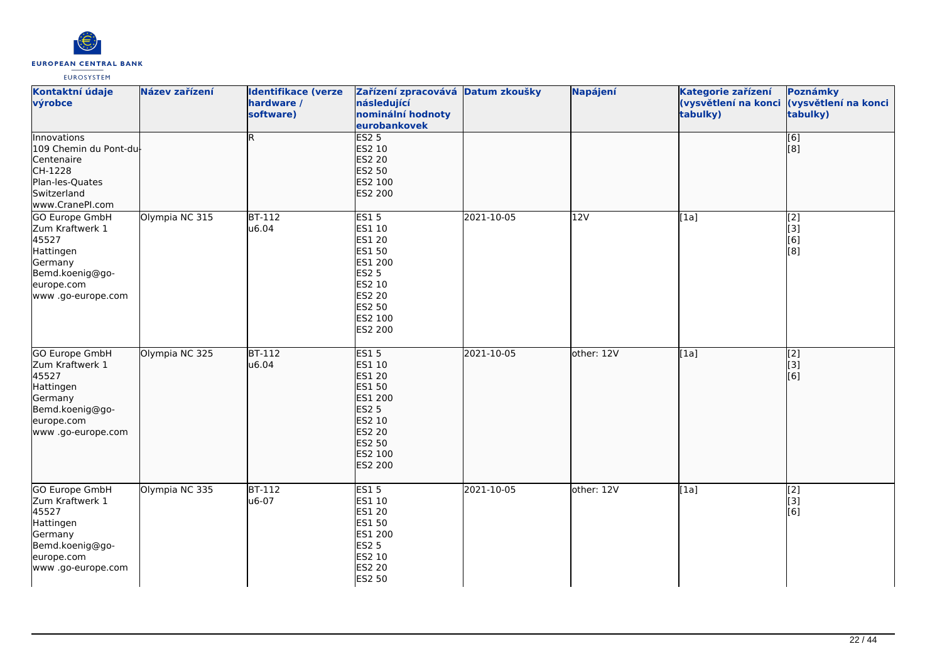

| Kontaktní údaje<br>výrobce                                                                                                      | Název zařízení | <b>Identifikace (verze</b><br>hardware /<br>software) | Zařízení zpracovává Datum zkoušky<br>následující<br>nominální hodnoty<br>eurobankovek                                    |            | Napájení   | Kategorie zařízení<br>(vysvětlení na konci (vysvětlení na konci<br>tabulky) | Poznámky<br>tabulky)            |
|---------------------------------------------------------------------------------------------------------------------------------|----------------|-------------------------------------------------------|--------------------------------------------------------------------------------------------------------------------------|------------|------------|-----------------------------------------------------------------------------|---------------------------------|
| <b>Innovations</b><br>109 Chemin du Pont-du<br>Centenaire<br>CH-1228<br>Plan-les-Quates<br>Switzerland<br>www.CranePI.com       |                | R.                                                    | ES2 <sub>5</sub><br>ES2 10<br><b>ES2 20</b><br>ES2 50<br>ES2 100<br>ES2 200                                              |            |            |                                                                             | $\overline{[6]}$<br>[8]         |
| GO Europe GmbH<br>Zum Kraftwerk 1<br>45527<br>Hattingen<br>Germany<br>Bemd.koenig@go-<br>europe.com<br>www.go-europe.com        | Olympia NC 315 | $BT-112$<br>u6.04                                     | ES15<br>ES1 10<br>ES1 20<br>ES1 50<br>ES1 200<br><b>ES2 5</b><br>ES2 10<br>ES2 20<br>ES2 50<br>ES2 100<br>ES2 200        | 2021-10-05 | 12V        | [1a]                                                                        | [2]<br>[3]<br>[6]<br>[8]        |
| <b>GO Europe GmbH</b><br>Zum Kraftwerk 1<br>45527<br>Hattingen<br>Germany<br>Bemd.koenig@go-<br>europe.com<br>www.go-europe.com | Olympia NC 325 | $BT-112$<br>u6.04                                     | ES15<br>ES1 10<br>ES1 20<br>ES1 50<br>ES1 200<br><b>ES2 5</b><br>ES2 10<br><b>ES2 20</b><br>ES2 50<br>ES2 100<br>ES2 200 | 2021-10-05 | other: 12V | [1a]                                                                        | $\overline{[2]}$<br>[[3]<br>[6] |
| <b>GO Europe GmbH</b><br>Zum Kraftwerk 1<br>45527<br>Hattingen<br>Germany<br>Bemd.koenig@go-<br>europe.com<br>www.go-europe.com | Olympia NC 335 | <b>BT-112</b><br>u6-07                                | <b>ES15</b><br>ES1 10<br>ES1 20<br>ES1 50<br>ES1 200<br>ES2 5<br>ES2 10<br>ES2 20<br>ES2 50                              | 2021-10-05 | other: 12V | [1a]                                                                        | $\overline{[2]}$<br>[3]<br>[6]  |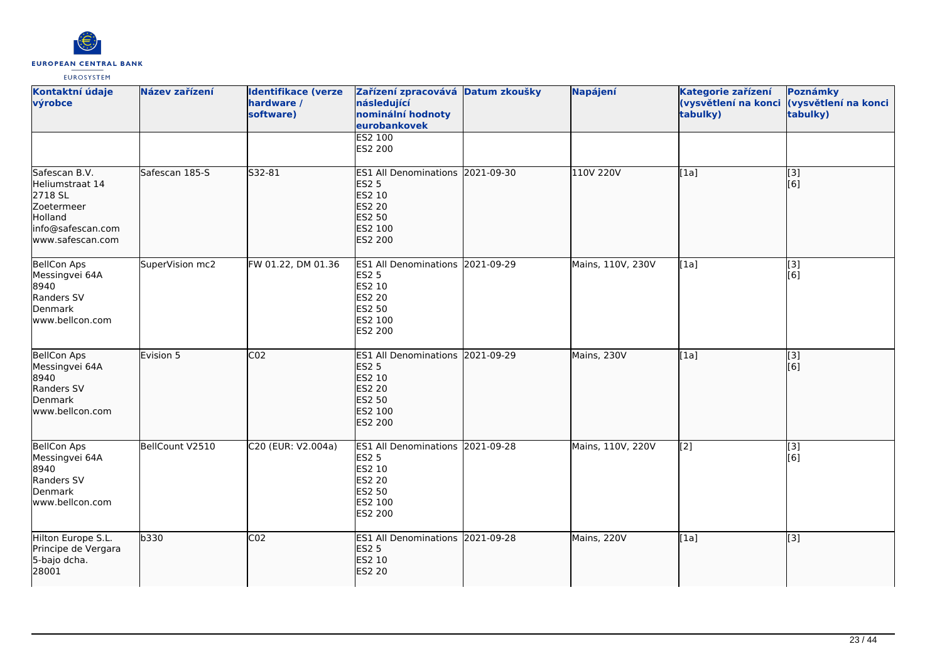

| Kontaktní údaje<br>výrobce                                                                                    | Název zařízení  | <b>Identifikace (verze</b><br>hardware /<br>software) | Zařízení zpracovává Datum zkoušky<br>následující<br>nominální hodnoty<br>eurobankovek                       | Napájení          | Kategorie zařízení<br>(vysvětlení na konci<br>tabulky) | Poznámky<br>(vysvětlení na konci<br>tabulky) |
|---------------------------------------------------------------------------------------------------------------|-----------------|-------------------------------------------------------|-------------------------------------------------------------------------------------------------------------|-------------------|--------------------------------------------------------|----------------------------------------------|
|                                                                                                               |                 |                                                       | ES2 100<br>ES2 200                                                                                          |                   |                                                        |                                              |
| Safescan B.V.<br>Heliumstraat 14<br>2718 SL<br>Zoetermeer<br>Holland<br>info@safescan.com<br>www.safescan.com | Safescan 185-S  | S32-81                                                | ES1 All Denominations 2021-09-30<br><b>ES2 5</b><br>ES2 10<br>ES2 20<br>ES2 50<br>ES2 100<br>ES2 200        | 110V 220V         | [1a]                                                   | $\overline{[3]}$<br>[6]                      |
| <b>BellCon Aps</b><br>Messingvei 64A<br>8940<br>Randers SV<br>Denmark<br>www.bellcon.com                      | SuperVision mc2 | FW 01.22, DM 01.36                                    | ES1 All Denominations 2021-09-29<br><b>ES2 5</b><br>ES2 10<br>ES2 20<br>ES2 50<br>ES2 100<br>ES2 200        | Mains, 110V, 230V | [1a]                                                   | [3]<br>[6]                                   |
| <b>BellCon Aps</b><br>Messingvei 64A<br>8940<br>Randers SV<br>Denmark<br>www.bellcon.com                      | Evision 5       | CO <sub>2</sub>                                       | ES1 All Denominations 2021-09-29<br><b>ES2 5</b><br>ES2 10<br>ES2 20<br>ES2 50<br>ES2 100<br><b>ES2 200</b> | Mains, 230V       | [1a]                                                   | [3]<br>[6]                                   |
| <b>BellCon Aps</b><br>Messingvei 64A<br>8940<br>Randers SV<br>Denmark<br>www.bellcon.com                      | BellCount V2510 | C20 (EUR: V2.004a)                                    | ES1 All Denominations 2021-09-28<br><b>ES2 5</b><br>ES2 10<br><b>ES2 20</b><br>ES2 50<br>ES2 100<br>ES2 200 | Mains, 110V, 220V | $\overline{[2]}$                                       | [3]<br>[6]                                   |
| Hilton Europe S.L.<br>Principe de Vergara<br>5-bajo dcha.<br>28001                                            | b330            | CO <sub>2</sub>                                       | ES1 All Denominations 2021-09-28<br><b>ES2 5</b><br>ES2 10<br><b>ES2 20</b>                                 | Mains, 220V       | [1a]                                                   | [3]                                          |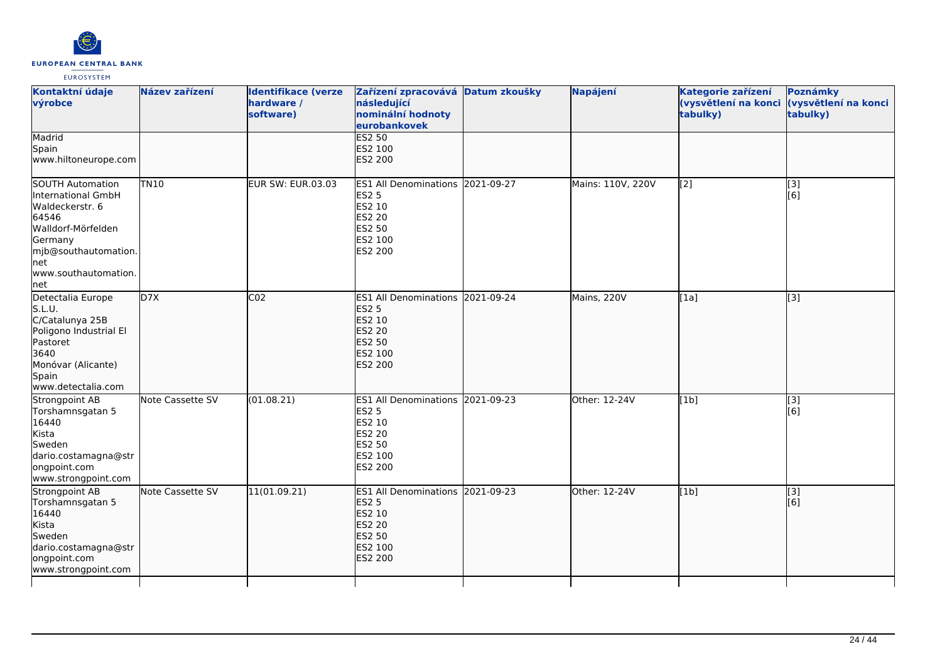

| Kontaktní údaje<br>výrobce                                                                                                                                                       | Název zařízení   | <b>Identifikace (verze</b><br>hardware /<br>software) | Zařízení zpracovává Datum zkoušky<br>následující<br>nominální hodnoty<br>eurobankovek                                     | Napájení          | Kategorie zařízení<br>(vysvětlení na konci<br>tabulky) | Poznámky<br>(vysvětlení na konci<br>tabulky) |
|----------------------------------------------------------------------------------------------------------------------------------------------------------------------------------|------------------|-------------------------------------------------------|---------------------------------------------------------------------------------------------------------------------------|-------------------|--------------------------------------------------------|----------------------------------------------|
| Madrid<br>Spain<br>www.hiltoneurope.com                                                                                                                                          |                  |                                                       | <b>ES2 50</b><br>ES2 100<br>ES2 200                                                                                       |                   |                                                        |                                              |
| <b>SOUTH Automation</b><br>International GmbH<br>Waldeckerstr. 6<br>64546<br>Walldorf-Mörfelden<br>Germany<br>mjb@southautomation.<br><b>net</b><br>www.southautomation.<br> net | TN10             | EUR SW: EUR.03.03                                     | ES1 All Denominations 2021-09-27<br><b>ES2 5</b><br>ES2 10<br>ES2 20<br><b>ES2 50</b><br>ES2 100<br>ES2 200               | Mains: 110V, 220V | [2]                                                    | [3]<br>[6]                                   |
| Detectalia Europe<br>S.L.U.<br>C/Catalunya 25B<br>Poligono Industrial El<br>Pastoret<br>3640<br>Monóvar (Alicante)<br>Spain<br>www.detectalia.com                                | D7X              | CO <sub>2</sub>                                       | ES1 All Denominations 2021-09-24<br><b>ES2 5</b><br>ES2 10<br><b>ES2 20</b><br><b>ES2 50</b><br>ES2 100<br><b>ES2 200</b> | Mains, 220V       | [1a]                                                   | [3]                                          |
| Strongpoint AB<br>Torshamnsgatan 5<br>16440<br>Kista<br>Sweden<br>dario.costamagna@str<br>ongpoint.com<br>www.strongpoint.com                                                    | Note Cassette SV | (01.08.21)                                            | ES1 All Denominations 2021-09-23<br>ES2 5<br>ES2 10<br>ES2 20<br>ES2 50<br>ES2 100<br>ES2 200                             | Other: 12-24V     | [1b]                                                   | $\overline{[3]}$<br>[6]                      |
| Strongpoint AB<br>Torshamnsgatan 5<br>16440<br>Kista<br>Sweden<br>dario.costamagna@str<br>ongpoint.com<br>www.strongpoint.com                                                    | Note Cassette SV | 11(01.09.21)                                          | ES1 All Denominations 2021-09-23<br><b>ES2 5</b><br><b>ES2 10</b><br><b>ES2 20</b><br>ES2 50<br>ES2 100<br><b>ES2 200</b> | Other: 12-24V     | [1b]                                                   | [3]<br>[6]                                   |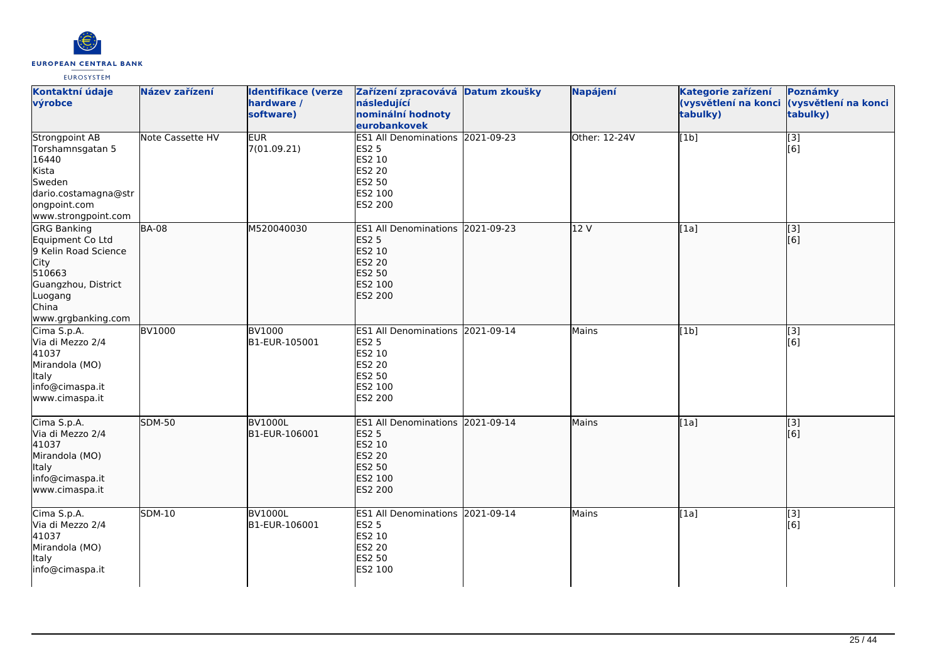

| Kontaktní údaje<br>výrobce                                                                                                                        | Název zařízení   | <b>Identifikace (verze</b><br>hardware /<br>software) | Zařízení zpracovává Datum zkoušky<br>následující<br>nominální hodnoty<br>eurobankovek                                     | Napájení      | Kategorie zařízení<br>(vysvětlení na konci<br>tabulky) | Poznámky<br>(vysvětlení na konci<br>tabulky) |
|---------------------------------------------------------------------------------------------------------------------------------------------------|------------------|-------------------------------------------------------|---------------------------------------------------------------------------------------------------------------------------|---------------|--------------------------------------------------------|----------------------------------------------|
| <b>Strongpoint AB</b><br>Torshamnsgatan 5<br>16440<br>Kista<br>Sweden<br>dario.costamagna@str<br>ongpoint.com<br>www.strongpoint.com              | Note Cassette HV | <b>EUR</b><br>7(01.09.21)                             | ES1 All Denominations 2021-09-23<br><b>ES2 5</b><br>ES2 10<br><b>ES2 20</b><br>ES2 50<br>ES2 100<br>ES2 200               | Other: 12-24V | [1b]                                                   | $\overline{[}3]$<br>[6]                      |
| <b>GRG Banking</b><br>Equipment Co Ltd<br>9 Kelin Road Science<br>City<br>510663<br>Guangzhou, District<br>Luogang<br>China<br>www.grgbanking.com | <b>BA-08</b>     | M520040030                                            | ES1 All Denominations 2021-09-23<br><b>ES2 5</b><br>ES2 10<br><b>ES2 20</b><br><b>ES2 50</b><br>ES2 100<br><b>ES2 200</b> | 12 V          | [1a]                                                   | [3]<br>[6]                                   |
| Cima S.p.A.<br>Via di Mezzo 2/4<br>41037<br>Mirandola (MO)<br><b>Italy</b><br>info@cimaspa.it<br>www.cimaspa.it                                   | <b>BV1000</b>    | <b>BV1000</b><br>B1-EUR-105001                        | ES1 All Denominations 2021-09-14<br><b>ES2 5</b><br>ES2 10<br><b>ES2 20</b><br><b>ES2 50</b><br>ES2 100<br>ES2 200        | Mains         | [1b]                                                   | [3]<br>[6]                                   |
| Cima S.p.A.<br>Via di Mezzo 2/4<br>41037<br>Mirandola (MO)<br><b>Italy</b><br>info@cimaspa.it<br>www.cimaspa.it                                   | <b>SDM-50</b>    | <b>BV1000L</b><br>B1-EUR-106001                       | ES1 All Denominations 2021-09-14<br><b>ES2 5</b><br>ES2 10<br><b>ES2 20</b><br>ES2 50<br>ES2 100<br><b>ES2 200</b>        | Mains         | [1a]                                                   | [3]<br>[6]                                   |
| Cima S.p.A.<br>Via di Mezzo 2/4<br>41037<br>Mirandola (MO)<br><b>Italy</b><br>info@cimaspa.it                                                     | <b>SDM-10</b>    | <b>BV1000L</b><br>B1-EUR-106001                       | ES1 All Denominations 2021-09-14<br><b>ES2 5</b><br>ES2 10<br>ES2 20<br>ES2 50<br>ES2 100                                 | Mains         | [1a]                                                   | [3]<br>[6]                                   |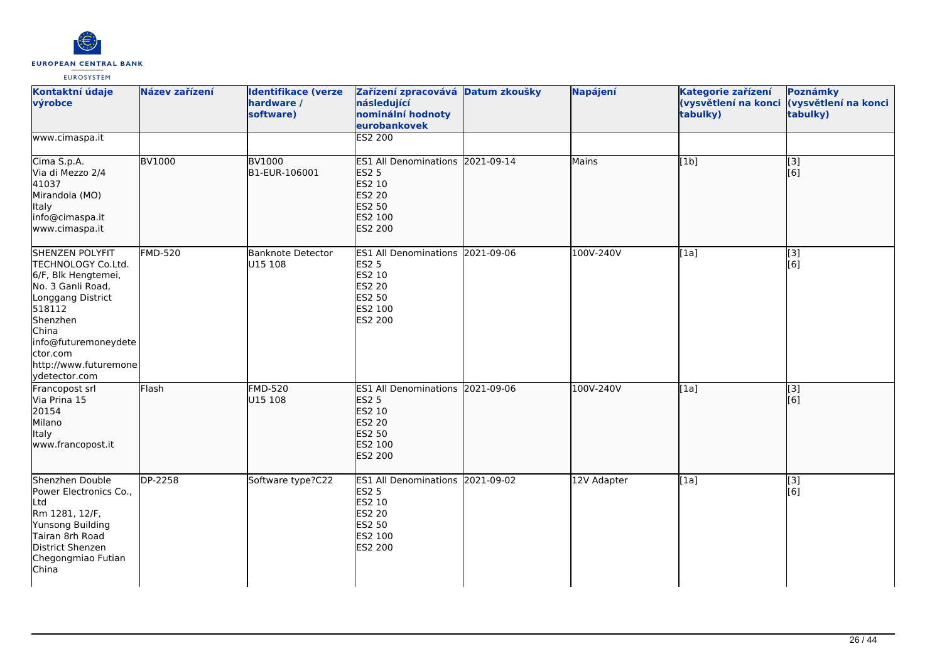

| Kontaktní údaje<br>výrobce                                                                                                                                                                                          | Název zařízení | <b>Identifikace (verze</b><br>hardware /<br>software) | Zařízení zpracovává Datum zkoušky<br>následující<br>nominální hodnoty<br>eurobankovek                              | Napájení    | Kategorie zařízení<br>tabulky) | Poznámky<br>(vysvětlení na konci (vysvětlení na konci<br>tabulky) |
|---------------------------------------------------------------------------------------------------------------------------------------------------------------------------------------------------------------------|----------------|-------------------------------------------------------|--------------------------------------------------------------------------------------------------------------------|-------------|--------------------------------|-------------------------------------------------------------------|
| www.cimaspa.it                                                                                                                                                                                                      |                |                                                       | <b>ES2 200</b>                                                                                                     |             |                                |                                                                   |
| Cima S.p.A.<br>Via di Mezzo 2/4<br>41037<br>Mirandola (MO)<br>Italy<br>info@cimaspa.it<br>www.cimaspa.it                                                                                                            | <b>BV1000</b>  | <b>BV1000</b><br>B1-EUR-106001                        | ES1 All Denominations 2021-09-14<br><b>ES2 5</b><br>ES2 10<br>ES2 20<br><b>ES2 50</b><br>ES2 100<br><b>ES2 200</b> | Mains       | [1b]                           | $\overline{[3]}$<br>[6]                                           |
| SHENZEN POLYFIT<br>TECHNOLOGY Co.Ltd.<br>6/F, Blk Hengtemei,<br>No. 3 Ganli Road,<br>Longgang District<br>518112<br>Shenzhen<br>China<br>info@futuremoneydete<br>ctor.com<br>http://www.futuremone<br>ydetector.com | <b>FMD-520</b> | Banknote Detector<br>U15 108                          | ES1 All Denominations 2021-09-06<br><b>ES2 5</b><br>ES2 10<br><b>ES2 20</b><br>ES2 50<br>ES2 100<br>ES2 200        | 100V-240V   | [1a]                           | $\overline{[}3]$<br>[6]                                           |
| Francopost srl<br>Via Prina 15<br>20154<br>Milano<br>Italy<br>www.francopost.it                                                                                                                                     | Flash          | <b>FMD-520</b><br>U15 108                             | ES1 All Denominations 2021-09-06<br><b>ES2 5</b><br>ES2 10<br><b>ES2 20</b><br>ES2 50<br>ES2 100<br><b>ES2 200</b> | 100V-240V   | [1a]                           | $\begin{bmatrix} 3 \\ 6 \end{bmatrix}$                            |
| Shenzhen Double<br>Power Electronics Co.,<br>Ltd<br>Rm 1281, 12/F,<br>Yunsong Building<br>Tairan 8rh Road<br>District Shenzen<br>Chegongmiao Futian<br>China                                                        | <b>DP-2258</b> | Software type?C22                                     | ES1 All Denominations 2021-09-02<br><b>ES2 5</b><br>ES2 10<br><b>ES2 20</b><br>ES2 50<br>ES2 100<br>ES2 200        | 12V Adapter | [1a]                           | [3]<br>[6]                                                        |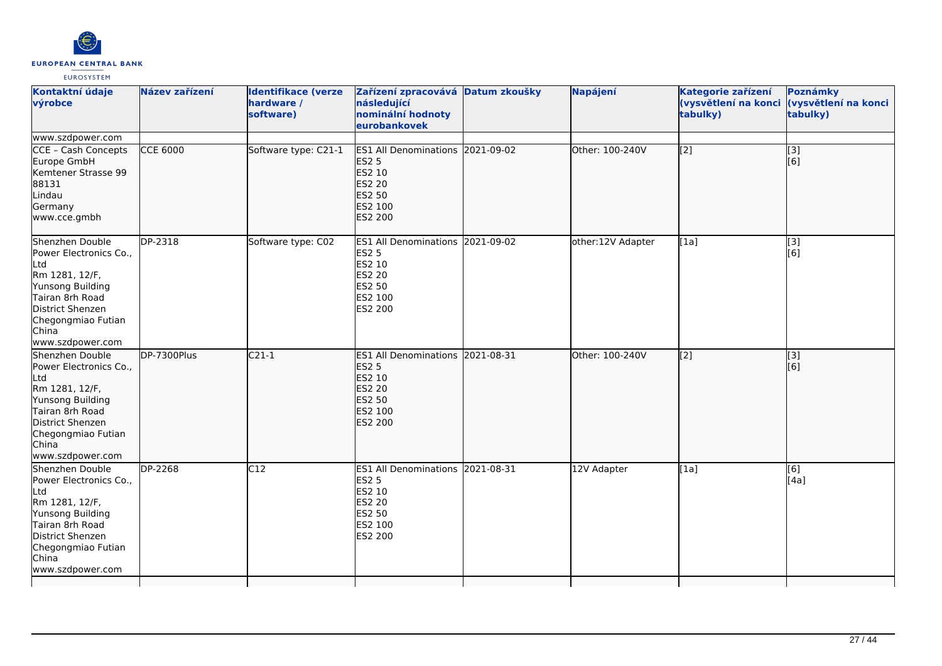

| Kontaktní údaje<br>výrobce                                                                                                                                                       | Název zařízení  | <b>Identifikace (verze</b><br>hardware /<br>software) | Zařízení zpracovává Datum zkoušky<br>následující<br>nominální hodnoty<br>eurobankovek                              | Napájení               | Kategorie zařízení<br>(vysvětlení na konci<br>tabulky) | Poznámky<br>(vysvětlení na konci<br>tabulky) |
|----------------------------------------------------------------------------------------------------------------------------------------------------------------------------------|-----------------|-------------------------------------------------------|--------------------------------------------------------------------------------------------------------------------|------------------------|--------------------------------------------------------|----------------------------------------------|
| www.szdpower.com                                                                                                                                                                 |                 |                                                       |                                                                                                                    |                        |                                                        |                                              |
| CCE - Cash Concepts<br>Europe GmbH<br>Kemtener Strasse 99<br>88131<br>Lindau<br>Germany<br>www.cce.gmbh                                                                          | <b>CCE 6000</b> | Software type: C21-1                                  | ES1 All Denominations 2021-09-02<br><b>ES2 5</b><br>ES2 10<br><b>ES2 20</b><br>ES2 50<br>ES2 100<br><b>ES2 200</b> | <b>Other: 100-240V</b> | [2]                                                    | $\vert$ [3]<br>[6]                           |
| Shenzhen Double<br>Power Electronics Co.,<br>Ltd<br>Rm 1281, 12/F,<br>Yunsong Building<br>Tairan 8rh Road<br>District Shenzen<br>Chegongmiao Futian<br>China<br>www.szdpower.com | DP-2318         | Software type: C02                                    | ES1 All Denominations 2021-09-02<br><b>ES2 5</b><br>ES2 10<br>ES2 20<br>ES2 50<br>ES2 100<br>ES2 200               | other:12V Adapter      | $\overline{[1a]}$                                      | $\overline{[}3]$<br>[6]                      |
| Shenzhen Double<br>Power Electronics Co.,<br>Ltd<br>Rm 1281, 12/F,<br>Yunsong Building<br>Tairan 8rh Road<br>District Shenzen<br>Chegongmiao Futian<br>China<br>www.szdpower.com | DP-7300Plus     | $C21-1$                                               | ES1 All Denominations 2021-08-31<br><b>ES2 5</b><br>ES2 10<br><b>ES2 20</b><br>ES2 50<br>ES2 100<br><b>ES2 200</b> | Other: 100-240V        | [2]                                                    | $\vert$ [3]<br>[6]                           |
| Shenzhen Double<br>Power Electronics Co.,<br>Ltd<br>Rm 1281, 12/F,<br>Yunsong Building<br>Tairan 8rh Road<br>District Shenzen<br>Chegongmiao Futian<br>China<br>www.szdpower.com | DP-2268         | $\overline{C12}$                                      | ES1 All Denominations 2021-08-31<br><b>ES2 5</b><br>ES2 10<br>ES2 20<br>ES2 50<br>ES2 100<br>ES2 200               | 12V Adapter            | [1a]                                                   | [6]<br>[4a]                                  |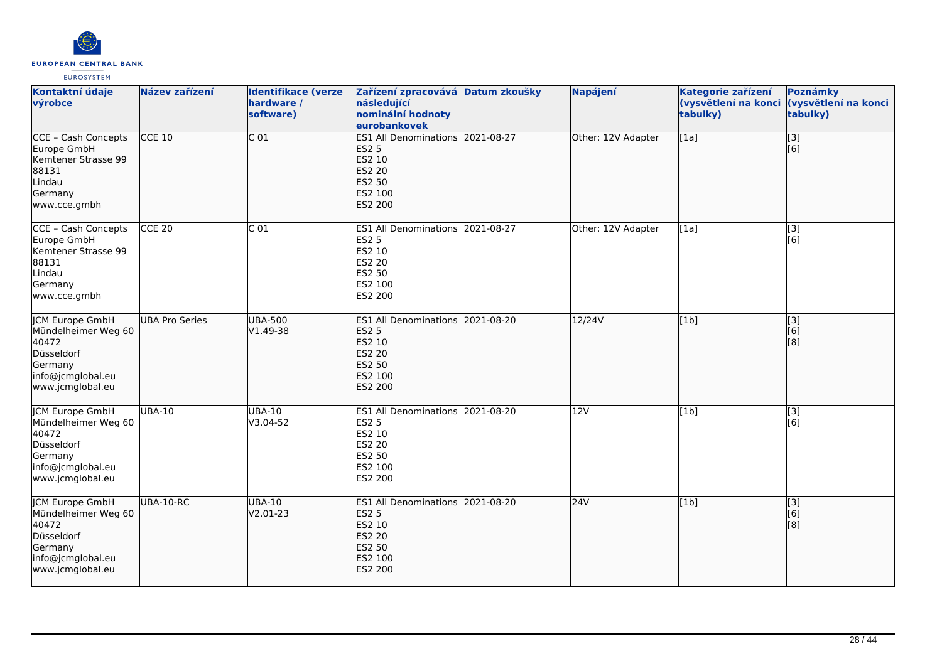

| Kontaktní údaje<br>výrobce                                                                                               | Název zařízení        | <b>Identifikace (verze</b><br>hardware /<br>software) | Zařízení zpracovává Datum zkoušky<br>následující<br>nominální hodnoty<br>eurobankovek                                     | Napájení           | Kategorie zařízení<br>(vysvětlení na konci<br>tabulky) | Poznámky<br>(vysvětlení na konci<br>tabulky)                              |
|--------------------------------------------------------------------------------------------------------------------------|-----------------------|-------------------------------------------------------|---------------------------------------------------------------------------------------------------------------------------|--------------------|--------------------------------------------------------|---------------------------------------------------------------------------|
| <b>CCE - Cash Concepts</b><br>Europe GmbH<br>Kemtener Strasse 99<br>88131<br>Lindau<br>Germany<br>www.cce.gmbh           | $CCE$ 10              | $\overline{C}$ 01                                     | ES1 All Denominations 2021-08-27<br><b>ES2 5</b><br>ES2 10<br><b>ES2 20</b><br>ES2 50<br>ES2 100<br>ES2 200               | Other: 12V Adapter | [1a]                                                   | $\overline{[}3]$<br>[6]                                                   |
| CCE - Cash Concepts<br>Europe GmbH<br>Kemtener Strasse 99<br>88131<br>Lindau<br>Germany<br>www.cce.gmbh                  | $CCE$ 20              | C <sub>01</sub>                                       | ES1 All Denominations 2021-08-27<br><b>ES2 5</b><br>ES2 10<br><b>ES2 20</b><br>ES2 50<br>ES2 100<br>ES2 200               | Other: 12V Adapter | [1a]                                                   | $\left[ \begin{matrix} 3 \end{matrix} \right]$<br>[6]                     |
| <b>JCM Europe GmbH</b><br>Mündelheimer Weg 60<br>40472<br>Düsseldorf<br>Germany<br>info@jcmglobal.eu<br>www.jcmglobal.eu | <b>UBA Pro Series</b> | <b>UBA-500</b><br>$V1.49-38$                          | ES1 All Denominations 2021-08-20<br><b>ES2 5</b><br>ES2 10<br><b>ES2 20</b><br><b>ES2 50</b><br>ES2 100<br>ES2 200        | 12/24V             | [1b]                                                   | $\overline{[}3]$<br>[6]<br>$\left[ \begin{matrix} 8 \end{matrix} \right]$ |
| <b>JCM Europe GmbH</b><br>Mündelheimer Weg 60<br>40472<br>Düsseldorf<br>Germany<br>info@jcmglobal.eu<br>www.jcmglobal.eu | <b>UBA-10</b>         | <b>UBA-10</b><br>V3.04-52                             | ES1 All Denominations 2021-08-20<br><b>ES2 5</b><br>ES2 10<br><b>ES2 20</b><br>ES2 50<br>ES2 100<br>ES2 200               | 12V                | [1b]                                                   | $\overline{[3]}$<br>[6]                                                   |
| JCM Europe GmbH<br>Mündelheimer Weg 60<br>40472<br>Düsseldorf<br>Germany<br>info@jcmglobal.eu<br>www.jcmglobal.eu        | <b>UBA-10-RC</b>      | <b>UBA-10</b><br>$V2.01-23$                           | ES1 All Denominations 2021-08-20<br><b>ES2 5</b><br>ES2 10<br><b>ES2 20</b><br><b>ES2 50</b><br>ES2 100<br><b>ES2 200</b> | 24V                | [1b]                                                   | $\vert$ [3]<br>[6]<br>[8]                                                 |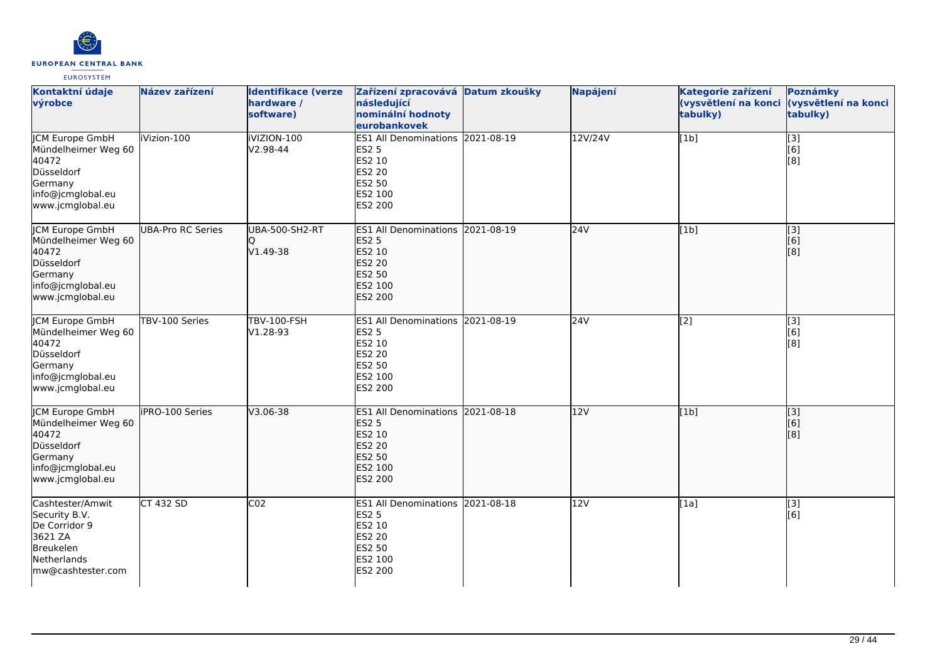

| Kontaktní údaje<br>výrobce                                                                                               | Název zařízení    | <b>Identifikace (verze</b><br>hardware /<br>software) | Zařízení zpracovává Datum zkoušky<br>následující<br>nominální hodnoty<br>eurobankovek                              | <b>Napájení</b> | Kategorie zařízení<br>(vysvětlení na konci<br>tabulky) | Poznámky<br>(vysvětlení na konci<br>tabulky)  |
|--------------------------------------------------------------------------------------------------------------------------|-------------------|-------------------------------------------------------|--------------------------------------------------------------------------------------------------------------------|-----------------|--------------------------------------------------------|-----------------------------------------------|
| <b>JCM Europe GmbH</b><br>Mündelheimer Weg 60<br>40472<br>Düsseldorf<br>Germany<br>info@jcmglobal.eu<br>www.jcmglobal.eu | iVizion-100       | iVIZION-100<br>V2.98-44                               | ES1 All Denominations 2021-08-19<br><b>ES2 5</b><br>ES2 10<br>ES2 20<br><b>ES2 50</b><br>ES2 100<br>ES2 200        | 12V/24V         | [1b]                                                   | [3]<br>[6]<br>[8]                             |
| JCM Europe GmbH<br>Mündelheimer Weg 60<br>40472<br>Düsseldorf<br>Germany<br>info@jcmglobal.eu<br>www.jcmglobal.eu        | UBA-Pro RC Series | UBA-500-SH2-RT<br>IQ<br>V1.49-38                      | ES1 All Denominations 2021-08-19<br><b>ES2 5</b><br>ES2 10<br>ES2 20<br>ES2 50<br>ES2 100<br><b>ES2 200</b>        | 24V             | [1b]                                                   | $\begin{bmatrix} 3 \\ 6 \end{bmatrix}$<br>[8] |
| <b>CM Europe GmbH</b><br>Mündelheimer Weg 60<br>40472<br>Düsseldorf<br>Germany<br>info@jcmglobal.eu<br>www.jcmglobal.eu  | TBV-100 Series    | <b>TBV-100-FSH</b><br>V1.28-93                        | ES1 All Denominations 2021-08-19<br><b>ES2 5</b><br>ES2 10<br><b>ES2 20</b><br><b>ES2 50</b><br>ES2 100<br>ES2 200 | 24V             | $\overline{[2]}$                                       | $\overline{[3]}$<br>[6]<br>[8]                |
| <b>JCM Europe GmbH</b><br>Mündelheimer Weg 60<br>40472<br>Düsseldorf<br>Germany<br>info@jcmglobal.eu<br>www.jcmglobal.eu | iPRO-100 Series   | V3.06-38                                              | ES1 All Denominations 2021-08-18<br><b>ES2 5</b><br>ES2 10<br>ES2 20<br>ES2 50<br>ES2 100<br><b>ES2 200</b>        | 12V             | [1b]                                                   | $\overline{[}$ [3]<br>[6]<br>[8]              |
| Cashtester/Amwit<br>Security B.V.<br>De Corridor 9<br>3621 ZA<br>Breukelen<br>Netherlands<br>mw@cashtester.com           | CT 432 SD         | CO <sub>2</sub>                                       | ES1 All Denominations 2021-08-18<br><b>ES2 5</b><br>ES2 10<br>ES2 20<br>ES2 50<br>ES2 100<br>ES2 200               | 12V             | [1a]                                                   | [3]<br>[6]                                    |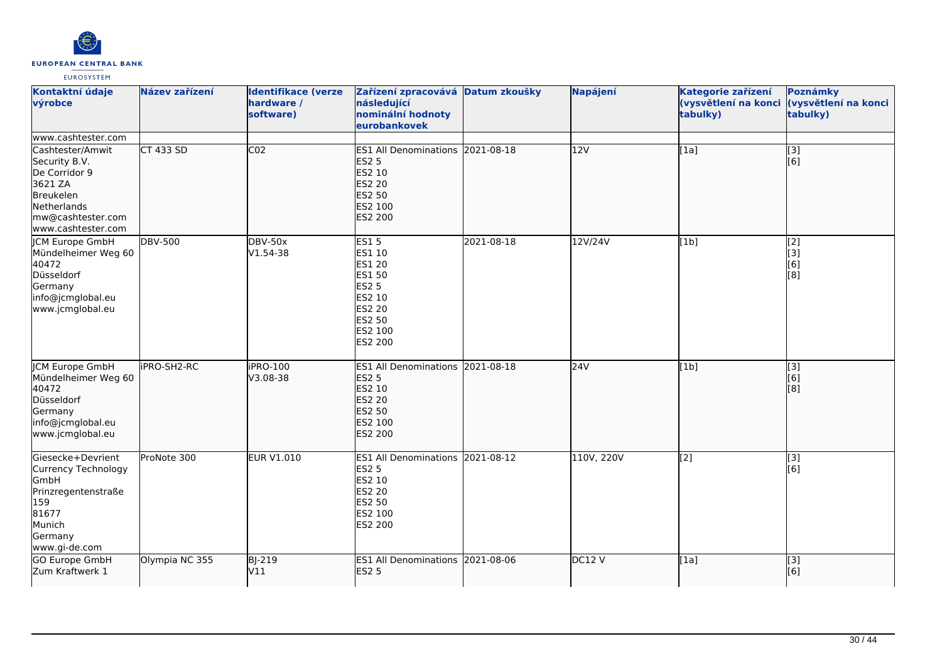

| Kontaktní údaje<br>výrobce                                                                                                           | Název zařízení     | <b>Identifikace (verze</b><br>hardware /<br>software) | Zařízení zpracovává Datum zkoušky<br>následující<br>nominální hodnoty<br>eurobankovek                                              |            | Napájení   | Kategorie zařízení<br>tabulky) | Poznámky<br>(vysvětlení na konci (vysvětlení na konci<br>tabulky)   |
|--------------------------------------------------------------------------------------------------------------------------------------|--------------------|-------------------------------------------------------|------------------------------------------------------------------------------------------------------------------------------------|------------|------------|--------------------------------|---------------------------------------------------------------------|
| www.cashtester.com                                                                                                                   |                    |                                                       |                                                                                                                                    |            |            |                                |                                                                     |
| Cashtester/Amwit<br>Security B.V.<br>De Corridor 9<br>3621 ZA<br>Breukelen<br>Netherlands<br>mw@cashtester.com<br>www.cashtester.com | <b>CT 433 SD</b>   | CO <sub>2</sub>                                       | ES1 All Denominations 2021-08-18<br><b>ES2 5</b><br>ES2 10<br><b>ES2 20</b><br>ES2 50<br>ES2 100<br>ES2 200                        |            | 12V        | [1a]                           | $\overline{[3]}$<br>[6]                                             |
| <b>JCM Europe GmbH</b><br>Mündelheimer Weg 60<br>40472<br>Düsseldorf<br>Germany<br>info@jcmglobal.eu<br>www.jcmglobal.eu             | <b>DBV-500</b>     | <b>DBV-50x</b><br>V1.54-38                            | <b>ES15</b><br>ES1 10<br><b>ES1 20</b><br><b>ES1 50</b><br><b>ES2 5</b><br>ES2 10<br><b>ES2 20</b><br>ES2 50<br>ES2 100<br>ES2 200 | 2021-08-18 | 12V/24V    | [1b]                           | [2]<br>$\left[ \begin{matrix} 3 \end{matrix} \right]$<br>[6]<br>[8] |
| <b>JCM Europe GmbH</b><br>Mündelheimer Weg 60<br>40472<br>Düsseldorf<br>Germany<br>info@jcmglobal.eu<br>www.jcmglobal.eu             | <b>IPRO-SH2-RC</b> | iPRO-100<br>V3.08-38                                  | ES1 All Denominations 2021-08-18<br><b>ES2 5</b><br>ES2 10<br><b>ES2 20</b><br><b>ES2 50</b><br>ES2 100<br><b>ES2 200</b>          |            | 24V        | [1b]                           | $\overline{[}3]$<br>[6]<br>[8]                                      |
| Giesecke+Devrient<br>Currency Technology<br>GmbH<br>Prinzregentenstraße<br>159<br>81677<br>Munich<br>Germany<br>www.gi-de.com        | ProNote 300        | <b>EUR V1.010</b>                                     | ES1 All Denominations 2021-08-12<br><b>ES2 5</b><br>ES2 10<br><b>ES2 20</b><br>ES2 50<br>ES2 100<br>ES2 200                        |            | 110V, 220V | $\overline{[2]}$               | [3]<br>[6]                                                          |
| GO Europe GmbH<br>Zum Kraftwerk 1                                                                                                    | Olympia NC 355     | <b>BJ-219</b><br>V11                                  | ES1 All Denominations 2021-08-06<br><b>ES2 5</b>                                                                                   |            | DC12V      | [1a]                           | [3]<br>[6]                                                          |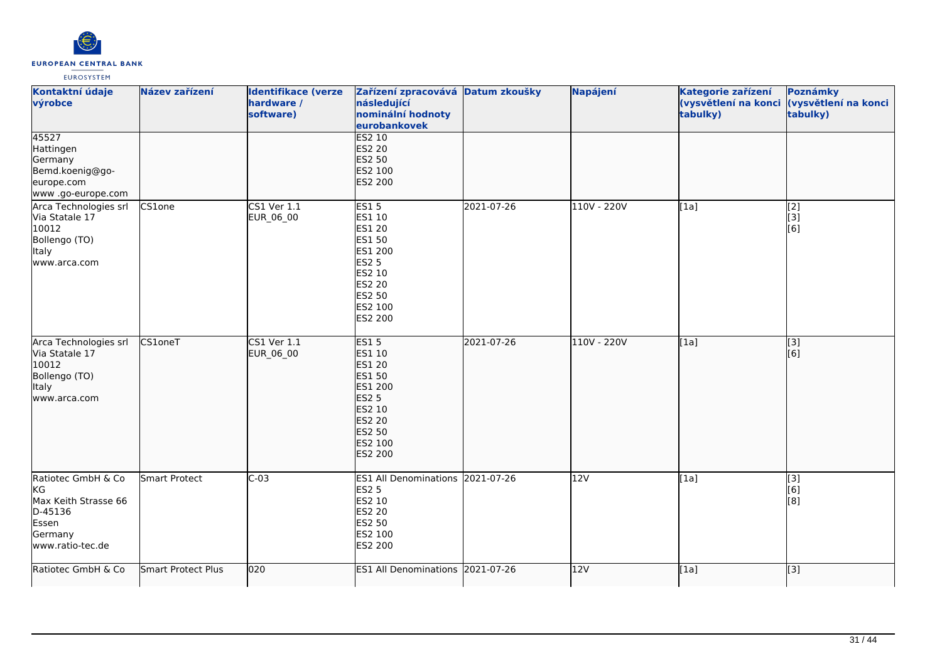

| Kontaktní údaje<br>výrobce                                                                                   | Název zařízení     | <b>Identifikace (verze</b><br>hardware /<br>software) | Zařízení zpracovává Datum zkoušky<br>následující<br>nominální hodnoty<br>eurobankovek                                                  |            | Napájení    | Kategorie zařízení<br>(vysvětlení na konci<br>tabulky) | Poznámky<br>(vysvětlení na konci<br>tabulky)                                             |
|--------------------------------------------------------------------------------------------------------------|--------------------|-------------------------------------------------------|----------------------------------------------------------------------------------------------------------------------------------------|------------|-------------|--------------------------------------------------------|------------------------------------------------------------------------------------------|
| 45527<br>Hattingen<br>Germany<br>Bemd.koenig@go-<br>europe.com<br>www .go-europe.com                         |                    |                                                       | ES2 10<br><b>ES2 20</b><br>ES2 50<br>ES2 100<br>ES2 200                                                                                |            |             |                                                        |                                                                                          |
| Arca Technologies srl<br>Via Statale 17<br>10012<br>Bollengo (TO)<br>Italy<br>www.arca.com                   | CS1one             | $\overline{\text{CS1 Ver }1.1}$<br>EUR_06_00          | <b>ES15</b><br>ES1 10<br><b>ES1 20</b><br>ES1 50<br>ES1 200<br><b>ES2 5</b><br>ES2 10<br><b>ES2 20</b><br>ES2 50<br>ES2 100<br>ES2 200 | 2021-07-26 | 110V - 220V | [1a]                                                   | $\overline{[2]}$<br>[3]<br>[6]                                                           |
| Arca Technologies srl<br>Via Statale 17<br>10012<br>Bollengo (TO)<br>ltaly<br>www.arca.com                   | CS1oneT            | CS1 Ver 1.1<br>EUR_06_00                              | <b>ES15</b><br>ES1 10<br>ES1 20<br>ES1 50<br>ES1 200<br><b>ES2 5</b><br>ES2 10<br><b>ES2 20</b><br>ES2 50<br>ES2 100<br>ES2 200        | 2021-07-26 | 110V - 220V | [1a]                                                   | $\begin{bmatrix} 3 \\ 6 \end{bmatrix}$                                                   |
| Ratiotec GmbH & Co<br><b>I</b> KG<br>Max Keith Strasse 66<br>D-45136<br>Essen<br>Germany<br>www.ratio-tec.de | Smart Protect      | $C-03$                                                | ES1 All Denominations 2021-07-26<br><b>ES2 5</b><br>ES2 10<br><b>ES2 20</b><br>ES2 50<br>ES2 100<br>ES2 200                            |            | 12V         | [1a]                                                   | $\begin{bmatrix} 3 \\ 6 \end{bmatrix}$<br>$\left[ \begin{matrix} 8 \end{matrix} \right]$ |
| Ratiotec GmbH & Co                                                                                           | Smart Protect Plus | 020                                                   | ES1 All Denominations 2021-07-26                                                                                                       |            | 12V         | [1a]                                                   | $\left[ \begin{matrix} 3 \end{matrix} \right]$                                           |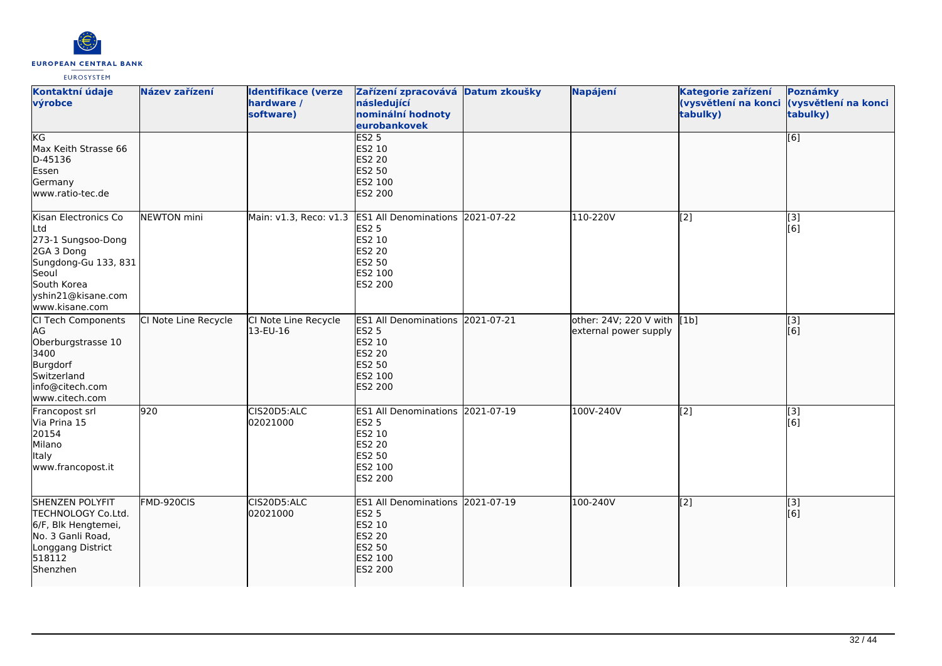

| Kontaktní údaje<br>výrobce                                                                                                                              | Název zařízení       | <b>Identifikace (verze</b><br>hardware /<br>software) | Zařízení zpracovává Datum zkoušky<br>následující<br>nominální hodnoty<br>eurobankovek                                              | Napájení                                             | Kategorie zařízení<br>(vysvětlení na konci<br>tabulky) | Poznámky<br>(vysvětlení na konci<br>tabulky) |
|---------------------------------------------------------------------------------------------------------------------------------------------------------|----------------------|-------------------------------------------------------|------------------------------------------------------------------------------------------------------------------------------------|------------------------------------------------------|--------------------------------------------------------|----------------------------------------------|
| KG<br>Max Keith Strasse 66<br>D-45136<br>Essen<br>Germany<br>lwww.ratio-tec.de                                                                          |                      |                                                       | ES2 <sub>5</sub><br>ES2 10<br><b>ES2 20</b><br>ES2 50<br>ES2 100<br><b>ES2 200</b>                                                 |                                                      |                                                        | [6]                                          |
| Kisan Electronics Co<br>Ltd<br>273-1 Sungsoo-Dong<br>2GA 3 Dong<br>Sungdong-Gu 133, 831<br>Seoul<br>South Korea<br>yshin21@kisane.com<br>www.kisane.com | NEWTON mini          |                                                       | Main: v1.3, Reco: v1.3 ES1 All Denominations 2021-07-22<br><b>ES2 5</b><br>ES2 10<br><b>ES2 20</b><br>ES2 50<br>ES2 100<br>ES2 200 | 110-220V                                             | [2]                                                    | [3]<br>[6]                                   |
| CI Tech Components<br>AG<br>Oberburgstrasse 10<br>3400<br>Burgdorf<br>Switzerland<br>info@citech.com<br>www.citech.com                                  | CI Note Line Recycle | CI Note Line Recycle<br>13-EU-16                      | ES1 All Denominations 2021-07-21<br><b>ES2 5</b><br>ES2 10<br>ES2 20<br><b>ES2 50</b><br>ES2 100<br><b>ES2 200</b>                 | other: 24V; 220 V with [1b]<br>external power supply |                                                        | $\overline{[}3]$<br>[6]                      |
| Francopost srl<br>Via Prina 15<br>20154<br>Milano<br><b>Italy</b><br>www.francopost.it                                                                  | 920                  | CIS20D5:ALC<br>02021000                               | ES1 All Denominations 2021-07-19<br><b>ES2 5</b><br>ES2 10<br>ES2 20<br>ES2 50<br>ES2 100<br>ES2 200                               | 100V-240V                                            | [2]                                                    | [3]<br>[6]                                   |
| <b>SHENZEN POLYFIT</b><br>TECHNOLOGY Co.Ltd.<br>6/F, Blk Hengtemei,<br>No. 3 Ganli Road,<br>Longgang District<br>518112<br>Shenzhen                     | FMD-920CIS           | CIS20D5:ALC<br>02021000                               | ES1 All Denominations 2021-07-19<br><b>ES2 5</b><br>ES2 10<br><b>ES2 20</b><br><b>ES2 50</b><br>ES2 100<br><b>ES2 200</b>          | 100-240V                                             | $\sqrt{2}$                                             | [3]<br>[6]                                   |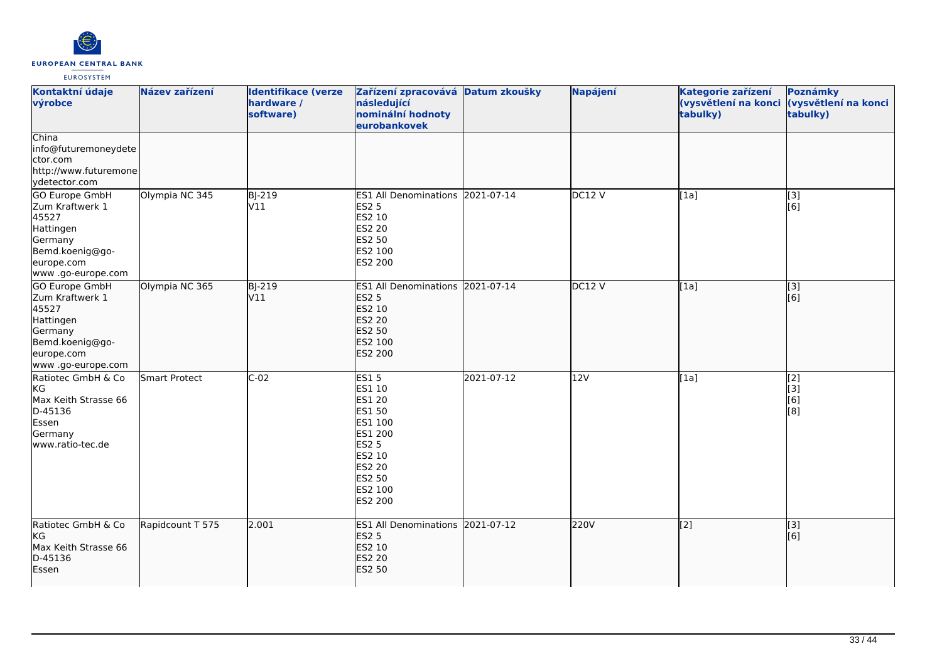

| Kontaktní údaje<br>výrobce                                                                                               | Název zařízení   | <b>Identifikace (verze</b><br>hardware /<br>software) | Zařízení zpracovává Datum zkoušky<br>následující<br>nominální hodnoty<br>eurobankovek                                                      |            | Napájení | Kategorie zařízení<br>tabulky) | Poznámky<br>(vysvětlení na konci (vysvětlení na konci<br>tabulky) |
|--------------------------------------------------------------------------------------------------------------------------|------------------|-------------------------------------------------------|--------------------------------------------------------------------------------------------------------------------------------------------|------------|----------|--------------------------------|-------------------------------------------------------------------|
| China<br>info@futuremoneydete<br>ctor.com<br>http://www.futuremone<br>ydetector.com                                      |                  |                                                       |                                                                                                                                            |            |          |                                |                                                                   |
| GO Europe GmbH<br>Zum Kraftwerk 1<br>45527<br>Hattingen<br>Germany<br>Bemd.koenig@go-<br>europe.com<br>www.go-europe.com | Olympia NC 345   | <b>BJ-219</b><br>V11                                  | ES1 All Denominations 2021-07-14<br><b>ES2 5</b><br>ES2 10<br>ES2 20<br><b>ES2 50</b><br>ES2 100<br>ES2 200                                |            | DC12V    | [1a]                           | [3]<br>[6]                                                        |
| GO Europe GmbH<br>Zum Kraftwerk 1<br>45527<br>Hattingen<br>Germany<br>Bemd.koenig@go-<br>europe.com<br>www.go-europe.com | Olympia NC 365   | <b>BJ-219</b><br>V11                                  | <b>ES1 All Denominations</b><br><b>ES2 5</b><br>ES2 10<br><b>ES2 20</b><br><b>ES2 50</b><br>ES2 100<br>ES2 200                             | 2021-07-14 | DC12 V   | [[1a]                          | $\overline{[3]}$<br>[[6]                                          |
| Ratiotec GmbH & Co<br>KG<br>Max Keith Strasse 66<br>D-45136<br>Essen<br>Germany<br>www.ratio-tec.de                      | Smart Protect    | $C-02$                                                | ES15<br>ES1 10<br><b>ES1 20</b><br>ES1 50<br>ES1 100<br>ES1 200<br><b>ES2 5</b><br>ES2 10<br><b>ES2 20</b><br>ES2 50<br>ES2 100<br>ES2 200 | 2021-07-12 | 12V      | [1a]                           | [2]<br>[3]<br>[6]<br>[8]                                          |
| Ratiotec GmbH & Co<br>KG<br>Max Keith Strasse 66<br>D-45136<br>Essen                                                     | Rapidcount T 575 | 2.001                                                 | ES1 All Denominations 2021-07-12<br><b>ES2 5</b><br>ES2 10<br><b>ES2 20</b><br><b>ES2 50</b>                                               |            | 220V     | $\sqrt{2}$                     | $\overline{[3]}$<br>[6]                                           |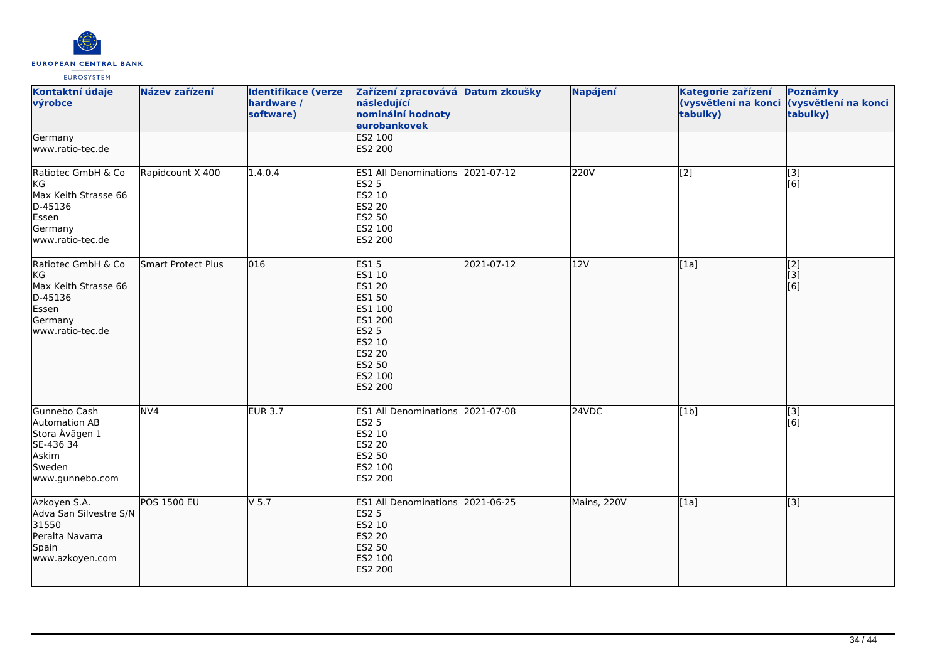

| Kontaktní údaje<br>výrobce                                                                          | Název zařízení     | <b>Identifikace (verze</b><br>hardware /<br>software) | Zařízení zpracovává Datum zkoušky<br>následující<br>nominální hodnoty<br>eurobankovek                                                                    |            | Napájení    | Kategorie zařízení<br>(vysvětlení na konci (vysvětlení na konci<br>tabulky) | Poznámky<br>tabulky)                        |
|-----------------------------------------------------------------------------------------------------|--------------------|-------------------------------------------------------|----------------------------------------------------------------------------------------------------------------------------------------------------------|------------|-------------|-----------------------------------------------------------------------------|---------------------------------------------|
| Germany<br>www.ratio-tec.de                                                                         |                    |                                                       | ES2 100<br>ES2 200                                                                                                                                       |            |             |                                                                             |                                             |
| Ratiotec GmbH & Co<br>KG<br>Max Keith Strasse 66<br>D-45136<br>Essen<br>Germany<br>www.ratio-tec.de | Rapidcount X 400   | 1.4.0.4                                               | ES1 All Denominations 2021-07-12<br><b>ES2 5</b><br>ES2 10<br><b>ES2 20</b><br>ES2 50<br>ES2 100<br>ES2 200                                              |            | 220V        | [2]                                                                         | [3]<br>[6]                                  |
| Ratiotec GmbH & Co<br>KG<br>Max Keith Strasse 66<br>D-45136<br>Essen<br>Germany<br>www.ratio-tec.de | Smart Protect Plus | 016                                                   | <b>ES15</b><br>ES1 10<br>ES1 20<br><b>ES1 50</b><br>ES1 100<br>ES1 200<br><b>ES2 5</b><br>ES2 10<br><b>ES2 20</b><br><b>ES2 50</b><br>ES2 100<br>ES2 200 | 2021-07-12 | 12V         | [1a]                                                                        | $\overline{[2]}$<br>$\overline{[}3]$<br>[6] |
| Gunnebo Cash<br>Automation AB<br>Stora Åvägen 1<br>SE-436 34<br>Askim<br>Sweden<br>www.gunnebo.com  | NVA                | EUR $3.7$                                             | ES1 All Denominations 2021-07-08<br><b>ES2 5</b><br>ES2 10<br>ES2 20<br>ES2 50<br>ES2 100<br>ES2 200                                                     |            | 24VDC       | [1b]                                                                        | [3]<br>[6]                                  |
| Azkoyen S.A.<br>Adva San Silvestre S/N<br>31550<br>Peralta Navarra<br>Spain<br>www.azkoyen.com      | <b>POS 1500 EU</b> | $V$ 5.7                                               | ES1 All Denominations 2021-06-25<br><b>ES2 5</b><br>ES2 10<br>ES2 20<br><b>ES2 50</b><br>ES2 100<br><b>ES2 200</b>                                       |            | Mains, 220V | [1a]                                                                        | [[3]                                        |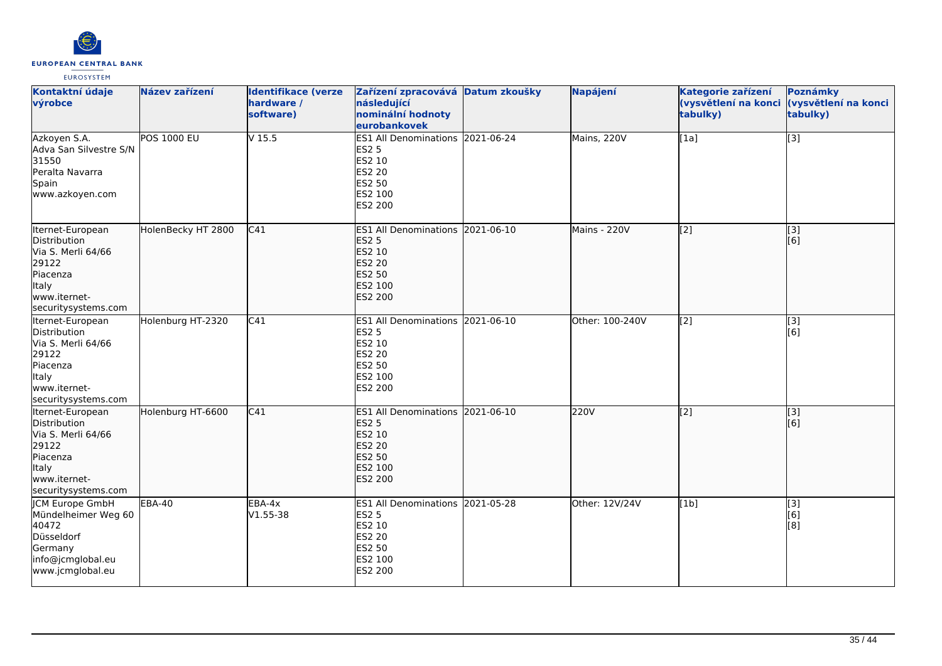

| Kontaktní údaje<br>výrobce                                                                                                         | Název zařízení     | <b>Identifikace (verze</b><br>hardware /<br>software) | Zařízení zpracovává Datum zkoušky<br>následující<br>nominální hodnoty<br>eurobankovek                              | Napájení        | Kategorie zařízení<br>(vysvětlení na konci<br>tabulky) | Poznámky<br>(vysvětlení na konci<br>tabulky) |
|------------------------------------------------------------------------------------------------------------------------------------|--------------------|-------------------------------------------------------|--------------------------------------------------------------------------------------------------------------------|-----------------|--------------------------------------------------------|----------------------------------------------|
| Azkoyen S.A.<br>Adva San Silvestre S/N<br>31550<br>Peralta Navarra<br>Spain<br>www.azkoyen.com                                     | <b>POS 1000 EU</b> | $V$ 15.5                                              | ES1 All Denominations 2021-06-24<br><b>ES2 5</b><br>ES2 10<br>ES2 20<br>ES2 50<br>ES2 100<br>ES2 200               | Mains, 220V     | [1a]                                                   | [3]                                          |
| Iternet-European<br>Distribution<br>Via S. Merli 64/66<br>29122<br>Piacenza<br>Italy<br>www.iternet-<br>securitysystems.com        | HolenBecky HT 2800 | C41                                                   | ES1 All Denominations 2021-06-10<br><b>ES2 5</b><br>ES2 10<br><b>ES2 20</b><br>ES2 50<br>ES2 100<br><b>ES2 200</b> | Mains - 220V    | $\overline{[2]}$                                       | [3]<br>[6]                                   |
| Iternet-European<br>Distribution<br>Via S. Merli 64/66<br>29122<br>Piacenza<br><b>Italy</b><br>www.iternet-<br>securitysystems.com | Holenburg HT-2320  | $\overline{C41}$                                      | ES1 All Denominations 2021-06-10<br><b>ES2 5</b><br>ES2 10<br><b>ES2 20</b><br>ES2 50<br>ES2 100<br>ES2 200        | Other: 100-240V | [2]                                                    | [3]<br>[6]                                   |
| Iternet-European<br>Distribution<br>Via S. Merli 64/66<br>29122<br>Piacenza<br>Italy<br>www.iternet-<br>securitysystems.com        | Holenburg HT-6600  | C41                                                   | ES1 All Denominations 2021-06-10<br><b>ES2 5</b><br>ES2 10<br><b>ES2 20</b><br>ES2 50<br>ES2 100<br><b>ES2 200</b> | 220V            | $\overline{[2]}$                                       | [3]<br>[6]                                   |
| <b>CM Europe GmbH</b><br>Mündelheimer Weg 60<br>40472<br>Düsseldorf<br>Germany<br>info@jcmglobal.eu<br>www.jcmglobal.eu            | <b>EBA-40</b>      | EBA-4x<br>$V1.55 - 38$                                | ES1 All Denominations 2021-05-28<br><b>ES2 5</b><br>ES2 10<br>ES2 20<br>ES2 50<br>ES2 100<br>ES2 200               | Other: 12V/24V  | [1b]                                                   | [3]<br>[6]<br>[8]                            |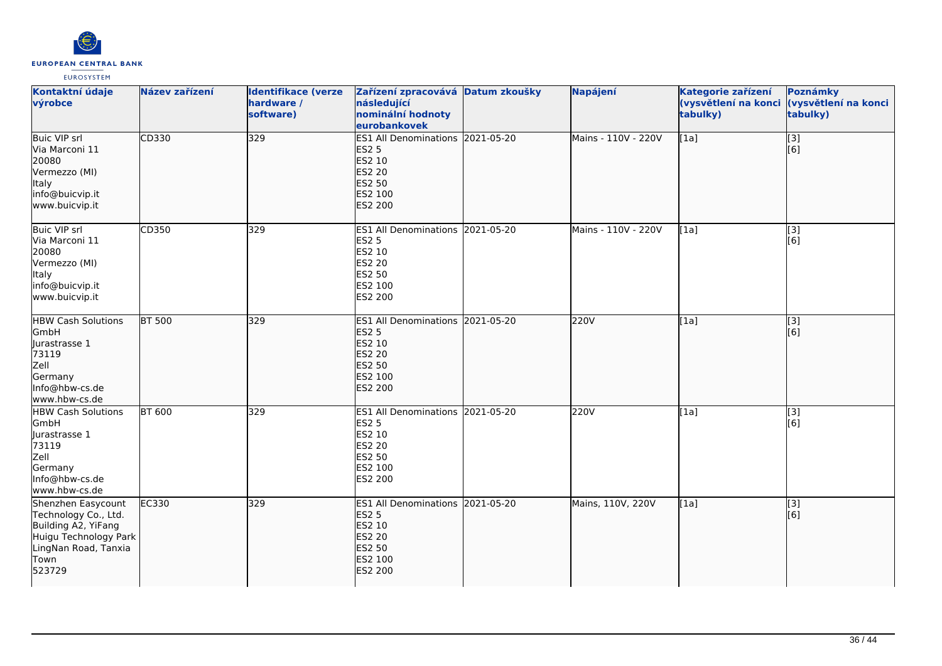

| Kontaktní údaje<br>výrobce                                                                                                           | Název zařízení | <b>Identifikace (verze</b><br>hardware /<br>software) | Zařízení zpracovává Datum zkoušky<br>následující<br>nominální hodnoty<br>eurobankovek                                     | Napájení            | Kategorie zařízení<br>(vysvětlení na konci (vysvětlení na konci<br>tabulky) | Poznámky<br>tabulky)    |
|--------------------------------------------------------------------------------------------------------------------------------------|----------------|-------------------------------------------------------|---------------------------------------------------------------------------------------------------------------------------|---------------------|-----------------------------------------------------------------------------|-------------------------|
| Buic VIP srl<br>Via Marconi 11<br>20080<br>Vermezzo (MI)<br>Italy<br>info@buicvip.it<br>www.buicvip.it                               | CD330          | 329                                                   | ES1 All Denominations 2021-05-20<br><b>ES2 5</b><br>ES2 10<br>ES2 20<br><b>ES2 50</b><br>ES2 100<br><b>ES2 200</b>        | Mains - 110V - 220V | [1a]                                                                        | [3]<br>[6]              |
| Buic VIP srl<br>Via Marconi 11<br>20080<br>Vermezzo (MI)<br>Italy<br>info@buicvip.it<br>www.buicvip.it                               | CD350          | 329                                                   | ES1 All Denominations 2021-05-20<br><b>ES2 5</b><br>ES2 10<br>ES2 20<br>ES2 50<br>ES2 100<br>ES2 200                      | Mains - 110V - 220V | [1a]                                                                        | [3]<br>[6]              |
| <b>HBW Cash Solutions</b><br>GmbH<br>Jurastrasse 1<br>73119<br>Zell<br>Germany<br>Info@hbw-cs.de<br>www.hbw-cs.de                    | <b>BT 500</b>  | 329                                                   | ES1 All Denominations 2021-05-20<br><b>ES2 5</b><br>ES2 10<br><b>ES2 20</b><br>ES2 50<br>ES2 100<br>ES2 200               | 220V                | [1a]                                                                        | $\overline{[}3]$<br>[6] |
| <b>HBW Cash Solutions</b><br>GmbH<br>Jurastrasse 1<br>73119<br>Zell<br>Germany<br>Info@hbw-cs.de<br>www.hbw-cs.de                    | <b>BT 600</b>  | 329                                                   | ES1 All Denominations 2021-05-20<br><b>ES2 5</b><br>ES2 10<br>ES2 20<br>ES2 50<br>ES2 100<br>ES2 200                      | 220V                | [1a]                                                                        | [3]<br>[6]              |
| Shenzhen Easycount<br>Technology Co., Ltd.<br>Building A2, YiFang<br>Huigu Technology Park<br>LingNan Road, Tanxia<br>Town<br>523729 | EC330          | 329                                                   | ES1 All Denominations 2021-05-20<br><b>ES2 5</b><br>ES2 10<br><b>ES2 20</b><br><b>ES2 50</b><br>ES2 100<br><b>ES2 200</b> | Mains, 110V, 220V   | [1a]                                                                        | [3]<br>[6]              |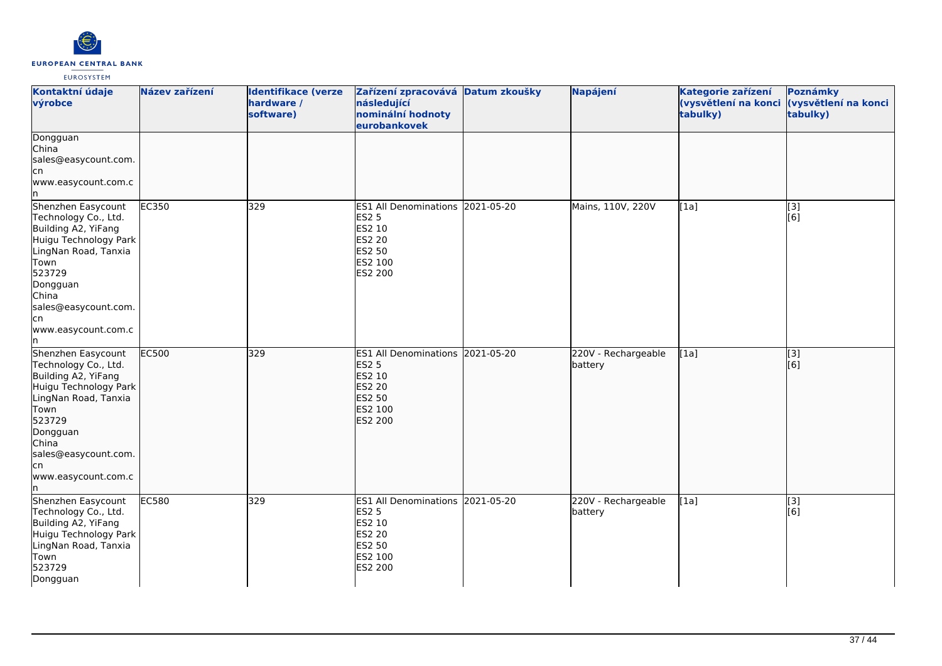

| Kontaktní údaje<br>výrobce                                                                                                                                                                                             | Název zařízení | <b>Identifikace (verze</b><br>hardware /<br>software) | Zařízení zpracovává Datum zkoušky<br>následující<br>nominální hodnoty<br>eurobankovek                                            | Napájení                       | Kategorie zařízení<br>(vysvětlení na konci<br>tabulky) | Poznámky<br>(vysvětlení na konci<br>tabulky) |
|------------------------------------------------------------------------------------------------------------------------------------------------------------------------------------------------------------------------|----------------|-------------------------------------------------------|----------------------------------------------------------------------------------------------------------------------------------|--------------------------------|--------------------------------------------------------|----------------------------------------------|
| Dongguan<br>China<br>sales@easycount.com.<br>lcn<br>www.easycount.com.c                                                                                                                                                |                |                                                       |                                                                                                                                  |                                |                                                        |                                              |
| Shenzhen Easycount<br>Technology Co., Ltd.<br>Building A2, YiFang<br>Huigu Technology Park<br>LingNan Road, Tanxia<br>Town<br>523729<br>Dongguan<br>China<br>sales@easycount.com.<br>cn<br>www.easycount.com.c<br>In.  | <b>EC350</b>   | 329                                                   | ES1 All Denominations 2021-05-20<br>ES2 5<br>ES2 10<br>ES2 20<br>ES2 50<br>ES2 100<br>ES2 200                                    | Mains, 110V, 220V              | [1a]                                                   | $\overline{[}3]$<br>[6]                      |
| Shenzhen Easycount<br>Technology Co., Ltd.<br>Building A2, YiFang<br>Huigu Technology Park<br>LingNan Road, Tanxia<br>Town<br>523729<br>Dongguan<br>China<br>sales@easycount.com.<br>lcn<br>www.easycount.com.c<br>In. | <b>EC500</b>   | 329                                                   | ES1 All Denominations 2021-05-20<br><b>ES2 5</b><br><b>ES2 10</b><br><b>ES2 20</b><br><b>ES2 50</b><br>ES2 100<br><b>ES2 200</b> | 220V - Rechargeable<br>battery | [1a]                                                   | $\overline{[}3]$<br>[6]                      |
| Shenzhen Easycount<br>Technology Co., Ltd.<br>Building A2, YiFang<br>Huigu Technology Park<br>LingNan Road, Tanxia<br>Town<br>523729<br>Dongguan                                                                       | EC580          | 329                                                   | ES1 All Denominations 2021-05-20<br><b>ES2 5</b><br>ES2 10<br>ES2 20<br>ES2 50<br>ES2 100<br>ES2 200                             | 220V - Rechargeable<br>battery | [1a]                                                   | $\overline{[3]}$<br>[6]                      |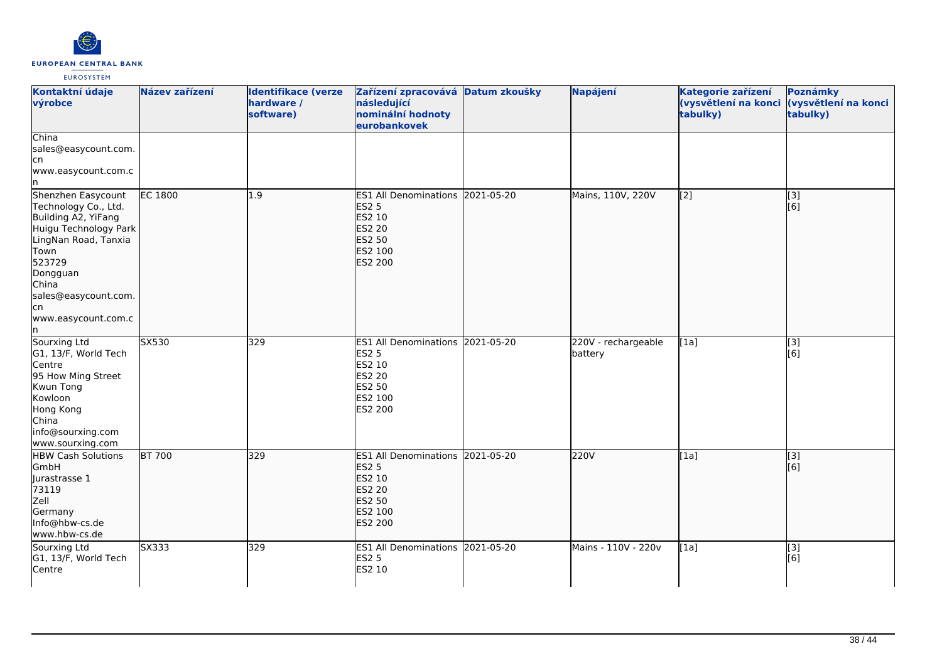

| Kontaktní údaje<br>výrobce                                                                                                                                                                                      | Název zařízení | <b>Identifikace (verze</b><br>hardware /<br>software) | Zařízení zpracovává Datum zkoušky<br>následující<br>nominální hodnoty<br>eurobankovek                       | Napájení                       | Kategorie zařízení<br>tabulky)                 | Poznámky<br>(vysvětlení na konci (vysvětlení na konci<br>tabulky) |
|-----------------------------------------------------------------------------------------------------------------------------------------------------------------------------------------------------------------|----------------|-------------------------------------------------------|-------------------------------------------------------------------------------------------------------------|--------------------------------|------------------------------------------------|-------------------------------------------------------------------|
| China<br>sales@easycount.com.<br>cn<br>www.easycount.com.c                                                                                                                                                      |                |                                                       |                                                                                                             |                                |                                                |                                                                   |
| Shenzhen Easycount<br>Technology Co., Ltd.<br>Building A2, YiFang<br>Huigu Technology Park<br>LingNan Road, Tanxia<br>Town<br>523729<br>Dongguan<br>China<br>sales@easycount.com.<br>lcn<br>www.easycount.com.c | <b>EC 1800</b> | 1.9                                                   | ES1 All Denominations 2021-05-20<br><b>ES2 5</b><br>ES2 10<br><b>ES2 20</b><br>ES2 50<br>ES2 100<br>ES2 200 | Mains, 110V, 220V              | $\left[ \begin{matrix} 2 \end{matrix} \right]$ | [3]<br>[6]                                                        |
| Sourxing Ltd<br>G1, 13/F, World Tech<br>Centre<br>95 How Ming Street<br>Kwun Tong<br>Kowloon<br>Hong Kong<br>China<br>info@sourxing.com<br>www.sourxing.com                                                     | SX530          | 329                                                   | ES1 All Denominations 2021-05-20<br>ES2 5<br>ES2 10<br>ES2 20<br>ES2 50<br>ES2 100<br>ES2 200               | 220V - rechargeable<br>battery | [1a]                                           | [3]<br>[6]                                                        |
| <b>HBW Cash Solutions</b><br>GmbH<br>Jurastrasse 1<br>73119<br>Zell<br>Germany<br>Info@hbw-cs.de<br>www.hbw-cs.de                                                                                               | <b>BT 700</b>  | 329                                                   | ES1 All Denominations 2021-05-20<br><b>ES2 5</b><br>ES2 10<br><b>ES2 20</b><br>ES2 50<br>ES2 100<br>ES2 200 | 220V                           | [1a]                                           | $\overline{[3]}$<br>[6]                                           |
| Sourxing Ltd<br>G1, 13/F, World Tech<br>Centre                                                                                                                                                                  | SX333          | 329                                                   | ES1 All Denominations 2021-05-20<br>ES2 5<br>ES2 10                                                         | Mains - 110V - 220v            | [1a]                                           | $\overline{[3]}$<br>[6]                                           |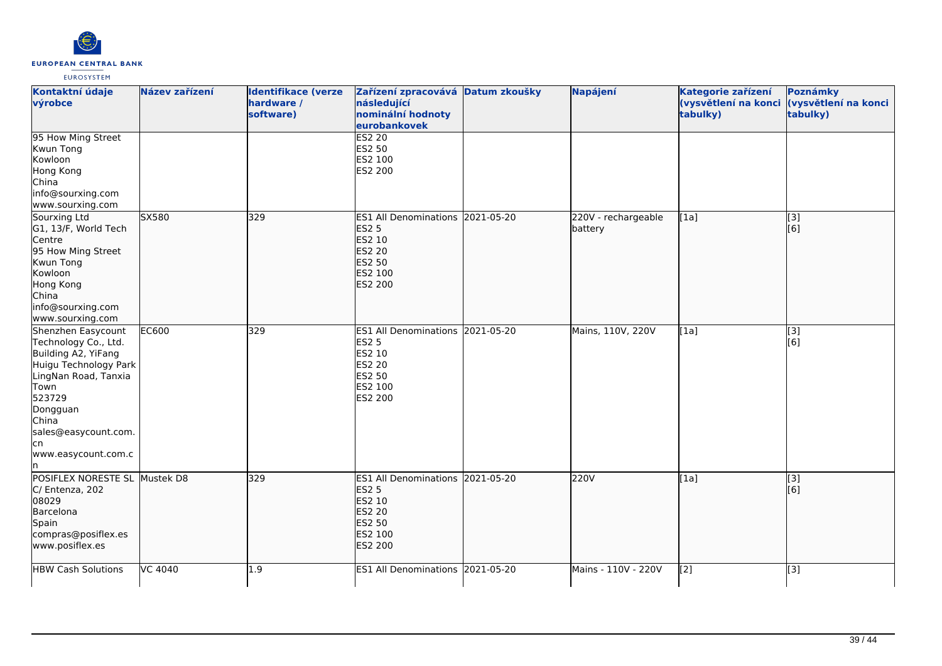

| Kontaktní údaje<br>výrobce                                                                                                                                                                                     | Název zařízení | <b>Identifikace (verze</b><br>hardware /<br>software) | Zařízení zpracovává Datum zkoušky<br>následující<br>nominální hodnoty<br>eurobankovek                              |            | Napájení                       | Kategorie zařízení<br>(vysvětlení na konci<br>tabulky) | Poznámky<br>(vysvětlení na konci<br>tabulky) |
|----------------------------------------------------------------------------------------------------------------------------------------------------------------------------------------------------------------|----------------|-------------------------------------------------------|--------------------------------------------------------------------------------------------------------------------|------------|--------------------------------|--------------------------------------------------------|----------------------------------------------|
| 95 How Ming Street<br>Kwun Tong<br>Kowloon<br>Hong Kong<br>China<br>info@sourxing.com<br>www.sourxing.com                                                                                                      |                |                                                       | <b>ES2 20</b><br>ES2 50<br>ES2 100<br>ES2 200                                                                      |            |                                |                                                        |                                              |
| Sourxing Ltd<br>G1, 13/F, World Tech<br>Centre<br>95 How Ming Street<br>Kwun Tong<br>Kowloon<br>Hong Kong<br>China<br>info@sourxing.com<br>www.sourxing.com                                                    | SX580          | 329                                                   | ES1 All Denominations 2021-05-20<br><b>ES2 5</b><br>ES2 10<br>ES2 20<br>ES2 50<br>ES2 100<br>ES2 200               |            | 220V - rechargeable<br>battery | [1a]                                                   | [3]<br>[6]                                   |
| Shenzhen Easycount<br>Technology Co., Ltd.<br>Building A2, YiFang<br>Huigu Technology Park<br>LingNan Road, Tanxia<br>Town<br>523729<br>Dongguan<br>China<br>sales@easycount.com.<br>cn<br>www.easycount.com.c | <b>EC600</b>   | 329                                                   | ES1 All Denominations 2021-05-20<br><b>ES2 5</b><br>ES2 10<br><b>ES2 20</b><br>ES2 50<br>ES2 100<br>ES2 200        |            | Mains, 110V, 220V              | [1a]                                                   | $\overline{[3]}$<br>[6]                      |
| POSIFLEX NORESTE SL Mustek D8<br>C/ Entenza, 202<br>08029<br>Barcelona<br>Spain<br>compras@posiflex.es<br>www.posiflex.es                                                                                      |                | 329                                                   | ES1 All Denominations 2021-05-20<br><b>ES2 5</b><br>ES2 10<br><b>ES2 20</b><br><b>ES2 50</b><br>ES2 100<br>ES2 200 |            | 220V                           | [1a]                                                   | [3]<br>[6]                                   |
| <b>HBW Cash Solutions</b>                                                                                                                                                                                      | VC 4040        | L.9                                                   | <b>ES1 All Denominations</b>                                                                                       | 2021-05-20 | Mains - 110V - 220V            | [2]                                                    | [3]                                          |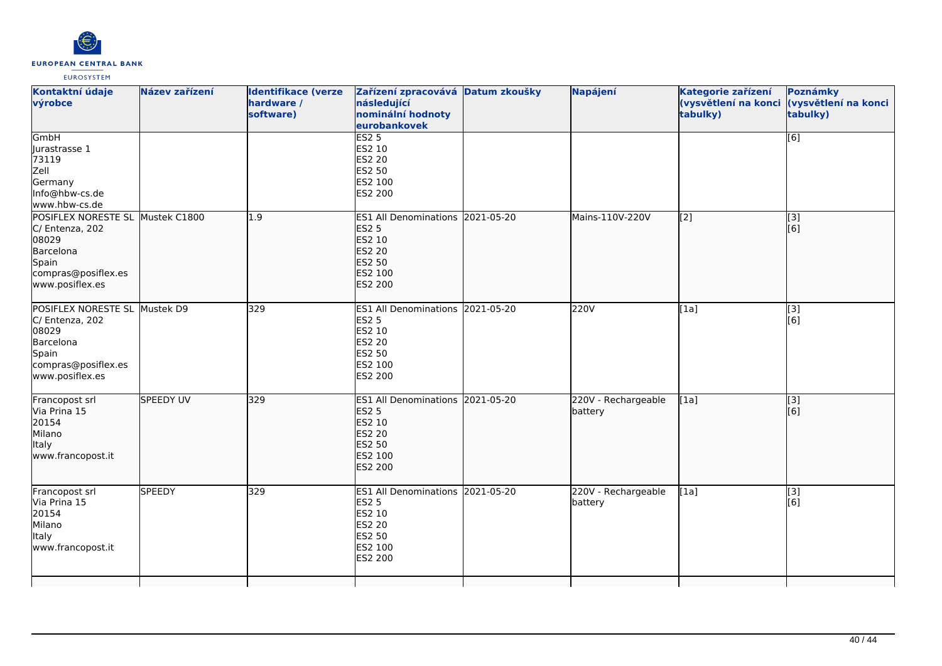

| Kontaktní údaje<br>výrobce                                                                                                   | Název zařízení   | <b>Identifikace (verze</b><br>hardware /<br>software) | Zařízení zpracovává Datum zkoušky<br>následující<br>nominální hodnoty<br>eurobankovek                       | Napájení                       | Kategorie zařízení<br>tabulky) | Poznámky<br>(vysvětlení na konci (vysvětlení na konci<br>tabulky) |
|------------------------------------------------------------------------------------------------------------------------------|------------------|-------------------------------------------------------|-------------------------------------------------------------------------------------------------------------|--------------------------------|--------------------------------|-------------------------------------------------------------------|
| GmbH<br>Jurastrasse 1<br>73119<br>Zell<br>Germany<br>Info@hbw-cs.de<br>www.hbw-cs.de                                         |                  |                                                       | ES2 <sub>5</sub><br>ES2 10<br><b>ES2 20</b><br>ES2 50<br>ES2 100<br>ES2 200                                 |                                |                                | $\overline{[6]}$                                                  |
| POSIFLEX NORESTE SL Mustek C1800<br>C/ Entenza, 202<br>08029<br>Barcelona<br>Spain<br>compras@posiflex.es<br>www.posiflex.es |                  | 1.9                                                   | ES1 All Denominations 2021-05-20<br><b>ES2 5</b><br>ES2 10<br><b>ES2 20</b><br>ES2 50<br>ES2 100<br>ES2 200 | Mains-110V-220V                | [2]                            | [3]<br>[6]                                                        |
| POSIFLEX NORESTE SL Mustek D9<br>C/ Entenza, 202<br>08029<br>Barcelona<br>Spain<br>compras@posiflex.es<br>www.posiflex.es    |                  | 329                                                   | ES1 All Denominations 2021-05-20<br><b>ES2 5</b><br>ES2 10<br>ES2 20<br>ES2 50<br>ES2 100<br>ES2 200        | 220V                           | [1a]                           | [3]<br>[6]                                                        |
| Francopost srl<br>Via Prina 15<br>20154<br>Milano<br>Italy<br>www.francopost.it                                              | <b>SPEEDY UV</b> | 329                                                   | ES1 All Denominations 2021-05-20<br><b>ES2 5</b><br>ES2 10<br>ES2 20<br>ES2 50<br>ES2 100<br><b>ES2 200</b> | 220V - Rechargeable<br>battery | [1a]                           | $\overline{[3]}$<br>[6]                                           |
| Francopost srl<br>Via Prina 15<br>20154<br>Milano<br><b>Italy</b><br>www.francopost.it                                       | <b>SPEEDY</b>    | 329                                                   | ES1 All Denominations 2021-05-20<br><b>ES2 5</b><br>ES2 10<br>ES2 20<br>ES2 50<br>ES2 100<br>ES2 200        | 220V - Rechargeable<br>battery | [1a]                           | [3]<br>[6]                                                        |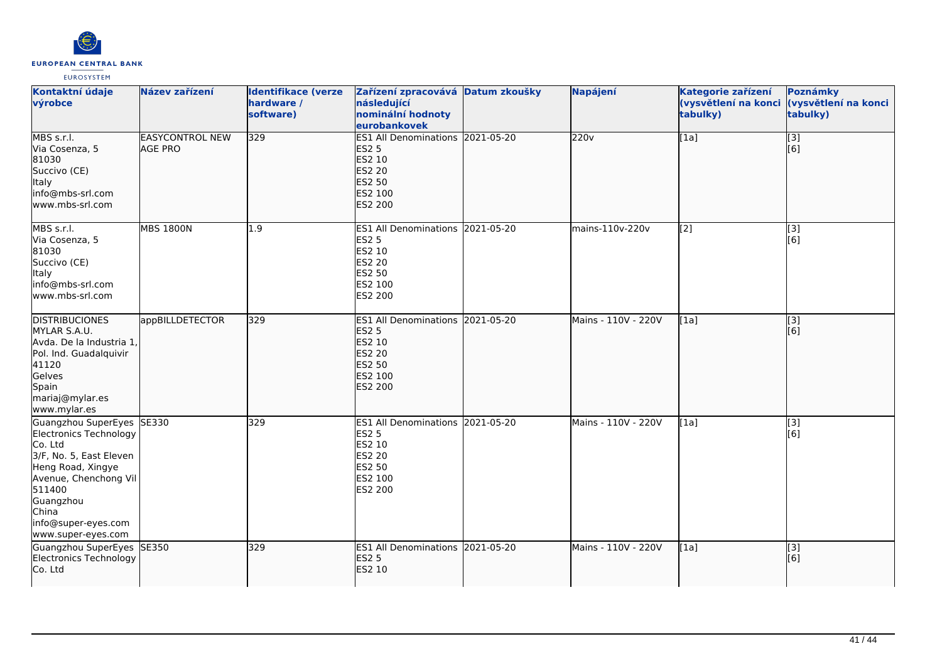

| Kontaktní údaje<br>výrobce                                                                                                                                                                                           | Název zařízení                           | <b>Identifikace (verze</b><br>hardware /<br>software) | Zařízení zpracovává Datum zkoušky<br>následující<br>nominální hodnoty<br>eurobankovek                                     | Napájení            | Kategorie zařízení<br>tabulky) | Poznámky<br>(vysvětlení na konci (vysvětlení na konci<br>tabulky) |
|----------------------------------------------------------------------------------------------------------------------------------------------------------------------------------------------------------------------|------------------------------------------|-------------------------------------------------------|---------------------------------------------------------------------------------------------------------------------------|---------------------|--------------------------------|-------------------------------------------------------------------|
| MBS s.r.l.<br>Via Cosenza, 5<br>81030<br>Succivo (CE)<br>Italy<br>info@mbs-srl.com<br>www.mbs-srl.com                                                                                                                | <b>EASYCONTROL NEW</b><br><b>AGE PRO</b> | 329                                                   | ES1 All Denominations 2021-05-20<br><b>ES2 5</b><br>ES2 10<br>ES2 20<br>ES2 50<br>ES2 100<br>ES2 200                      | 220v                | [1a]                           | $\overline{[3]}$<br>[6]                                           |
| MBS s.r.l.<br>Via Cosenza, 5<br>81030<br>Succivo (CE)<br>Italy<br>info@mbs-srl.com<br>www.mbs-srl.com                                                                                                                | <b>MBS 1800N</b>                         | 1.9                                                   | ES1 All Denominations 2021-05-20<br><b>ES2 5</b><br>ES2 10<br><b>ES2 20</b><br>ES2 50<br>ES2 100<br>ES2 200               | mains-110v-220v     | [2]                            | [3]<br>[6]                                                        |
| <b>DISTRIBUCIONES</b><br>MYLAR S.A.U.<br>Avda. De la Industria 1,<br>Pol. Ind. Guadalquivir<br>41120<br>Gelves<br>Spain<br>mariaj@mylar.es<br>www.mylar.es                                                           | appBILLDETECTOR                          | 329                                                   | ES1 All Denominations 2021-05-20<br><b>ES2 5</b><br><b>ES2 10</b><br><b>ES2 20</b><br>ES2 50<br>ES2 100<br><b>ES2 200</b> | Mains - 110V - 220V | [1a]                           | $\vert$ [3]<br>[6]                                                |
| Guangzhou SuperEyes SE330<br>Electronics Technology<br>Co. Ltd<br>3/F, No. 5, East Eleven<br>Heng Road, Xingye<br>Avenue, Chenchong Vil<br>511400<br>Guangzhou<br>China<br>info@super-eyes.com<br>www.super-eyes.com |                                          | 329                                                   | <b>ES1 All Denominations 2021-05-20</b><br><b>ES2 5</b><br>ES2 10<br><b>ES2 20</b><br>ES2 50<br>ES2 100<br><b>ES2 200</b> | Mains - 110V - 220V | [1a]                           | [3]<br>[6]                                                        |
| Guangzhou SuperEyes SE350<br>Electronics Technology<br>Co. Ltd                                                                                                                                                       |                                          | 329                                                   | ES1 All Denominations 2021-05-20<br><b>ES2 5</b><br><b>ES2 10</b>                                                         | Mains - 110V - 220V | [1a]                           | $\vert$ [3]<br>[6]                                                |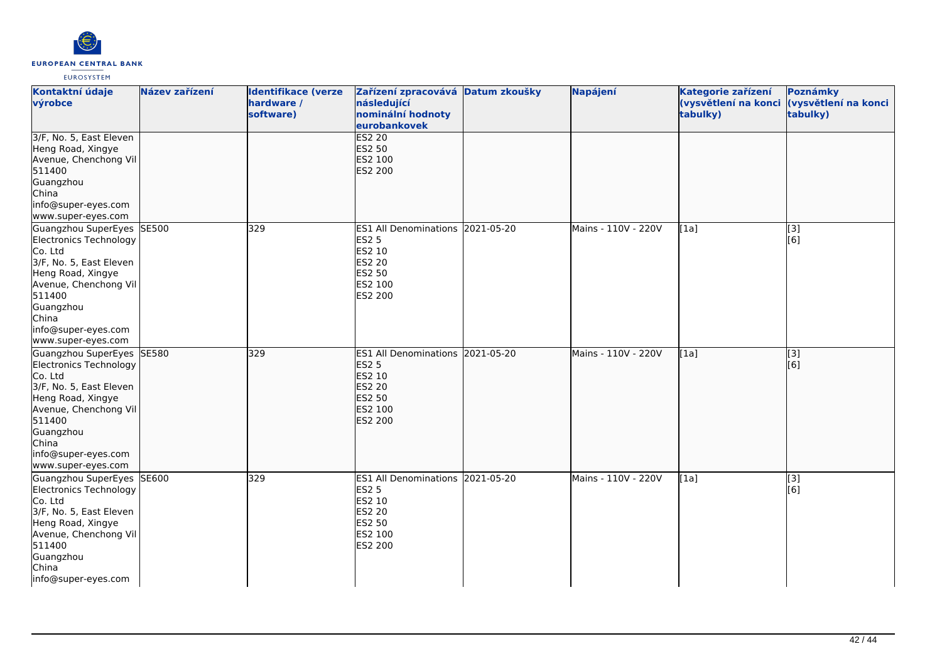

| Kontaktní údaje<br>výrobce                                                                                                                                                                                           | Název zařízení | <b>Identifikace (verze</b><br>hardware /<br>software) | Zařízení zpracovává Datum zkoušky<br>následující<br>nominální hodnoty<br>eurobankovek                              | Napájení            | Kategorie zařízení<br>(vysvětlení na konci<br>tabulky) | Poznámky<br>(vysvětlení na konci<br>tabulky) |
|----------------------------------------------------------------------------------------------------------------------------------------------------------------------------------------------------------------------|----------------|-------------------------------------------------------|--------------------------------------------------------------------------------------------------------------------|---------------------|--------------------------------------------------------|----------------------------------------------|
| 3/F, No. 5, East Eleven<br>Heng Road, Xingye<br>Avenue, Chenchong Vil<br>511400<br>Guangzhou<br>China<br>info@super-eyes.com<br>www.super-eyes.com                                                                   |                |                                                       | <b>ES2 20</b><br>ES2 50<br>ES2 100<br>ES2 200                                                                      |                     |                                                        |                                              |
| Guangzhou SuperEyes SE500<br>Electronics Technology<br>Co. Ltd<br>3/F, No. 5, East Eleven<br>Heng Road, Xingye<br>Avenue, Chenchong Vil<br>511400<br>Guangzhou<br>China<br>info@super-eyes.com<br>www.super-eyes.com |                | 329                                                   | ES1 All Denominations 2021-05-20<br><b>ES2 5</b><br>ES2 10<br>ES2 20<br>ES2 50<br>ES2 100<br>ES2 200               | Mains - 110V - 220V | [1a]                                                   | [3]<br>[6]                                   |
| Guangzhou SuperEyes SE580<br>Electronics Technology<br>Co. Ltd<br>3/F, No. 5, East Eleven<br>Heng Road, Xingye<br>Avenue, Chenchong Vil<br>511400<br>Guangzhou<br>China<br>info@super-eyes.com<br>www.super-eyes.com |                | 329                                                   | ES1 All Denominations 2021-05-20<br><b>ES2 5</b><br>ES2 10<br><b>ES2 20</b><br><b>ES2 50</b><br>ES2 100<br>ES2 200 | Mains - 110V - 220V | [1a]                                                   | $\overline{[}3]$<br>[6]                      |
| Guangzhou SuperEyes<br>Electronics Technology<br>Co. Ltd<br>3/F, No. 5, East Eleven<br>Heng Road, Xingye<br>Avenue, Chenchong Vil<br>511400<br>Guangzhou<br>China<br>info@super-eyes.com                             | SE600          | 329                                                   | ES1 All Denominations 2021-05-20<br><b>ES2 5</b><br><b>ES2 10</b><br><b>ES2 20</b><br>ES2 50<br>ES2 100<br>ES2 200 | Mains - 110V - 220V | [1a]                                                   | [3]<br>[6]                                   |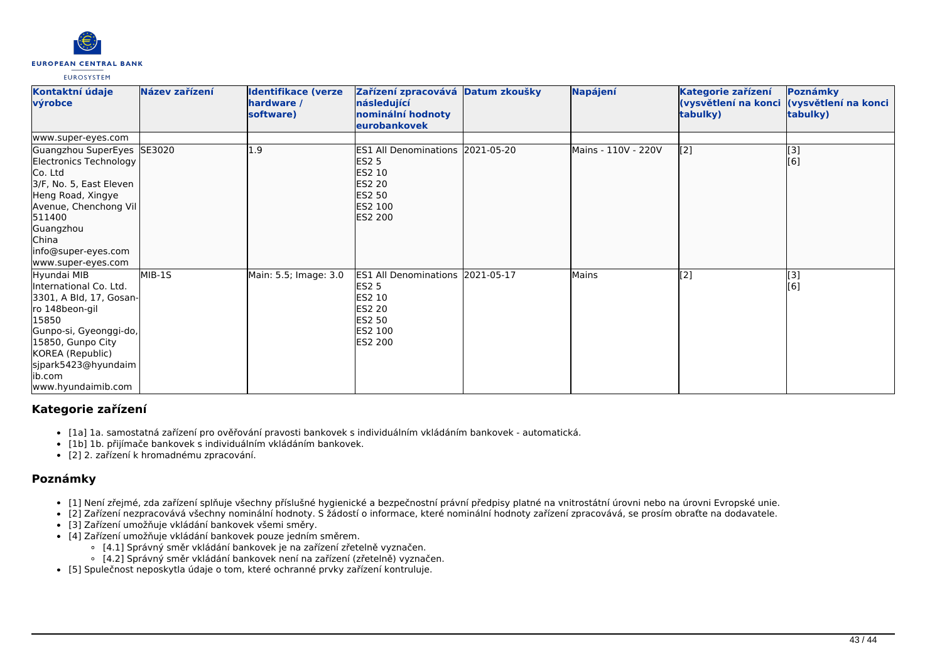

| Kontaktní údaje<br>výrobce                                                                                                                                                                                             | Název zařízení | <b>Identifikace (verze</b><br>hardware /<br>software) | Zařízení zpracovává Datum zkoušky<br>následující<br>nominální hodnoty<br>eurobankovek                                     | Napájení            | Kategorie zařízení<br>(vysvětlení na konci<br>tabulky) | Poznámky<br>(vysvětlení na konci<br>tabulky) |
|------------------------------------------------------------------------------------------------------------------------------------------------------------------------------------------------------------------------|----------------|-------------------------------------------------------|---------------------------------------------------------------------------------------------------------------------------|---------------------|--------------------------------------------------------|----------------------------------------------|
| www.super-eyes.com                                                                                                                                                                                                     |                |                                                       |                                                                                                                           |                     |                                                        |                                              |
| Guangzhou SuperEyes SE3020<br>Electronics Technology<br>Co. Ltd<br>3/F, No. 5, East Eleven<br>Heng Road, Xingye<br>Avenue, Chenchong Vil<br>511400<br>Guangzhou<br>China<br>info@super-eyes.com<br>www.super-eyes.com  |                | 1.9                                                   | ES1 All Denominations 2021-05-20<br><b>ES2 5</b><br><b>ES2 10</b><br><b>ES2 20</b><br><b>ES2 50</b><br>ES2 100<br>ES2 200 | Mains - 110V - 220V | $\left[2\right]$                                       | [3]<br>[6]                                   |
| Hyundai MIB<br>International Co. Ltd.<br>3301, A Bld, 17, Gosan-<br>ro 148beon-gil<br>15850<br>Gunpo-si, Gyeonggi-do,<br>15850, Gunpo City<br>KOREA (Republic)<br>sjpark5423@hyundaim<br>lib.com<br>www.hyundaimib.com | MIB-1S         | Main: 5.5; Image: 3.0                                 | ES1 All Denominations 2021-05-17<br><b>ES2 5</b><br>ES2 10<br><b>ES2 20</b><br>ES2 50<br>ES2 100<br>ES2 200               | <b>Mains</b>        | [2]                                                    | [3]<br>[6]                                   |

# **Kategorie zařízení**

- [1a] 1a. samostatná zařízení pro ověřování pravosti bankovek s individuálním vkládáním bankovek automatická.
- [1b] 1b. přijímače bankovek s individuálním vkládáním bankovek.
- [2] 2. zařízení k hromadnému zpracování.

### **Poznámky**

- [1] Není zřejmé, zda zařízení splňuje všechny příslušné hygienické a bezpečnostní právní předpisy platné na vnitrostátní úrovni nebo na úrovni Evropské unie.
- [2] Zařízení nezpracovává všechny nominální hodnoty. S žádostí o informace, které nominální hodnoty zařízení zpracovává, se prosím obraťte na dodavatele.
- [3] Zařízení umožňuje vkládání bankovek všemi směry.
- [4] Zařízení umožňuje vkládání bankovek pouze jedním směrem.
	- [4.1] Správný směr vkládání bankovek je na zařízení zřetelně vyznačen.
	- [4.2] Správný směr vkládání bankovek není na zařízení (zřetelně) vyznačen.
- [5] Spulečnost neposkytla údaje o tom, které ochranné prvky zařízení kontruluje.